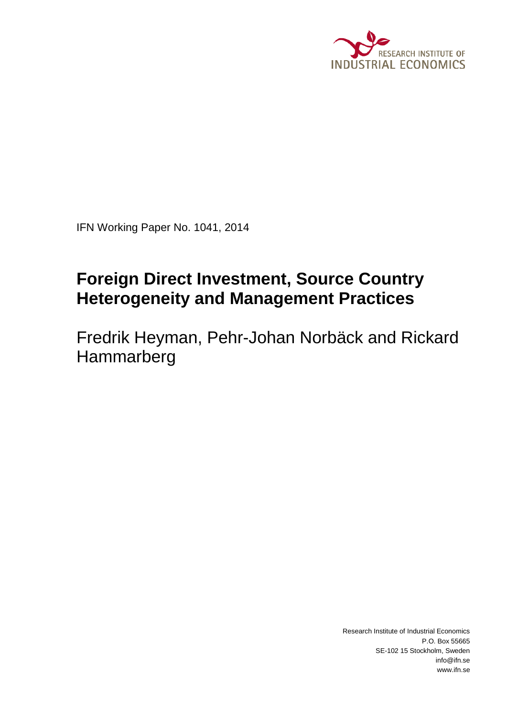

IFN Working Paper No. 1041, 2014

# **Foreign Direct Investment, Source Country Heterogeneity and Management Practices**

Fredrik Heyman, Pehr-Johan Norbäck and Rickard **Hammarberg** 

> Research Institute of Industrial Economics P.O. Box 55665 SE-102 15 Stockholm, Sweden info@ifn.se www.ifn.se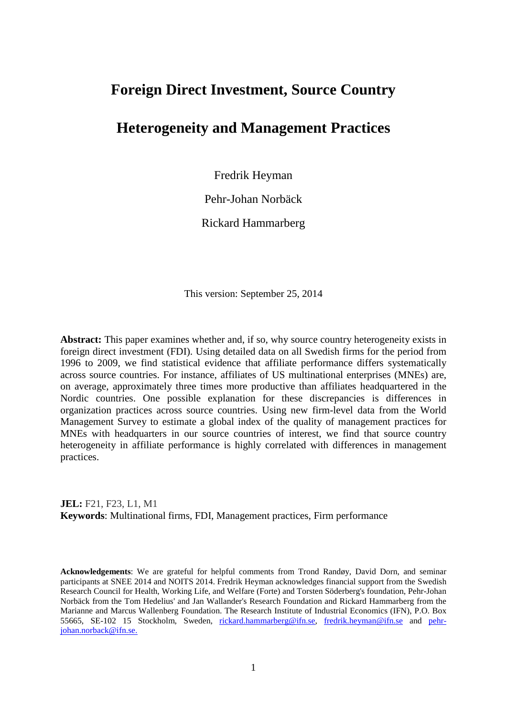## **Foreign Direct Investment, Source Country**

## **Heterogeneity and Management Practices**

Fredrik Heyman

Pehr-Johan Norbäck

Rickard Hammarberg

This version: September 25, 2014

Abstract: This paper examines whether and, if so, why source country heterogeneity exists in foreign direct investment (FDI). Using detailed data on all Swedish firms for the period from 1996 to 2009, we find statistical evidence that affiliate performance differs systematically across source countries. For instance, affiliates of US multinational enterprises (MNEs) are, on average, approximately three times more productive than affiliates headquartered in the Nordic countries. One possible explanation for these discrepancies is differences in organization practices across source countries. Using new firm-level data from the World Management Survey to estimate a global index of the quality of management practices for MNEs with headquarters in our source countries of interest, we find that source country heterogeneity in affiliate performance is highly correlated with differences in management practices.

**JEL:** F21, F23, L1, M1 **Keywords**: Multinational firms, FDI, Management practices, Firm performance

**Acknowledgements**: We are grateful for helpful comments from Trond Randøy, David Dorn, and seminar participants at SNEE 2014 and NOITS 2014. Fredrik Heyman acknowledges financial support from the Swedish Research Council for Health, Working Life, and Welfare (Forte) and Torsten Söderberg's foundation, Pehr-Johan Norbäck from the Tom Hedelius' and Jan Wallander's Research Foundation and Rickard Hammarberg from the Marianne and Marcus Wallenberg Foundation. The Research Institute of Industrial Economics (IFN), P.O. Box 55665, SE-102 15 Stockholm, Sweden, [rickard.hammarberg@ifn.se,](mailto:rickard.hammarberg@ifn.se) [fredrik.heyman@ifn.se](mailto:fredrik.heyman@ifn.se) and pehrjohan.norback@ifn.se.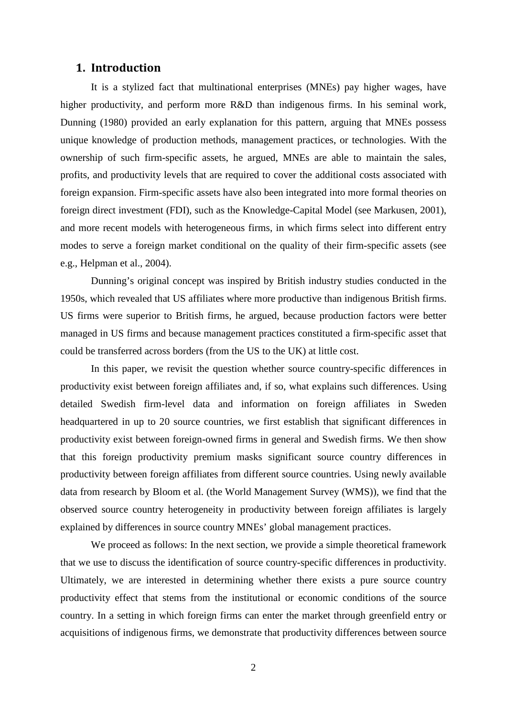## **1. Introduction**

It is a stylized fact that multinational enterprises (MNEs) pay higher wages, have higher productivity, and perform more R&D than indigenous firms. In his seminal work, Dunning (1980) provided an early explanation for this pattern, arguing that MNEs possess unique knowledge of production methods, management practices, or technologies. With the ownership of such firm-specific assets, he argued, MNEs are able to maintain the sales, profits, and productivity levels that are required to cover the additional costs associated with foreign expansion. Firm-specific assets have also been integrated into more formal theories on foreign direct investment (FDI), such as the Knowledge-Capital Model (see Markusen, 2001), and more recent models with heterogeneous firms, in which firms select into different entry modes to serve a foreign market conditional on the quality of their firm-specific assets (see e.g., Helpman et al., 2004).

Dunning's original concept was inspired by British industry studies conducted in the 1950s, which revealed that US affiliates where more productive than indigenous British firms. US firms were superior to British firms, he argued, because production factors were better managed in US firms and because management practices constituted a firm-specific asset that could be transferred across borders (from the US to the UK) at little cost.

In this paper, we revisit the question whether source country-specific differences in productivity exist between foreign affiliates and, if so, what explains such differences. Using detailed Swedish firm-level data and information on foreign affiliates in Sweden headquartered in up to 20 source countries, we first establish that significant differences in productivity exist between foreign-owned firms in general and Swedish firms. We then show that this foreign productivity premium masks significant source country differences in productivity between foreign affiliates from different source countries. Using newly available data from research by Bloom et al. (the World Management Survey (WMS)), we find that the observed source country heterogeneity in productivity between foreign affiliates is largely explained by differences in source country MNEs' global management practices.

We proceed as follows: In the next section, we provide a simple theoretical framework that we use to discuss the identification of source country-specific differences in productivity. Ultimately, we are interested in determining whether there exists a pure source country productivity effect that stems from the institutional or economic conditions of the source country. In a setting in which foreign firms can enter the market through greenfield entry or acquisitions of indigenous firms, we demonstrate that productivity differences between source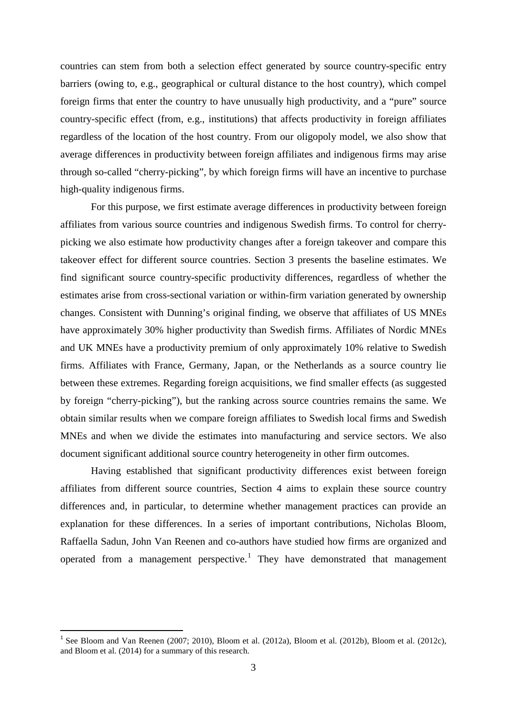countries can stem from both a selection effect generated by source country-specific entry barriers (owing to, e.g., geographical or cultural distance to the host country), which compel foreign firms that enter the country to have unusually high productivity, and a "pure" source country-specific effect (from, e.g., institutions) that affects productivity in foreign affiliates regardless of the location of the host country. From our oligopoly model, we also show that average differences in productivity between foreign affiliates and indigenous firms may arise through so-called "cherry-picking", by which foreign firms will have an incentive to purchase high-quality indigenous firms.

For this purpose, we first estimate average differences in productivity between foreign affiliates from various source countries and indigenous Swedish firms. To control for cherrypicking we also estimate how productivity changes after a foreign takeover and compare this takeover effect for different source countries. Section 3 presents the baseline estimates. We find significant source country-specific productivity differences, regardless of whether the estimates arise from cross-sectional variation or within-firm variation generated by ownership changes. Consistent with Dunning's original finding, we observe that affiliates of US MNEs have approximately 30% higher productivity than Swedish firms. Affiliates of Nordic MNEs and UK MNEs have a productivity premium of only approximately 10% relative to Swedish firms. Affiliates with France, Germany, Japan, or the Netherlands as a source country lie between these extremes. Regarding foreign acquisitions, we find smaller effects (as suggested by foreign "cherry-picking"), but the ranking across source countries remains the same. We obtain similar results when we compare foreign affiliates to Swedish local firms and Swedish MNEs and when we divide the estimates into manufacturing and service sectors. We also document significant additional source country heterogeneity in other firm outcomes.

Having established that significant productivity differences exist between foreign affiliates from different source countries, Section 4 aims to explain these source country differences and, in particular, to determine whether management practices can provide an explanation for these differences. In a series of important contributions, Nicholas Bloom, Raffaella Sadun, John Van Reenen and co-authors have studied how firms are organized and operated from a management perspective.<sup>[1](#page-3-0)</sup> They have demonstrated that management

<span id="page-3-0"></span><sup>&</sup>lt;sup>1</sup> See Bloom and Van Reenen (2007; 2010), Bloom et al. (2012a), Bloom et al. (2012b), Bloom et al. (2012c), and Bloom et al. (2014) for a summary of this research.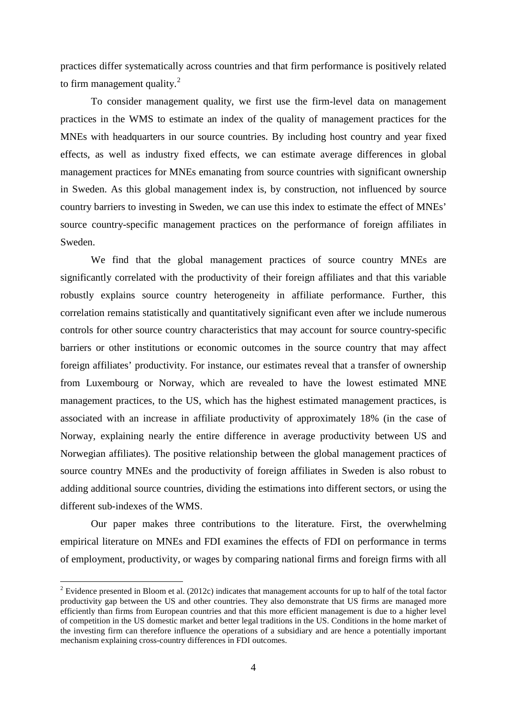practices differ systematically across countries and that firm performance is positively related to firm management quality.<sup>[2](#page-4-0)</sup>

To consider management quality, we first use the firm-level data on management practices in the WMS to estimate an index of the quality of management practices for the MNEs with headquarters in our source countries. By including host country and year fixed effects, as well as industry fixed effects, we can estimate average differences in global management practices for MNEs emanating from source countries with significant ownership in Sweden. As this global management index is, by construction, not influenced by source country barriers to investing in Sweden, we can use this index to estimate the effect of MNEs' source country-specific management practices on the performance of foreign affiliates in Sweden.

We find that the global management practices of source country MNEs are significantly correlated with the productivity of their foreign affiliates and that this variable robustly explains source country heterogeneity in affiliate performance. Further, this correlation remains statistically and quantitatively significant even after we include numerous controls for other source country characteristics that may account for source country-specific barriers or other institutions or economic outcomes in the source country that may affect foreign affiliates' productivity. For instance, our estimates reveal that a transfer of ownership from Luxembourg or Norway, which are revealed to have the lowest estimated MNE management practices, to the US, which has the highest estimated management practices, is associated with an increase in affiliate productivity of approximately 18% (in the case of Norway, explaining nearly the entire difference in average productivity between US and Norwegian affiliates). The positive relationship between the global management practices of source country MNEs and the productivity of foreign affiliates in Sweden is also robust to adding additional source countries, dividing the estimations into different sectors, or using the different sub-indexes of the WMS.

Our paper makes three contributions to the literature. First, the overwhelming empirical literature on MNEs and FDI examines the effects of FDI on performance in terms of employment, productivity, or wages by comparing national firms and foreign firms with all

<span id="page-4-0"></span> $2^2$  Evidence presented in Bloom et al. (2012c) indicates that management accounts for up to half of the total factor productivity gap between the US and other countries. They also demonstrate that US firms are managed more efficiently than firms from European countries and that this more efficient management is due to a higher level of competition in the US domestic market and better legal traditions in the US. Conditions in the home market of the investing firm can therefore influence the operations of a subsidiary and are hence a potentially important mechanism explaining cross-country differences in FDI outcomes.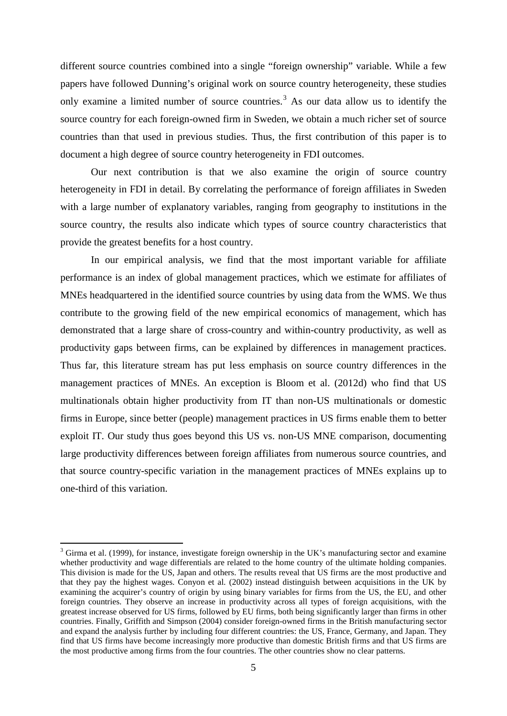different source countries combined into a single "foreign ownership" variable. While a few papers have followed Dunning's original work on source country heterogeneity, these studies only examine a limited number of source countries.<sup>[3](#page-5-0)</sup> As our data allow us to identify the source country for each foreign-owned firm in Sweden, we obtain a much richer set of source countries than that used in previous studies. Thus, the first contribution of this paper is to document a high degree of source country heterogeneity in FDI outcomes.

Our next contribution is that we also examine the origin of source country heterogeneity in FDI in detail. By correlating the performance of foreign affiliates in Sweden with a large number of explanatory variables, ranging from geography to institutions in the source country, the results also indicate which types of source country characteristics that provide the greatest benefits for a host country.

In our empirical analysis, we find that the most important variable for affiliate performance is an index of global management practices, which we estimate for affiliates of MNEs headquartered in the identified source countries by using data from the WMS. We thus contribute to the growing field of the new empirical economics of management, which has demonstrated that a large share of cross-country and within-country productivity, as well as productivity gaps between firms, can be explained by differences in management practices. Thus far, this literature stream has put less emphasis on source country differences in the management practices of MNEs. An exception is Bloom et al. (2012d) who find that US multinationals obtain higher productivity from IT than non-US multinationals or domestic firms in Europe, since better (people) management practices in US firms enable them to better exploit IT. Our study thus goes beyond this US vs. non-US MNE comparison, documenting large productivity differences between foreign affiliates from numerous source countries, and that source country-specific variation in the management practices of MNEs explains up to one-third of this variation.

<span id="page-5-0"></span><sup>&</sup>lt;sup>3</sup> Girma et al. (1999), for instance, investigate foreign ownership in the UK's manufacturing sector and examine whether productivity and wage differentials are related to the home country of the ultimate holding companies. This division is made for the US, Japan and others. The results reveal that US firms are the most productive and that they pay the highest wages. Conyon et al. (2002) instead distinguish between acquisitions in the UK by examining the acquirer's country of origin by using binary variables for firms from the US, the EU, and other foreign countries. They observe an increase in productivity across all types of foreign acquisitions, with the greatest increase observed for US firms, followed by EU firms, both being significantly larger than firms in other countries. Finally, Griffith and Simpson (2004) consider foreign-owned firms in the British manufacturing sector and expand the analysis further by including four different countries: the US, France, Germany, and Japan. They find that US firms have become increasingly more productive than domestic British firms and that US firms are the most productive among firms from the four countries. The other countries show no clear patterns.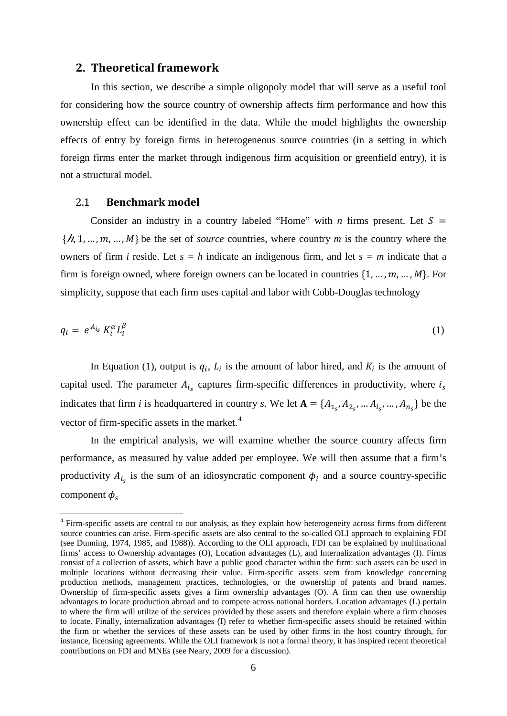## **2. Theoretical framework**

In this section, we describe a simple oligopoly model that will serve as a useful tool for considering how the source country of ownership affects firm performance and how this ownership effect can be identified in the data. While the model highlights the ownership effects of entry by foreign firms in heterogeneous source countries (in a setting in which foreign firms enter the market through indigenous firm acquisition or greenfield entry), it is not a structural model.

## 2.1 **Benchmark model**

-

Consider an industry in a country labeled "Home" with  $n$  firms present. Let  $S =$  $\{h, 1, \ldots, m, \ldots, M\}$  be the set of *source* countries, where country *m* is the country where the owners of firm *i* reside. Let  $s = h$  indicate an indigenous firm, and let  $s = m$  indicate that a firm is foreign owned, where foreign owners can be located in countries  $\{1, ..., m, ..., M\}$ . For simplicity, suppose that each firm uses capital and labor with Cobb-Douglas technology

$$
q_i = e^{A_{i_s}} K_i^{\alpha} L_i^{\beta} \tag{1}
$$

In Equation (1), output is  $q_i$ ,  $L_i$  is the amount of labor hired, and  $K_i$  is the amount of capital used. The parameter  $A_{i_s}$  captures firm-specific differences in productivity, where  $i_s$ indicates that firm *i* is headquartered in country *s*. We let  $A = \{A_{1s}, A_{2s}, \dots, A_{i} \}$  be the vector of firm-specific assets in the market.<sup>[4](#page-6-0)</sup>

In the empirical analysis, we will examine whether the source country affects firm performance, as measured by value added per employee. We will then assume that a firm's productivity  $A_{i_s}$  is the sum of an idiosyncratic component  $\phi_i$  and a source country-specific component  $\phi_s$ 

<span id="page-6-0"></span><sup>&</sup>lt;sup>4</sup> Firm-specific assets are central to our analysis, as they explain how heterogeneity across firms from different source countries can arise. Firm-specific assets are also central to the so-called OLI approach to explaining FDI (see Dunning, 1974, 1985, and 1988)). According to the OLI approach, FDI can be explained by multinational firms' access to Ownership advantages (O), Location advantages (L), and Internalization advantages (I). Firms consist of a collection of assets, which have a public good character within the firm: such assets can be used in multiple locations without decreasing their value. Firm-specific assets stem from knowledge concerning production methods, management practices, technologies, or the ownership of patents and brand names. Ownership of firm-specific assets gives a firm ownership advantages (O). A firm can then use ownership advantages to locate production abroad and to compete across national borders. Location advantages (L) pertain to where the firm will utilize of the services provided by these assets and therefore explain where a firm chooses to locate. Finally, internalization advantages (I) refer to whether firm-specific assets should be retained within the firm or whether the services of these assets can be used by other firms in the host country through, for instance, licensing agreements. While the OLI framework is not a formal theory, it has inspired recent theoretical contributions on FDI and MNEs (see Neary, 2009 for a discussion).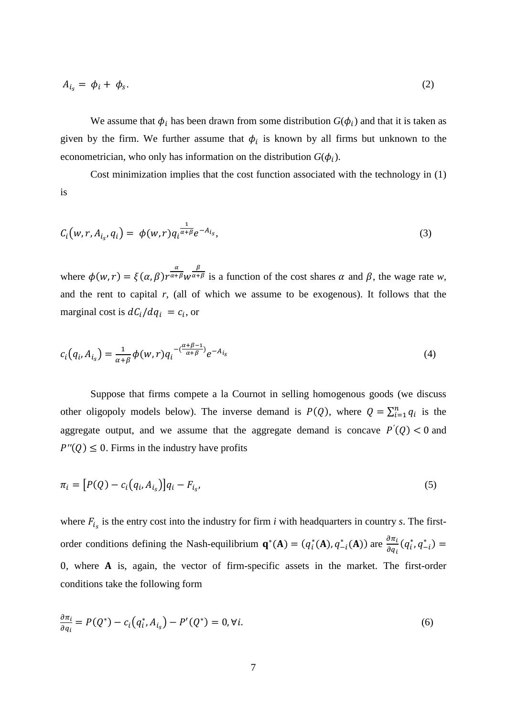$$
A_{i_s} = \phi_i + \phi_s. \tag{2}
$$

We assume that  $\phi_i$  has been drawn from some distribution  $G(\phi_i)$  and that it is taken as given by the firm. We further assume that  $\phi_i$  is known by all firms but unknown to the econometrician, who only has information on the distribution  $G(\phi_i)$ .

Cost minimization implies that the cost function associated with the technology in (1) is

$$
C_i(w, r, A_{i_s}, q_i) = \phi(w, r) q_i^{\frac{1}{\alpha + \beta}} e^{-A_{i_s}},
$$
\n(3)

where  $\phi(w, r) = \xi(\alpha, \beta) r^{\frac{\alpha}{\alpha + \alpha}}$  $\alpha+\beta W$  $\frac{\beta}{\alpha+\beta}$  is a function of the cost shares  $\alpha$  and  $\beta$ , the wage rate *w*, and the rent to capital  $r$ , (all of which we assume to be exogenous). It follows that the marginal cost is  $dC_i / dq_i = c_i$ , or

$$
c_i\big(q_i, A_{i_s}\big) = \frac{1}{\alpha + \beta} \phi(w, r) q_i^{-\left(\frac{\alpha + \beta - 1}{\alpha + \beta}\right)} e^{-A_{i_s}}
$$
\n<sup>(4)</sup>

Suppose that firms compete a la Cournot in selling homogenous goods (we discuss other oligopoly models below). The inverse demand is  $P(Q)$ , where  $Q = \sum_{i=1}^{n} q_i$  is the aggregate output, and we assume that the aggregate demand is concave  $P'(Q) < 0$  and  $P''(Q) \leq 0$ . Firms in the industry have profits

$$
\pi_i = [P(Q) - c_i(q_i, A_{i_s})]q_i - F_{i_s},
$$
\n(5)

where  $F_{i_s}$  is the entry cost into the industry for firm *i* with headquarters in country *s*. The firstorder conditions defining the Nash-equilibrium  $\mathbf{q}^*(\mathbf{A}) = (q_i^*(\mathbf{A}), q_{-i}^*(\mathbf{A}))$  are  $\frac{\partial \pi_i}{\partial q_i}$  $\frac{\partial n_i}{\partial q_i}(q_i^*, q_{-i}^*) =$ 0, where  $\bf{A}$  is, again, the vector of firm-specific assets in the market. The first-order conditions take the following form

$$
\frac{\partial \pi_i}{\partial q_i} = P(Q^*) - c_i \big( q_i^*, A_{i_s} \big) - P'(Q^*) = 0, \forall i.
$$
 (6)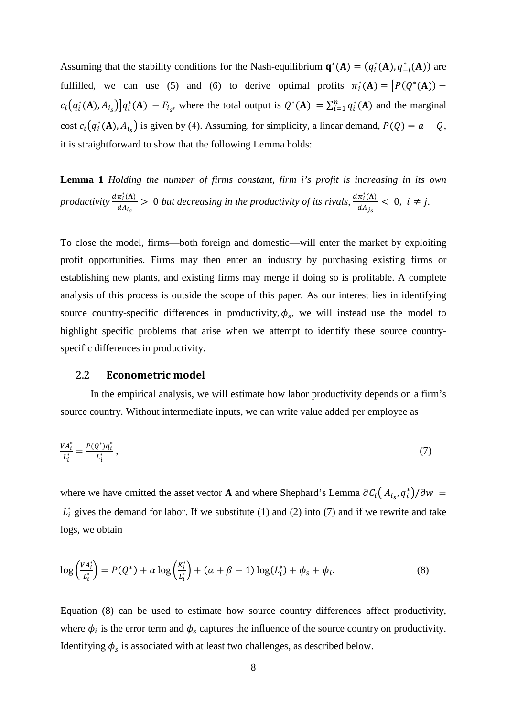Assuming that the stability conditions for the Nash-equilibrium  $\mathbf{q}^*(\mathbf{A}) = (q_i^*(\mathbf{A}), q_{-i}^*(\mathbf{A}))$  are fulfilled, we can use (5) and (6) to derive optimal profits  $\pi_i^*(A) = [P(Q^*(A))$  $c_i(q_i^*(\mathbf{A}), A_{i_s})\big]q_i^*(\mathbf{A}) - F_{i_s}$ , where the total output is  $Q^*(\mathbf{A}) = \sum_{i=1}^n q_i^*(\mathbf{A})$  and the marginal cost  $c_i(q_i^*(\mathbf{A}), A_{i_s})$  is given by (4). Assuming, for simplicity, a linear demand,  $P(Q) = a - Q$ , it is straightforward to show that the following Lemma holds:

**Lemma 1** *Holding the number of firms constant, firm i's profit is increasing in its own productivity*  $\frac{d\pi_i^*(A)}{dA}$  $\frac{\pi_i^*(A)}{dA_{i_S}}$  > 0 *but decreasing in the productivity of its rivals*,  $\frac{d\pi_i^*(A)}{dA_{j_S}}$  $\frac{n_i(\mathbf{A})}{dA_{j_s}} < 0, i \neq j.$ 

To close the model, firms—both foreign and domestic—will enter the market by exploiting profit opportunities. Firms may then enter an industry by purchasing existing firms or establishing new plants, and existing firms may merge if doing so is profitable. A complete analysis of this process is outside the scope of this paper. As our interest lies in identifying source country-specific differences in productivity,  $\phi_s$ , we will instead use the model to highlight specific problems that arise when we attempt to identify these source countryspecific differences in productivity.

#### 2.2 **Econometric model**

In the empirical analysis, we will estimate how labor productivity depends on a firm's source country. Without intermediate inputs, we can write value added per employee as

$$
\frac{VA_i^*}{L_i^*} = \frac{P(Q^*)q_i^*}{L_i^*},\tag{7}
$$

where we have omitted the asset vector **A** and where Shephard's Lemma  $\partial C_i (A_{i_s}, q_i^*)/\partial w =$  $L_i^*$  gives the demand for labor. If we substitute (1) and (2) into (7) and if we rewrite and take logs, we obtain

$$
\log\left(\frac{VA_i^*}{L_i^*}\right) = P(Q^*) + \alpha \log\left(\frac{K_i^*}{L_i^*}\right) + (\alpha + \beta - 1) \log(L_i^*) + \phi_s + \phi_i.
$$
 (8)

Equation (8) can be used to estimate how source country differences affect productivity, where  $\phi_i$  is the error term and  $\phi_s$  captures the influence of the source country on productivity. Identifying  $\phi_s$  is associated with at least two challenges, as described below.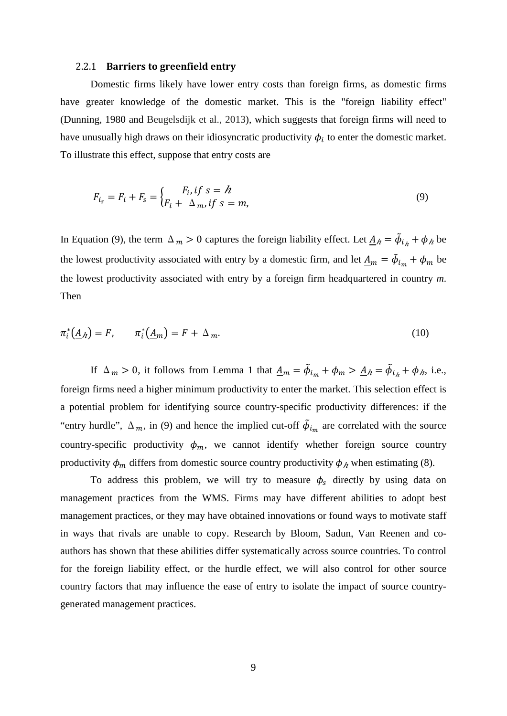#### 2.2.1 **Barriers to greenfield entry**

Domestic firms likely have lower entry costs than foreign firms, as domestic firms have greater knowledge of the domestic market. This is the "foreign liability effect" (Dunning, 1980 and Beugelsdijk et al., 2013), which suggests that foreign firms will need to have unusually high draws on their idiosyncratic productivity  $\phi_i$  to enter the domestic market. To illustrate this effect, suppose that entry costs are

$$
F_{i_s} = F_i + F_s = \begin{cases} F_i, & if \ s = h \\ F_i + \Delta_m, & if \ s = m, \end{cases}
$$
\n
$$
(9)
$$

In Equation (9), the term  $\Delta_m > 0$  captures the foreign liability effect. Let  $\underline{A}_h = \tilde{\phi}_{i_h} + \phi_h$  be the lowest productivity associated with entry by a domestic firm, and let  $\underline{A}_m = \tilde{\phi}_{i_m} + \phi_m$  be the lowest productivity associated with entry by a foreign firm headquartered in country *m*. Then

$$
\pi_i^*(\underline{A}_h) = F, \qquad \pi_i^*(\underline{A}_m) = F + \Delta_m. \tag{10}
$$

If  $\Delta_m > 0$ , it follows from Lemma 1 that  $\underline{A}_m = \tilde{\phi}_{i_m} + \phi_m > \underline{A}_h = \tilde{\phi}_{i_h} + \phi_h$ , i.e., foreign firms need a higher minimum productivity to enter the market. This selection effect is a potential problem for identifying source country-specific productivity differences: if the "entry hurdle",  $\Delta_m$ , in (9) and hence the implied cut-off  $\tilde{\phi}_{i_m}$  are correlated with the source country-specific productivity  $\phi_m$ , we cannot identify whether foreign source country productivity  $\phi_m$  differs from domestic source country productivity  $\phi_h$  when estimating (8).

To address this problem, we will try to measure  $\phi_s$  directly by using data on management practices from the WMS. Firms may have different abilities to adopt best management practices, or they may have obtained innovations or found ways to motivate staff in ways that rivals are unable to copy. Research by Bloom, Sadun, Van Reenen and coauthors has shown that these abilities differ systematically across source countries. To control for the foreign liability effect, or the hurdle effect, we will also control for other source country factors that may influence the ease of entry to isolate the impact of source countrygenerated management practices.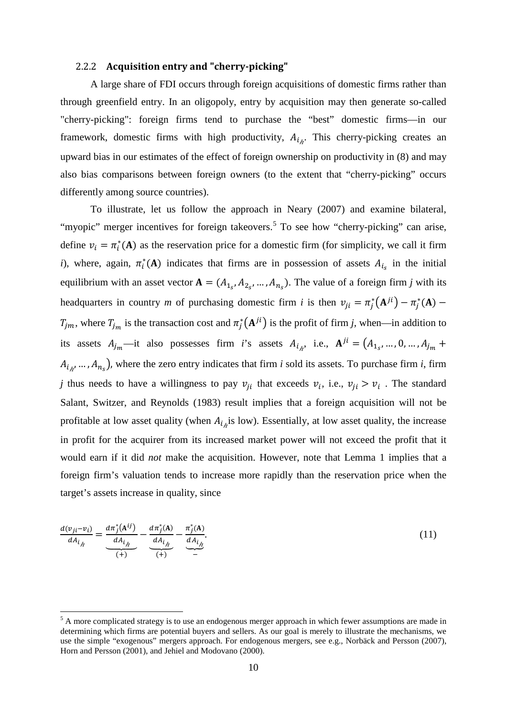## 2.2.2 **Acquisition entry and "cherry-picking"**

A large share of FDI occurs through foreign acquisitions of domestic firms rather than through greenfield entry. In an oligopoly, entry by acquisition may then generate so-called "cherry-picking": foreign firms tend to purchase the "best" domestic firms—in our framework, domestic firms with high productivity,  $A_{i,h}$ . This cherry-picking creates an upward bias in our estimates of the effect of foreign ownership on productivity in (8) and may also bias comparisons between foreign owners (to the extent that "cherry-picking" occurs differently among source countries).

To illustrate, let us follow the approach in Neary (2007) and examine bilateral, "myopic" merger incentives for foreign takeovers.<sup>[5](#page-10-0)</sup> To see how "cherry-picking" can arise, define  $v_i = \pi_i^*(A)$  as the reservation price for a domestic firm (for simplicity, we call it firm *i*), where, again,  $\pi_i^*(A)$  indicates that firms are in possession of assets  $A_{i_s}$  in the initial equilibrium with an asset vector  $\mathbf{A} = (A_{1,1}, A_{2,1}, \dots, A_{n,n})$ . The value of a foreign firm *j* with its headquarters in country *m* of purchasing domestic firm *i* is then  $v_{ji} = \pi_j^*(A^{ji}) - \pi_j^*(A)$  $T_{jm}$ , where  $T_{j_m}$  is the transaction cost and  $\pi_j^*(\mathbf{A}^{ji})$  is the profit of firm *j*, when—in addition to its assets  $A_{j_m}$ —it also possesses firm *i*'s assets  $A_{i_n}$ , i.e.,  $A^{j_l} = (A_{1_s}, ..., 0, ..., A_{j_m} +$  $A_{i_{1}},...,A_{n_{s}}$ , where the zero entry indicates that firm *i* sold its assets. To purchase firm *i*, firm *j* thus needs to have a willingness to pay  $v_{ji}$  that exceeds  $v_i$ , i.e.,  $v_{ji} > v_i$ . The standard Salant, Switzer, and Reynolds (1983) result implies that a foreign acquisition will not be profitable at low asset quality (when  $A_{i}$  is low). Essentially, at low asset quality, the increase in profit for the acquirer from its increased market power will not exceed the profit that it would earn if it did *not* make the acquisition. However, note that Lemma 1 implies that a foreign firm's valuation tends to increase more rapidly than the reservation price when the target's assets increase in quality, since

$$
\frac{d(v_{ji}-v_i)}{dA_{i}} = \underbrace{\frac{d\pi_j^*(\mathbf{A}^{ij})}{dA_{i}}}_{(+)} - \underbrace{\frac{d\pi_j^*(\mathbf{A})}{dA_{i}}}_{(+)} - \underbrace{\frac{\pi_j^*(\mathbf{A})}{dA_{i}}}_{-}.
$$
\n(11)

<span id="page-10-0"></span><sup>&</sup>lt;sup>5</sup> A more complicated strategy is to use an endogenous merger approach in which fewer assumptions are made in determining which firms are potential buyers and sellers. As our goal is merely to illustrate the mechanisms, we use the simple "exogenous" mergers approach. For endogenous mergers, see e.g., Norbäck and Persson (2007), Horn and Persson (2001), and Jehiel and Modovano (2000).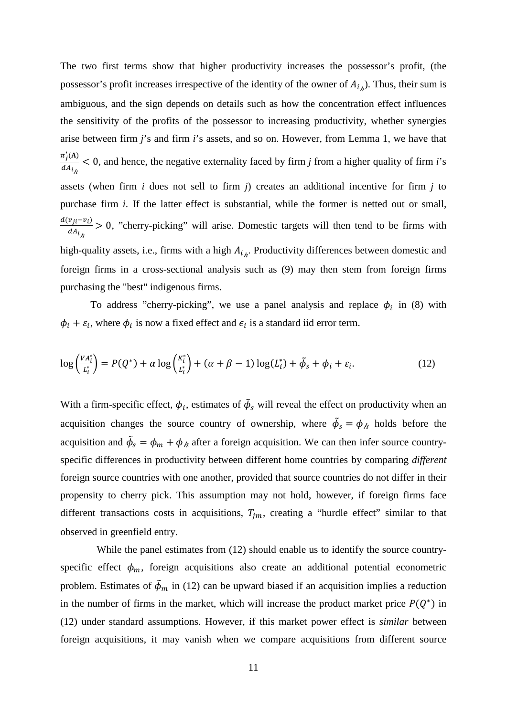The two first terms show that higher productivity increases the possessor's profit, (the possessor's profit increases irrespective of the identity of the owner of  $A_{i}$ ). Thus, their sum is ambiguous, and the sign depends on details such as how the concentration effect influences the sensitivity of the profits of the possessor to increasing productivity, whether synergies arise between firm *j*'s and firm *i*'s assets, and so on. However, from Lemma 1, we have that  $\pi_j^*(\mathbf{A})$  $\frac{dI(x)}{dA_i}$  < 0, and hence, the negative externality faced by firm *j* from a higher quality of firm *i*'s assets (when firm *i* does not sell to firm *j*) creates an additional incentive for firm *j* to purchase firm *i*. If the latter effect is substantial, while the former is netted out or small,  $a(v_{ji}-v_i)$  $\frac{\partial f(x)}{\partial A_i} > 0$ , "cherry-picking" will arise. Domestic targets will then tend to be firms with high-quality assets, i.e., firms with a high  $A_{i,j}$ . Productivity differences between domestic and foreign firms in a cross-sectional analysis such as (9) may then stem from foreign firms purchasing the "best" indigenous firms.

To address "cherry-picking", we use a panel analysis and replace  $\phi_i$  in (8) with  $\phi_i + \varepsilon_i$ , where  $\phi_i$  is now a fixed effect and  $\epsilon_i$  is a standard iid error term.

$$
\log\left(\frac{VA_i^*}{L_i^*}\right) = P(Q^*) + \alpha \log\left(\frac{K_i^*}{L_i^*}\right) + (\alpha + \beta - 1) \log(L_i^*) + \tilde{\phi}_s + \phi_i + \varepsilon_i.
$$
 (12)

With a firm-specific effect,  $\phi_i$ , estimates of  $\dot{\phi}_s$  will reveal the effect on productivity when an acquisition changes the source country of ownership, where  $\dot{\phi}_s = \phi_h$  holds before the acquisition and  $\dot{\phi}_s = \phi_m + \phi_h$  after a foreign acquisition. We can then infer source countryspecific differences in productivity between different home countries by comparing *different* foreign source countries with one another, provided that source countries do not differ in their propensity to cherry pick. This assumption may not hold, however, if foreign firms face different transactions costs in acquisitions,  $T_{jm}$ , creating a "hurdle effect" similar to that observed in greenfield entry.

While the panel estimates from  $(12)$  should enable us to identify the source countryspecific effect  $\phi_m$ , foreign acquisitions also create an additional potential econometric problem. Estimates of  $\phi_m$  in (12) can be upward biased if an acquisition implies a reduction in the number of firms in the market, which will increase the product market price  $P(Q^*)$  in (12) under standard assumptions. However, if this market power effect is *similar* between foreign acquisitions, it may vanish when we compare acquisitions from different source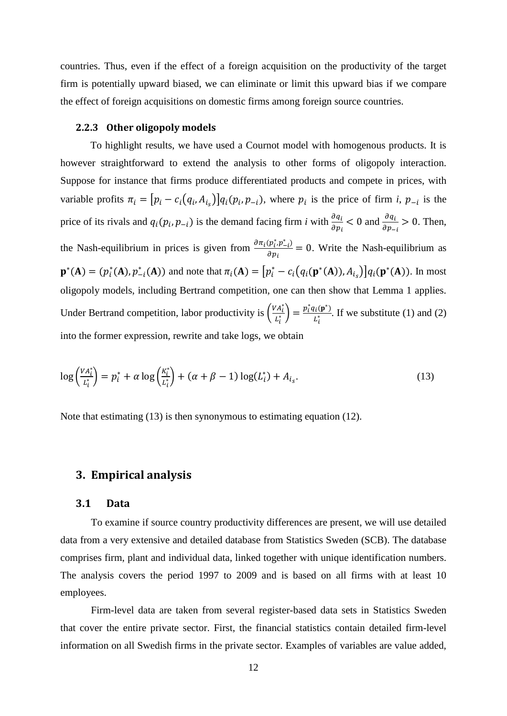countries. Thus, even if the effect of a foreign acquisition on the productivity of the target firm is potentially upward biased, we can eliminate or limit this upward bias if we compare the effect of foreign acquisitions on domestic firms among foreign source countries.

#### **2.2.3 Other oligopoly models**

To highlight results, we have used a Cournot model with homogenous products. It is however straightforward to extend the analysis to other forms of oligopoly interaction. Suppose for instance that firms produce differentiated products and compete in prices, with variable profits  $\pi_i = [p_i - c_i(q_i, A_{i_s})]q_i(p_i, p_{-i})$ , where  $p_i$  is the price of firm *i*,  $p_{-i}$  is the price of its rivals and  $q_i(p_i, p_{-i})$  is the demand facing firm *i* with  $\frac{\partial q_i}{\partial p_i} < 0$  and  $\frac{\partial q_i}{\partial p_{-i}} > 0$ . Then, the Nash-equilibrium in prices is given from  $\frac{\partial \pi_i(p_i^*, p_{-i}^*)}{\partial x_i}$  $\frac{\partial P_i P_i}{\partial p_i} = 0$ . Write the Nash-equilibrium as  $\mathbf{p}^*(\mathbf{A}) = (p_i^*(\mathbf{A}), p_{-i}^*(\mathbf{A}))$  and note that  $\pi_i(\mathbf{A}) = [p_i^* - c_i(q_i(\mathbf{p}^*(\mathbf{A})), A_{i_s})]q_i(\mathbf{p}^*(\mathbf{A})).$  In most oligopoly models, including Bertrand competition, one can then show that Lemma 1 applies. Under Bertrand competition, labor productivity is  $\left(\frac{VA_i^*}{L^*}\right)$  $\left( \frac{v_{i}^{*}A_{i}^{*}}{L_{i}^{*}}\right) =\frac{p_{i}^{*}q_{i}(\mathbf{p}^{*})}{L_{i}^{*}}$  $\frac{t_i(\mathbf{p})}{L_i^*}$ . If we substitute (1) and (2) into the former expression, rewrite and take logs, we obtain

$$
\log\left(\frac{VA_i^*}{L_i^*}\right) = p_i^* + \alpha \log\left(\frac{R_i^*}{L_i^*}\right) + (\alpha + \beta - 1) \log(L_i^*) + A_{i_s}.
$$
\n(13)

Note that estimating (13) is then synonymous to estimating equation (12).

## **3. Empirical analysis**

#### **3.1 Data**

To examine if source country productivity differences are present, we will use detailed data from a very extensive and detailed database from Statistics Sweden (SCB). The database comprises firm, plant and individual data, linked together with unique identification numbers. The analysis covers the period 1997 to 2009 and is based on all firms with at least 10 employees.

Firm-level data are taken from several register-based data sets in Statistics Sweden that cover the entire private sector. First, the financial statistics contain detailed firm-level information on all Swedish firms in the private sector. Examples of variables are value added,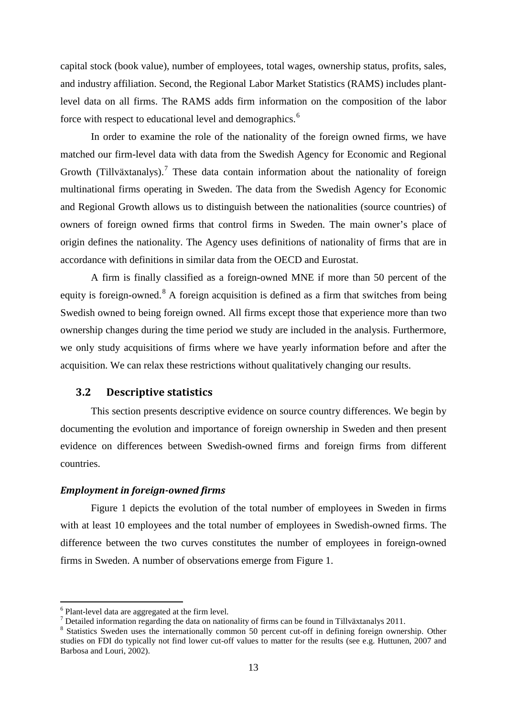capital stock (book value), number of employees, total wages, ownership status, profits, sales, and industry affiliation. Second, the Regional Labor Market Statistics (RAMS) includes plantlevel data on all firms. The RAMS adds firm information on the composition of the labor force with respect to educational level and demographics.<sup>[6](#page-13-0)</sup>

In order to examine the role of the nationality of the foreign owned firms, we have matched our firm-level data with data from the Swedish Agency for Economic and Regional Growth (Tillväxtanalys).<sup>[7](#page-13-1)</sup> These data contain information about the nationality of foreign multinational firms operating in Sweden. The data from the Swedish Agency for Economic and Regional Growth allows us to distinguish between the nationalities (source countries) of owners of foreign owned firms that control firms in Sweden. The main owner's place of origin defines the nationality. The Agency uses definitions of nationality of firms that are in accordance with definitions in similar data from the OECD and Eurostat.

A firm is finally classified as a foreign-owned MNE if more than 50 percent of the equity is foreign-owned.<sup>[8](#page-13-2)</sup> A foreign acquisition is defined as a firm that switches from being Swedish owned to being foreign owned. All firms except those that experience more than two ownership changes during the time period we study are included in the analysis. Furthermore, we only study acquisitions of firms where we have yearly information before and after the acquisition. We can relax these restrictions without qualitatively changing our results.

## **3.2 Descriptive statistics**

This section presents descriptive evidence on source country differences. We begin by documenting the evolution and importance of foreign ownership in Sweden and then present evidence on differences between Swedish-owned firms and foreign firms from different countries.

## *Employment in foreign-owned firms*

Figure 1 depicts the evolution of the total number of employees in Sweden in firms with at least 10 employees and the total number of employees in Swedish-owned firms. The difference between the two curves constitutes the number of employees in foreign-owned firms in Sweden. A number of observations emerge from Figure 1.

<span id="page-13-0"></span> $<sup>6</sup>$  Plant-level data are aggregated at the firm level.</sup>

<span id="page-13-1"></span> $\frac{7}{8}$  Detailed information regarding the data on nationality of firms can be found in Tillväxtanalys 2011.<br><sup>8</sup> Statistics Sweden uses the internationally common 50 percent cut-off in defining foreign ownership. Other

<span id="page-13-2"></span>studies on FDI do typically not find lower cut-off values to matter for the results (see e.g. Huttunen, 2007 and Barbosa and Louri, 2002).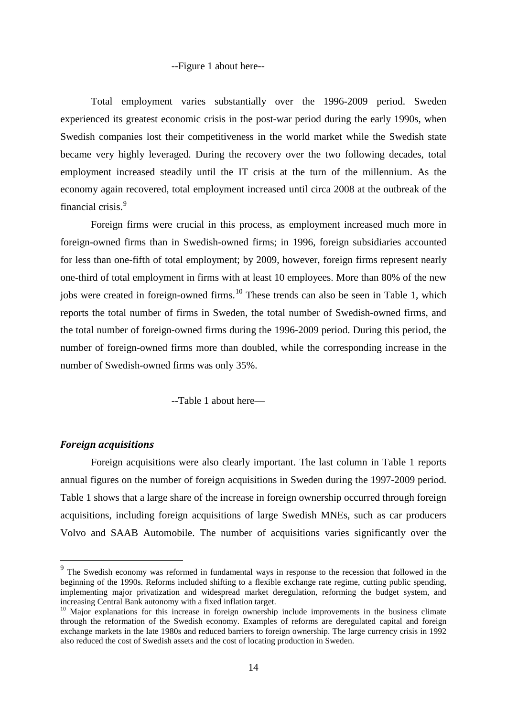#### --Figure 1 about here--

Total employment varies substantially over the 1996-2009 period. Sweden experienced its greatest economic crisis in the post-war period during the early 1990s, when Swedish companies lost their competitiveness in the world market while the Swedish state became very highly leveraged. During the recovery over the two following decades, total employment increased steadily until the IT crisis at the turn of the millennium. As the economy again recovered, total employment increased until circa 2008 at the outbreak of the financial crisis.[9](#page-14-0)

Foreign firms were crucial in this process, as employment increased much more in foreign-owned firms than in Swedish-owned firms; in 1996, foreign subsidiaries accounted for less than one-fifth of total employment; by 2009, however, foreign firms represent nearly one-third of total employment in firms with at least 10 employees. More than 80% of the new jobs were created in foreign-owned firms.<sup>[10](#page-14-1)</sup> These trends can also be seen in Table 1, which reports the total number of firms in Sweden, the total number of Swedish-owned firms, and the total number of foreign-owned firms during the 1996-2009 period. During this period, the number of foreign-owned firms more than doubled, while the corresponding increase in the number of Swedish-owned firms was only 35%.

--Table 1 about here—

## *Foreign acquisitions*

-

Foreign acquisitions were also clearly important. The last column in Table 1 reports annual figures on the number of foreign acquisitions in Sweden during the 1997-2009 period. Table 1 shows that a large share of the increase in foreign ownership occurred through foreign acquisitions, including foreign acquisitions of large Swedish MNEs, such as car producers Volvo and SAAB Automobile. The number of acquisitions varies significantly over the

<span id="page-14-0"></span><sup>&</sup>lt;sup>9</sup> The Swedish economy was reformed in fundamental ways in response to the recession that followed in the beginning of the 1990s. Reforms included shifting to a flexible exchange rate regime, cutting public spending, implementing major privatization and widespread market deregulation, reforming the budget system, and increasing Central Bank autonomy with a fixed inflation target.

<span id="page-14-1"></span><sup>&</sup>lt;sup>10</sup> Major explanations for this increase in foreign ownership include improvements in the business climate through the reformation of the Swedish economy. Examples of reforms are deregulated capital and foreign exchange markets in the late 1980s and reduced barriers to foreign ownership. The large currency crisis in 1992 also reduced the cost of Swedish assets and the cost of locating production in Sweden.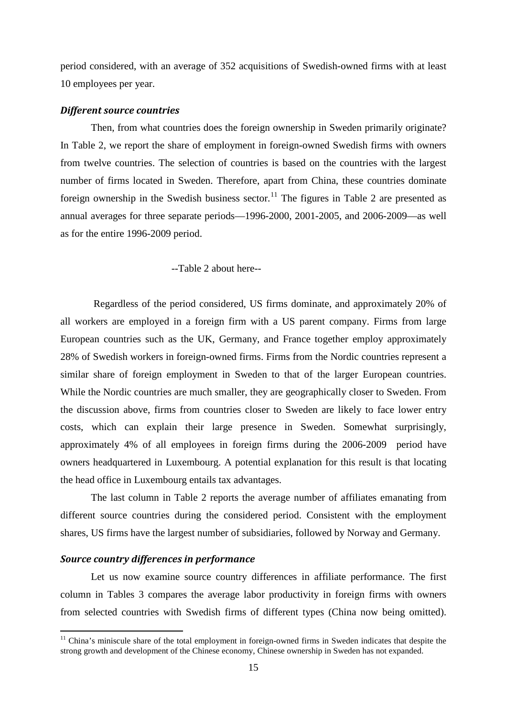period considered, with an average of 352 acquisitions of Swedish-owned firms with at least 10 employees per year.

#### *Different source countries*

Then, from what countries does the foreign ownership in Sweden primarily originate? In Table 2, we report the share of employment in foreign-owned Swedish firms with owners from twelve countries. The selection of countries is based on the countries with the largest number of firms located in Sweden. Therefore, apart from China, these countries dominate foreign ownership in the Swedish business sector.<sup>[11](#page-15-0)</sup> The figures in Table 2 are presented as annual averages for three separate periods—1996-2000, 2001-2005, and 2006-2009—as well as for the entire 1996-2009 period.

#### --Table 2 about here--

 Regardless of the period considered, US firms dominate, and approximately 20% of all workers are employed in a foreign firm with a US parent company. Firms from large European countries such as the UK, Germany, and France together employ approximately 28% of Swedish workers in foreign-owned firms. Firms from the Nordic countries represent a similar share of foreign employment in Sweden to that of the larger European countries. While the Nordic countries are much smaller, they are geographically closer to Sweden. From the discussion above, firms from countries closer to Sweden are likely to face lower entry costs, which can explain their large presence in Sweden. Somewhat surprisingly, approximately 4% of all employees in foreign firms during the 2006-2009 period have owners headquartered in Luxembourg. A potential explanation for this result is that locating the head office in Luxembourg entails tax advantages.

The last column in Table 2 reports the average number of affiliates emanating from different source countries during the considered period. Consistent with the employment shares, US firms have the largest number of subsidiaries, followed by Norway and Germany.

#### *Source country differences in performance*

-

Let us now examine source country differences in affiliate performance. The first column in Tables 3 compares the average labor productivity in foreign firms with owners from selected countries with Swedish firms of different types (China now being omitted).

<span id="page-15-0"></span><sup>&</sup>lt;sup>11</sup> China's miniscule share of the total employment in foreign-owned firms in Sweden indicates that despite the strong growth and development of the Chinese economy, Chinese ownership in Sweden has not expanded.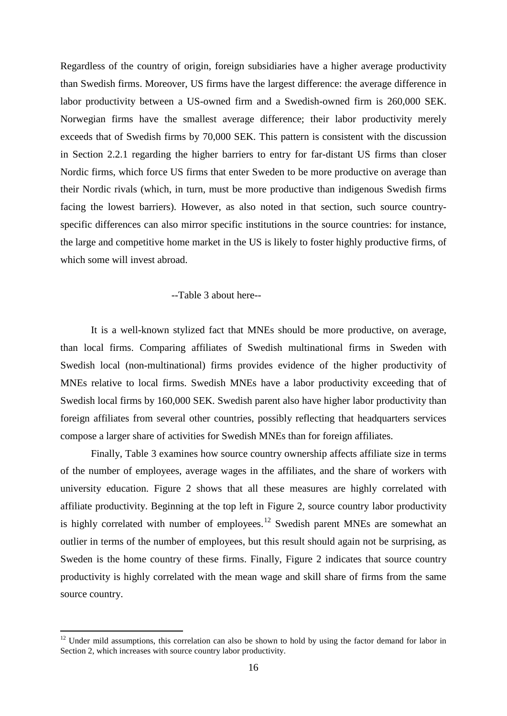Regardless of the country of origin, foreign subsidiaries have a higher average productivity than Swedish firms. Moreover, US firms have the largest difference: the average difference in labor productivity between a US-owned firm and a Swedish-owned firm is 260,000 SEK. Norwegian firms have the smallest average difference; their labor productivity merely exceeds that of Swedish firms by 70,000 SEK. This pattern is consistent with the discussion in Section 2.2.1 regarding the higher barriers to entry for far-distant US firms than closer Nordic firms, which force US firms that enter Sweden to be more productive on average than their Nordic rivals (which, in turn, must be more productive than indigenous Swedish firms facing the lowest barriers). However, as also noted in that section, such source countryspecific differences can also mirror specific institutions in the source countries: for instance, the large and competitive home market in the US is likely to foster highly productive firms, of which some will invest abroad.

### --Table 3 about here--

It is a well-known stylized fact that MNEs should be more productive, on average, than local firms. Comparing affiliates of Swedish multinational firms in Sweden with Swedish local (non-multinational) firms provides evidence of the higher productivity of MNEs relative to local firms. Swedish MNEs have a labor productivity exceeding that of Swedish local firms by 160,000 SEK. Swedish parent also have higher labor productivity than foreign affiliates from several other countries, possibly reflecting that headquarters services compose a larger share of activities for Swedish MNEs than for foreign affiliates.

Finally, Table 3 examines how source country ownership affects affiliate size in terms of the number of employees, average wages in the affiliates, and the share of workers with university education. Figure 2 shows that all these measures are highly correlated with affiliate productivity. Beginning at the top left in Figure 2, source country labor productivity is highly correlated with number of employees.<sup>[12](#page-16-0)</sup> Swedish parent MNEs are somewhat an outlier in terms of the number of employees, but this result should again not be surprising, as Sweden is the home country of these firms. Finally, Figure 2 indicates that source country productivity is highly correlated with the mean wage and skill share of firms from the same source country.

<span id="page-16-0"></span><sup>&</sup>lt;sup>12</sup> Under mild assumptions, this correlation can also be shown to hold by using the factor demand for labor in Section 2, which increases with source country labor productivity.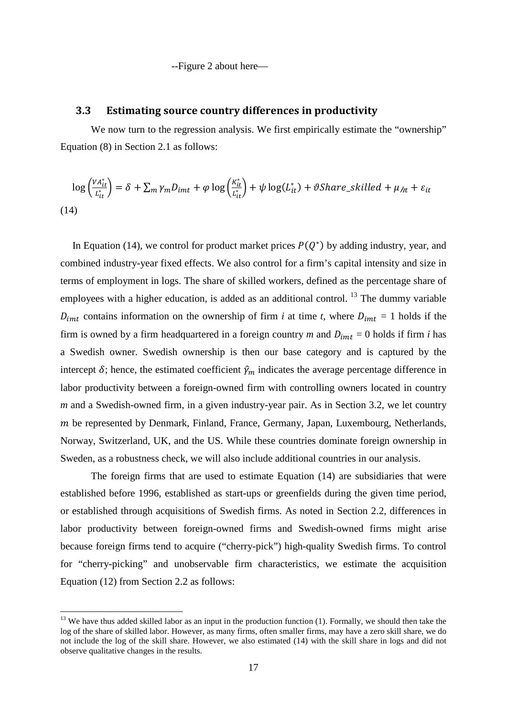--Figure 2 about here—

### **3.3 Estimating source country differences in productivity**

We now turn to the regression analysis. We first empirically estimate the "ownership" Equation (8) in Section 2.1 as follows:

$$
\log\left(\frac{VA_{it}^*}{L_{it}^*}\right) = \delta + \sum_m \gamma_m D_{imt} + \varphi \log\left(\frac{R_{it}^*}{L_{it}^*}\right) + \psi \log(L_{it}^*) + \vartheta Share\_skilled + \mu_{ht} + \varepsilon_{it}
$$
\n(14)

In Equation (14), we control for product market prices  $P(Q^*)$  by adding industry, year, and combined industry-year fixed effects. We also control for a firm's capital intensity and size in terms of employment in logs. The share of skilled workers, defined as the percentage share of employees with a higher education, is added as an additional control.<sup>[13](#page-17-0)</sup> The dummy variable  $D_{imt}$  contains information on the ownership of firm *i* at time *t*, where  $D_{imt} = 1$  holds if the firm is owned by a firm headquartered in a foreign country *m* and  $D_{imt} = 0$  holds if firm *i* has a Swedish owner. Swedish ownership is then our base category and is captured by the intercept  $\delta$ ; hence, the estimated coefficient  $\hat{\gamma}_m$  indicates the average percentage difference in labor productivity between a foreign-owned firm with controlling owners located in country *m* and a Swedish-owned firm, in a given industry-year pair. As in Section 3.2, we let country  $m$  be represented by Denmark, Finland, France, Germany, Japan, Luxembourg, Netherlands, Norway, Switzerland, UK, and the US. While these countries dominate foreign ownership in Sweden, as a robustness check, we will also include additional countries in our analysis.

The foreign firms that are used to estimate Equation (14) are subsidiaries that were established before 1996, established as start-ups or greenfields during the given time period, or established through acquisitions of Swedish firms. As noted in Section 2.2, differences in labor productivity between foreign-owned firms and Swedish-owned firms might arise because foreign firms tend to acquire ("cherry-pick") high-quality Swedish firms. To control for "cherry-picking" and unobservable firm characteristics, we estimate the acquisition Equation (12) from Section 2.2 as follows:

<span id="page-17-0"></span> $13$  We have thus added skilled labor as an input in the production function (1). Formally, we should then take the log of the share of skilled labor. However, as many firms, often smaller firms, may have a zero skill share, we do not include the log of the skill share. However, we also estimated (14) with the skill share in logs and did not observe qualitative changes in the results.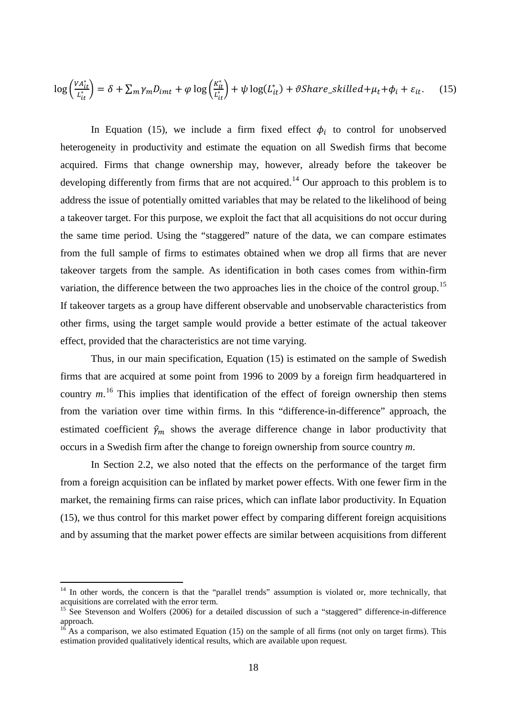$$
\log\left(\frac{VA_{it}^*}{L_{it}^*}\right) = \delta + \sum_m \gamma_m D_{imt} + \varphi \log\left(\frac{R_{it}^*}{L_{it}^*}\right) + \psi \log(L_{it}^*) + \vartheta \text{Share\_skilled} + \mu_t + \phi_i + \varepsilon_{it}.\tag{15}
$$

In Equation (15), we include a firm fixed effect  $\phi_i$  to control for unobserved heterogeneity in productivity and estimate the equation on all Swedish firms that become acquired. Firms that change ownership may, however, already before the takeover be developing differently from firms that are not acquired.<sup>[14](#page-18-0)</sup> Our approach to this problem is to address the issue of potentially omitted variables that may be related to the likelihood of being a takeover target. For this purpose, we exploit the fact that all acquisitions do not occur during the same time period. Using the "staggered" nature of the data, we can compare estimates from the full sample of firms to estimates obtained when we drop all firms that are never takeover targets from the sample. As identification in both cases comes from within-firm variation, the difference between the two approaches lies in the choice of the control group.<sup>[15](#page-18-1)</sup> If takeover targets as a group have different observable and unobservable characteristics from other firms, using the target sample would provide a better estimate of the actual takeover effect, provided that the characteristics are not time varying.

Thus, in our main specification, Equation (15) is estimated on the sample of Swedish firms that are acquired at some point from 1996 to 2009 by a foreign firm headquartered in country m.<sup>[16](#page-18-2)</sup> This implies that identification of the effect of foreign ownership then stems from the variation over time within firms. In this "difference-in-difference" approach, the estimated coefficient  $\hat{\gamma}_m$  shows the average difference change in labor productivity that occurs in a Swedish firm after the change to foreign ownership from source country *m*.

In Section 2.2, we also noted that the effects on the performance of the target firm from a foreign acquisition can be inflated by market power effects. With one fewer firm in the market, the remaining firms can raise prices, which can inflate labor productivity. In Equation (15), we thus control for this market power effect by comparing different foreign acquisitions and by assuming that the market power effects are similar between acquisitions from different

<span id="page-18-0"></span><sup>&</sup>lt;sup>14</sup> In other words, the concern is that the "parallel trends" assumption is violated or, more technically, that acquisitions are correlated with the error term.

<span id="page-18-1"></span><sup>&</sup>lt;sup>15</sup> See Stevenson and Wolfers (2006) for a detailed discussion of such a "staggered" difference-in-difference approach.

<span id="page-18-2"></span>As a comparison, we also estimated Equation (15) on the sample of all firms (not only on target firms). This estimation provided qualitatively identical results, which are available upon request.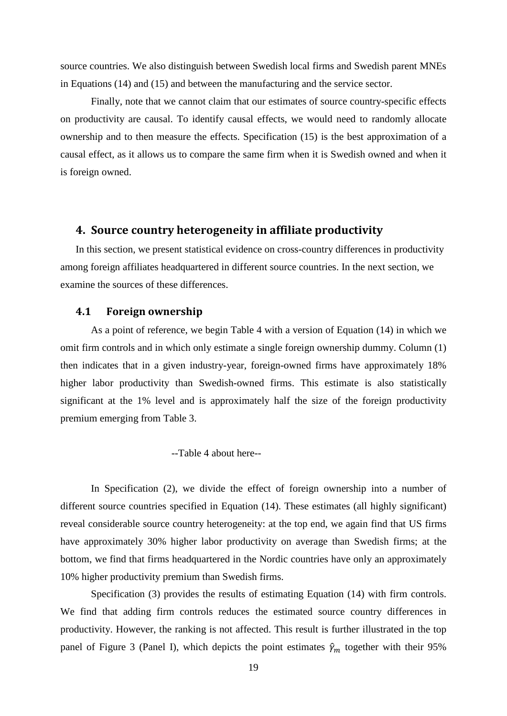source countries. We also distinguish between Swedish local firms and Swedish parent MNEs in Equations (14) and (15) and between the manufacturing and the service sector.

Finally, note that we cannot claim that our estimates of source country-specific effects on productivity are causal. To identify causal effects, we would need to randomly allocate ownership and to then measure the effects. Specification (15) is the best approximation of a causal effect, as it allows us to compare the same firm when it is Swedish owned and when it is foreign owned.

## **4. Source country heterogeneity in affiliate productivity**

In this section, we present statistical evidence on cross-country differences in productivity among foreign affiliates headquartered in different source countries. In the next section, we examine the sources of these differences.

## **4.1 Foreign ownership**

As a point of reference, we begin Table 4 with a version of Equation (14) in which we omit firm controls and in which only estimate a single foreign ownership dummy. Column (1) then indicates that in a given industry-year, foreign-owned firms have approximately 18% higher labor productivity than Swedish-owned firms. This estimate is also statistically significant at the 1% level and is approximately half the size of the foreign productivity premium emerging from Table 3.

## --Table 4 about here--

In Specification (2), we divide the effect of foreign ownership into a number of different source countries specified in Equation (14). These estimates (all highly significant) reveal considerable source country heterogeneity: at the top end, we again find that US firms have approximately 30% higher labor productivity on average than Swedish firms; at the bottom, we find that firms headquartered in the Nordic countries have only an approximately 10% higher productivity premium than Swedish firms.

Specification (3) provides the results of estimating Equation (14) with firm controls. We find that adding firm controls reduces the estimated source country differences in productivity. However, the ranking is not affected. This result is further illustrated in the top panel of Figure 3 (Panel I), which depicts the point estimates  $\hat{\gamma}_m$  together with their 95%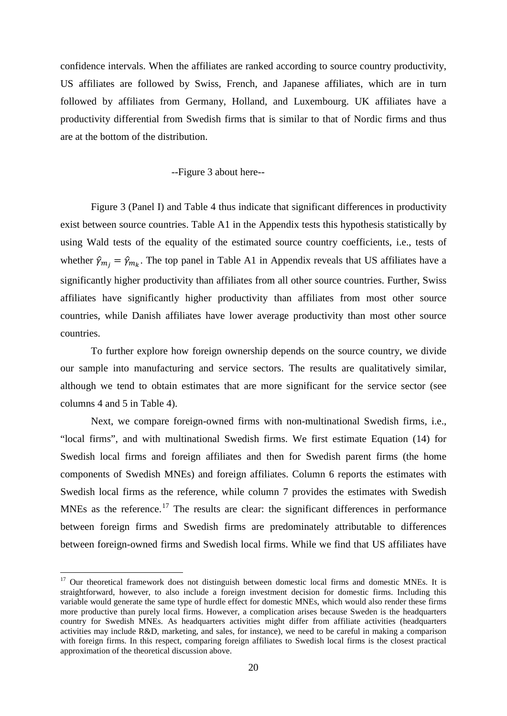confidence intervals. When the affiliates are ranked according to source country productivity, US affiliates are followed by Swiss, French, and Japanese affiliates, which are in turn followed by affiliates from Germany, Holland, and Luxembourg. UK affiliates have a productivity differential from Swedish firms that is similar to that of Nordic firms and thus are at the bottom of the distribution.

#### --Figure 3 about here--

Figure 3 (Panel I) and Table 4 thus indicate that significant differences in productivity exist between source countries. Table A1 in the Appendix tests this hypothesis statistically by using Wald tests of the equality of the estimated source country coefficients, i.e., tests of whether  $\hat{\gamma}_{m_i} = \hat{\gamma}_{m_k}$ . The top panel in Table A1 in Appendix reveals that US affiliates have a significantly higher productivity than affiliates from all other source countries. Further, Swiss affiliates have significantly higher productivity than affiliates from most other source countries, while Danish affiliates have lower average productivity than most other source countries.

To further explore how foreign ownership depends on the source country, we divide our sample into manufacturing and service sectors. The results are qualitatively similar, although we tend to obtain estimates that are more significant for the service sector (see columns 4 and 5 in Table 4).

Next, we compare foreign-owned firms with non-multinational Swedish firms, i.e., "local firms", and with multinational Swedish firms. We first estimate Equation (14) for Swedish local firms and foreign affiliates and then for Swedish parent firms (the home components of Swedish MNEs) and foreign affiliates. Column 6 reports the estimates with Swedish local firms as the reference, while column 7 provides the estimates with Swedish MNEs as the reference.<sup>[17](#page-20-0)</sup> The results are clear: the significant differences in performance between foreign firms and Swedish firms are predominately attributable to differences between foreign-owned firms and Swedish local firms. While we find that US affiliates have

<span id="page-20-0"></span><sup>&</sup>lt;sup>17</sup> Our theoretical framework does not distinguish between domestic local firms and domestic MNEs. It is straightforward, however, to also include a foreign investment decision for domestic firms. Including this variable would generate the same type of hurdle effect for domestic MNEs, which would also render these firms more productive than purely local firms. However, a complication arises because Sweden is the headquarters country for Swedish MNEs. As headquarters activities might differ from affiliate activities (headquarters activities may include R&D, marketing, and sales, for instance), we need to be careful in making a comparison with foreign firms. In this respect, comparing foreign affiliates to Swedish local firms is the closest practical approximation of the theoretical discussion above.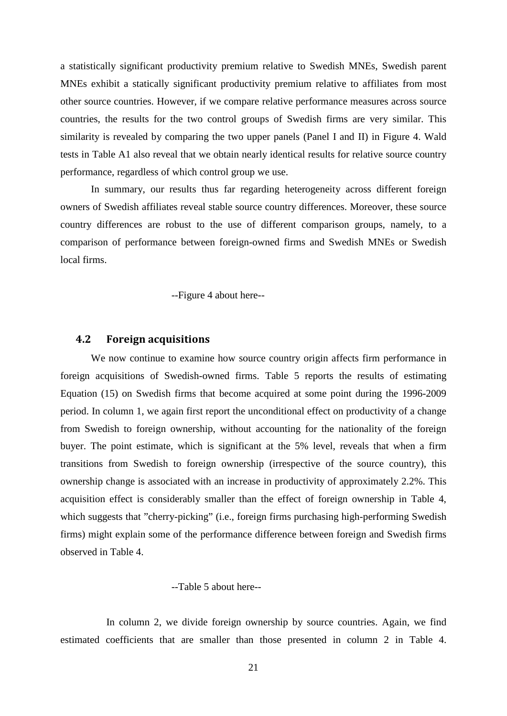a statistically significant productivity premium relative to Swedish MNEs, Swedish parent MNEs exhibit a statically significant productivity premium relative to affiliates from most other source countries. However, if we compare relative performance measures across source countries, the results for the two control groups of Swedish firms are very similar. This similarity is revealed by comparing the two upper panels (Panel I and II) in Figure 4. Wald tests in Table A1 also reveal that we obtain nearly identical results for relative source country performance, regardless of which control group we use.

In summary, our results thus far regarding heterogeneity across different foreign owners of Swedish affiliates reveal stable source country differences. Moreover, these source country differences are robust to the use of different comparison groups, namely, to a comparison of performance between foreign-owned firms and Swedish MNEs or Swedish local firms.

--Figure 4 about here--

### **4.2 Foreign acquisitions**

We now continue to examine how source country origin affects firm performance in foreign acquisitions of Swedish-owned firms. Table 5 reports the results of estimating Equation (15) on Swedish firms that become acquired at some point during the 1996-2009 period. In column 1, we again first report the unconditional effect on productivity of a change from Swedish to foreign ownership, without accounting for the nationality of the foreign buyer. The point estimate, which is significant at the 5% level, reveals that when a firm transitions from Swedish to foreign ownership (irrespective of the source country), this ownership change is associated with an increase in productivity of approximately 2.2%. This acquisition effect is considerably smaller than the effect of foreign ownership in Table 4, which suggests that "cherry-picking" (i.e., foreign firms purchasing high-performing Swedish firms) might explain some of the performance difference between foreign and Swedish firms observed in Table 4.

--Table 5 about here--

In column 2, we divide foreign ownership by source countries. Again, we find estimated coefficients that are smaller than those presented in column 2 in Table 4.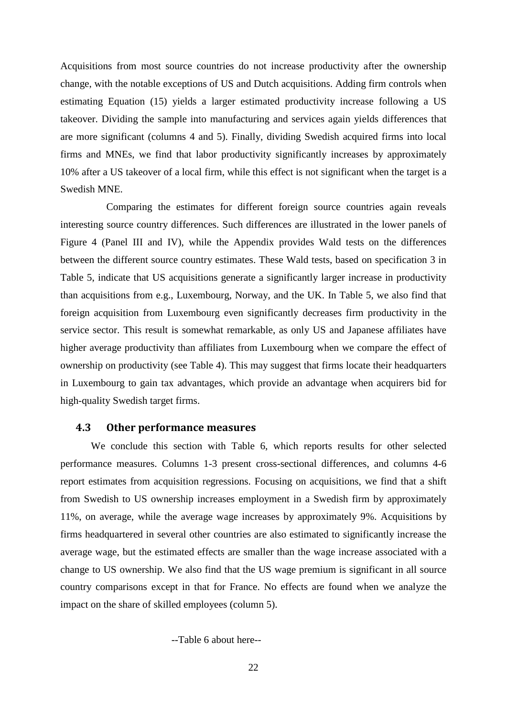Acquisitions from most source countries do not increase productivity after the ownership change, with the notable exceptions of US and Dutch acquisitions. Adding firm controls when estimating Equation (15) yields a larger estimated productivity increase following a US takeover. Dividing the sample into manufacturing and services again yields differences that are more significant (columns 4 and 5). Finally, dividing Swedish acquired firms into local firms and MNEs, we find that labor productivity significantly increases by approximately 10% after a US takeover of a local firm, while this effect is not significant when the target is a Swedish MNE.

Comparing the estimates for different foreign source countries again reveals interesting source country differences. Such differences are illustrated in the lower panels of Figure 4 (Panel III and IV), while the Appendix provides Wald tests on the differences between the different source country estimates. These Wald tests, based on specification 3 in Table 5, indicate that US acquisitions generate a significantly larger increase in productivity than acquisitions from e.g., Luxembourg, Norway, and the UK. In Table 5, we also find that foreign acquisition from Luxembourg even significantly decreases firm productivity in the service sector. This result is somewhat remarkable, as only US and Japanese affiliates have higher average productivity than affiliates from Luxembourg when we compare the effect of ownership on productivity (see Table 4). This may suggest that firms locate their headquarters in Luxembourg to gain tax advantages, which provide an advantage when acquirers bid for high-quality Swedish target firms.

#### **4.3 Other performance measures**

We conclude this section with Table 6, which reports results for other selected performance measures. Columns 1-3 present cross-sectional differences, and columns 4-6 report estimates from acquisition regressions. Focusing on acquisitions, we find that a shift from Swedish to US ownership increases employment in a Swedish firm by approximately 11%, on average, while the average wage increases by approximately 9%. Acquisitions by firms headquartered in several other countries are also estimated to significantly increase the average wage, but the estimated effects are smaller than the wage increase associated with a change to US ownership. We also find that the US wage premium is significant in all source country comparisons except in that for France. No effects are found when we analyze the impact on the share of skilled employees (column 5).

--Table 6 about here--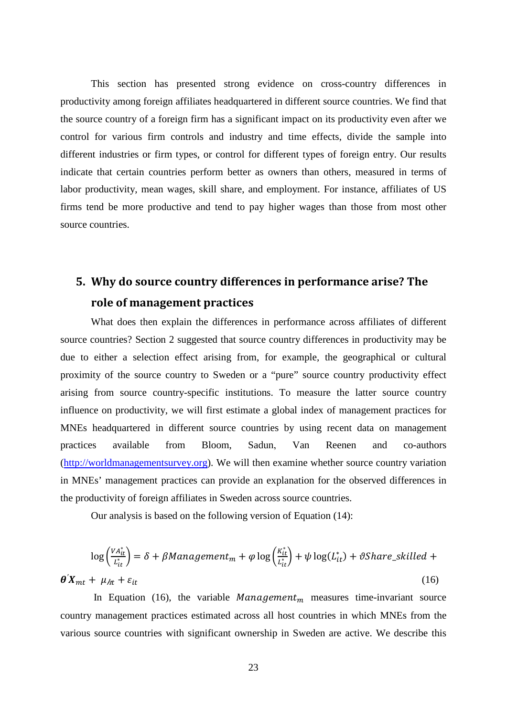This section has presented strong evidence on cross-country differences in productivity among foreign affiliates headquartered in different source countries. We find that the source country of a foreign firm has a significant impact on its productivity even after we control for various firm controls and industry and time effects, divide the sample into different industries or firm types, or control for different types of foreign entry. Our results indicate that certain countries perform better as owners than others, measured in terms of labor productivity, mean wages, skill share, and employment. For instance, affiliates of US firms tend be more productive and tend to pay higher wages than those from most other source countries.

## **5. Why do source country differences in performance arise? The role of management practices**

What does then explain the differences in performance across affiliates of different source countries? Section 2 suggested that source country differences in productivity may be due to either a selection effect arising from, for example, the geographical or cultural proximity of the source country to Sweden or a "pure" source country productivity effect arising from source country-specific institutions. To measure the latter source country influence on productivity, we will first estimate a global index of management practices for MNEs headquartered in different source countries by using recent data on management practices available from Bloom, Sadun, Van Reenen and co-authors [\(http://worldmanagementsurvey.org\)](http://worldmanagementsurvey.org/). We will then examine whether source country variation in MNEs' management practices can provide an explanation for the observed differences in the productivity of foreign affiliates in Sweden across source countries.

Our analysis is based on the following version of Equation (14):

$$
\log\left(\frac{VA_{it}^*}{L_{it}^*}\right) = \delta + \beta Management_m + \varphi \log\left(\frac{K_{it}^*}{L_{it}^*}\right) + \psi \log(L_{it}^*) + \varthetaShare\_skilled + \theta'X_{mt} + \mu_{ht} + \varepsilon_{it}
$$
\n(16)

In Equation (16), the variable  $Management<sub>m</sub>$  measures time-invariant source country management practices estimated across all host countries in which MNEs from the various source countries with significant ownership in Sweden are active. We describe this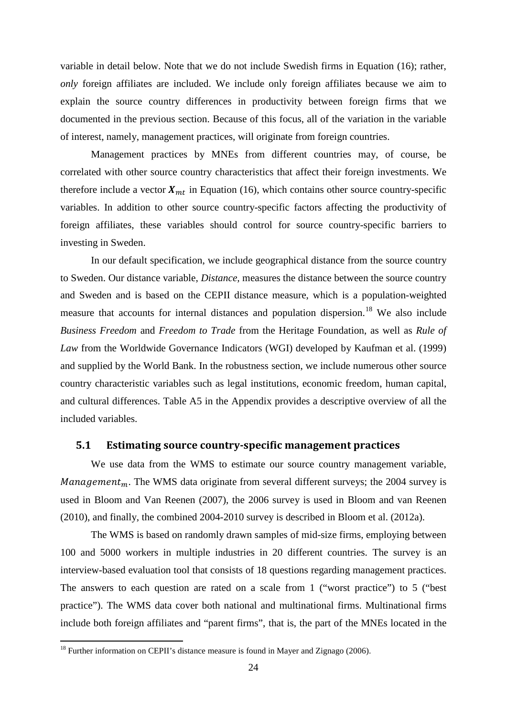variable in detail below. Note that we do not include Swedish firms in Equation (16); rather, *only* foreign affiliates are included. We include only foreign affiliates because we aim to explain the source country differences in productivity between foreign firms that we documented in the previous section. Because of this focus, all of the variation in the variable of interest, namely, management practices, will originate from foreign countries.

Management practices by MNEs from different countries may, of course, be correlated with other source country characteristics that affect their foreign investments. We therefore include a vector  $X_{mt}$  in Equation (16), which contains other source country-specific variables. In addition to other source country-specific factors affecting the productivity of foreign affiliates, these variables should control for source country-specific barriers to investing in Sweden.

In our default specification, we include geographical distance from the source country to Sweden. Our distance variable, *Distance,* measures the distance between the source country and Sweden and is based on the CEPII distance measure, which is a population-weighted measure that accounts for internal distances and population dispersion.<sup>[18](#page-24-0)</sup> We also include *Business Freedom* and *Freedom to Trade* from the Heritage Foundation, as well as *Rule of Law* from the Worldwide Governance Indicators (WGI) developed by Kaufman et al. (1999) and supplied by the World Bank. In the robustness section, we include numerous other source country characteristic variables such as legal institutions, economic freedom, human capital, and cultural differences. Table A5 in the Appendix provides a descriptive overview of all the included variables.

## **5.1 Estimating source country-specific management practices**

We use data from the WMS to estimate our source country management variable, *Management<sub>m</sub>*. The WMS data originate from several different surveys; the 2004 survey is used in Bloom and Van Reenen (2007), the 2006 survey is used in Bloom and van Reenen (2010), and finally, the combined 2004-2010 survey is described in Bloom et al. (2012a).

The WMS is based on randomly drawn samples of mid-size firms, employing between 100 and 5000 workers in multiple industries in 20 different countries. The survey is an interview-based evaluation tool that consists of 18 questions regarding management practices. The answers to each question are rated on a scale from 1 ("worst practice") to 5 ("best practice"). The WMS data cover both national and multinational firms. Multinational firms include both foreign affiliates and "parent firms", that is, the part of the MNEs located in the

<span id="page-24-0"></span> $18$  Further information on CEPII's distance measure is found in Mayer and Zignago (2006).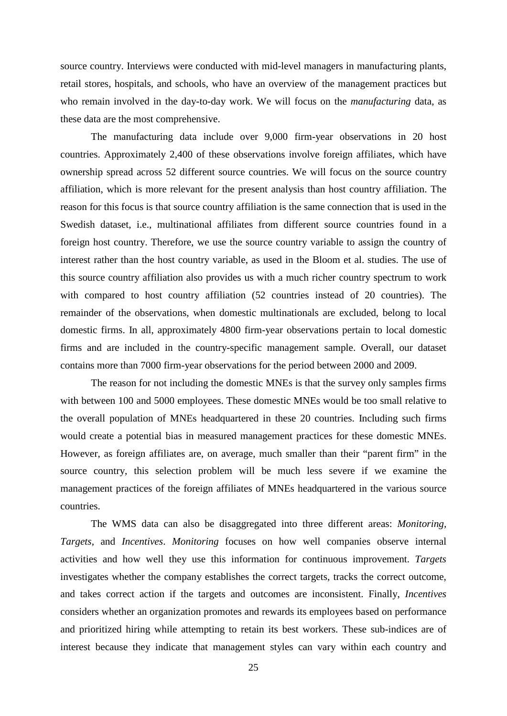source country. Interviews were conducted with mid-level managers in manufacturing plants, retail stores, hospitals, and schools, who have an overview of the management practices but who remain involved in the day-to-day work. We will focus on the *manufacturing* data, as these data are the most comprehensive.

The manufacturing data include over 9,000 firm-year observations in 20 host countries. Approximately 2,400 of these observations involve foreign affiliates, which have ownership spread across 52 different source countries. We will focus on the source country affiliation, which is more relevant for the present analysis than host country affiliation. The reason for this focus is that source country affiliation is the same connection that is used in the Swedish dataset, i.e., multinational affiliates from different source countries found in a foreign host country. Therefore, we use the source country variable to assign the country of interest rather than the host country variable, as used in the Bloom et al. studies. The use of this source country affiliation also provides us with a much richer country spectrum to work with compared to host country affiliation (52 countries instead of 20 countries). The remainder of the observations, when domestic multinationals are excluded, belong to local domestic firms. In all, approximately 4800 firm-year observations pertain to local domestic firms and are included in the country-specific management sample. Overall, our dataset contains more than 7000 firm-year observations for the period between 2000 and 2009.

The reason for not including the domestic MNEs is that the survey only samples firms with between 100 and 5000 employees. These domestic MNEs would be too small relative to the overall population of MNEs headquartered in these 20 countries. Including such firms would create a potential bias in measured management practices for these domestic MNEs. However, as foreign affiliates are, on average, much smaller than their "parent firm" in the source country, this selection problem will be much less severe if we examine the management practices of the foreign affiliates of MNEs headquartered in the various source countries.

The WMS data can also be disaggregated into three different areas: *Monitoring, Targets,* and *Incentives*. *Monitoring* focuses on how well companies observe internal activities and how well they use this information for continuous improvement. *Targets* investigates whether the company establishes the correct targets, tracks the correct outcome, and takes correct action if the targets and outcomes are inconsistent. Finally, *Incentives* considers whether an organization promotes and rewards its employees based on performance and prioritized hiring while attempting to retain its best workers. These sub-indices are of interest because they indicate that management styles can vary within each country and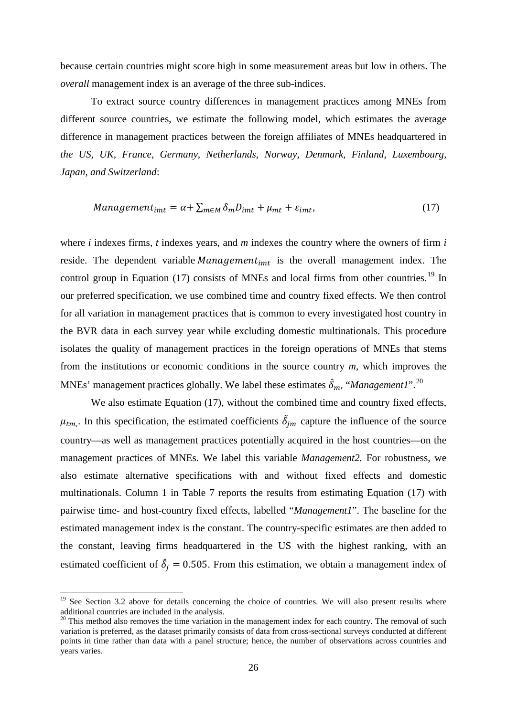because certain countries might score high in some measurement areas but low in others. The *overall* management index is an average of the three sub-indices.

To extract source country differences in management practices among MNEs from different source countries, we estimate the following model, which estimates the average difference in management practices between the foreign affiliates of MNEs headquartered in *the US, UK, France, Germany, Netherlands, Norway, Denmark, Finland, Luxembourg, Japan, and Switzerland*:

$$
Management_{imt} = \alpha + \sum_{m \in M} \delta_m D_{imt} + \mu_{mt} + \varepsilon_{imt}, \qquad (17)
$$

where *i* indexes firms, *t* indexes years, and *m* indexes the country where the owners of firm *i* reside. The dependent variable  $Management_{imt}$  is the overall management index. The control group in Equation (17) consists of MNEs and local firms from other countries.<sup>[19](#page-26-0)</sup> In our preferred specification, we use combined time and country fixed effects. We then control for all variation in management practices that is common to every investigated host country in the BVR data in each survey year while excluding domestic multinationals. This procedure isolates the quality of management practices in the foreign operations of MNEs that stems from the institutions or economic conditions in the source country *m*, which improves the MNEs' management practices globally. We label these estimates  $\hat{\delta}_m$ , "*Management1*".<sup>[20](#page-26-1)</sup>

We also estimate Equation (17), without the combined time and country fixed effects,  $\mu_{tm}$ . In this specification, the estimated coefficients  $\delta_{jm}$  capture the influence of the source country—as well as management practices potentially acquired in the host countries—on the management practices of MNEs. We label this variable *Management2.* For robustness, we also estimate alternative specifications with and without fixed effects and domestic multinationals. Column 1 in Table 7 reports the results from estimating Equation (17) with pairwise time- and host-country fixed effects, labelled "*Management1*". The baseline for the estimated management index is the constant. The country-specific estimates are then added to the constant, leaving firms headquartered in the US with the highest ranking, with an estimated coefficient of  $\delta_j = 0.505$ . From this estimation, we obtain a management index of

1

<span id="page-26-0"></span> $19$  See Section 3.2 above for details concerning the choice of countries. We will also present results where additional countries are included in the analysis.

<span id="page-26-1"></span> $20$  This method also removes the time variation in the management index for each country. The removal of such variation is preferred, as the dataset primarily consists of data from cross-sectional surveys conducted at different points in time rather than data with a panel structure; hence, the number of observations across countries and years varies.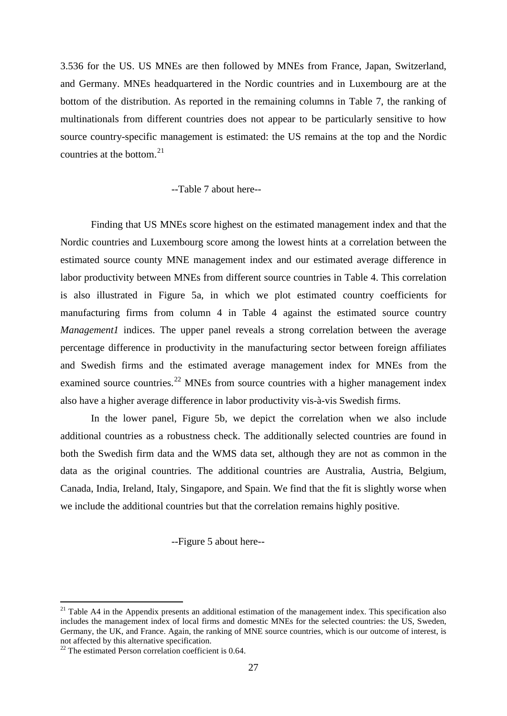3.536 for the US. US MNEs are then followed by MNEs from France, Japan, Switzerland, and Germany. MNEs headquartered in the Nordic countries and in Luxembourg are at the bottom of the distribution. As reported in the remaining columns in Table 7, the ranking of multinationals from different countries does not appear to be particularly sensitive to how source country-specific management is estimated: the US remains at the top and the Nordic countries at the bottom.<sup>[21](#page-27-0)</sup>

#### --Table 7 about here--

Finding that US MNEs score highest on the estimated management index and that the Nordic countries and Luxembourg score among the lowest hints at a correlation between the estimated source county MNE management index and our estimated average difference in labor productivity between MNEs from different source countries in Table 4. This correlation is also illustrated in Figure 5a, in which we plot estimated country coefficients for manufacturing firms from column 4 in Table 4 against the estimated source country *Management1* indices. The upper panel reveals a strong correlation between the average percentage difference in productivity in the manufacturing sector between foreign affiliates and Swedish firms and the estimated average management index for MNEs from the examined source countries.<sup>[22](#page-27-1)</sup> MNEs from source countries with a higher management index also have a higher average difference in labor productivity vis-à-vis Swedish firms.

In the lower panel, Figure 5b, we depict the correlation when we also include additional countries as a robustness check. The additionally selected countries are found in both the Swedish firm data and the WMS data set, although they are not as common in the data as the original countries. The additional countries are Australia, Austria, Belgium, Canada, India, Ireland, Italy, Singapore, and Spain. We find that the fit is slightly worse when we include the additional countries but that the correlation remains highly positive.

--Figure 5 about here--

<span id="page-27-0"></span><sup>&</sup>lt;sup>21</sup> Table A4 in the Appendix presents an additional estimation of the management index. This specification also includes the management index of local firms and domestic MNEs for the selected countries: the US, Sweden, Germany, the UK, and France. Again, the ranking of MNE source countries, which is our outcome of interest, is not affected by this alternative specification.

<span id="page-27-1"></span> $22$  The estimated Person correlation coefficient is 0.64.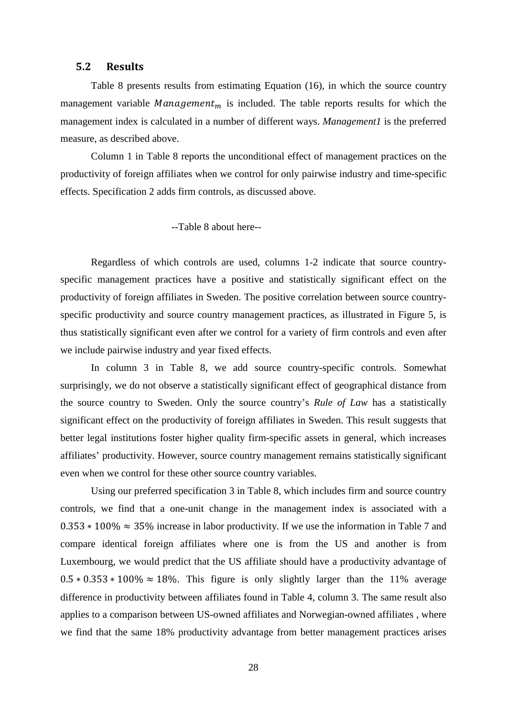## **5.2 Results**

Table 8 presents results from estimating Equation (16), in which the source country management variable *Management<sub>m</sub>* is included. The table reports results for which the management index is calculated in a number of different ways. *Management1* is the preferred measure, as described above.

Column 1 in Table 8 reports the unconditional effect of management practices on the productivity of foreign affiliates when we control for only pairwise industry and time-specific effects. Specification 2 adds firm controls, as discussed above.

#### --Table 8 about here--

Regardless of which controls are used, columns 1-2 indicate that source countryspecific management practices have a positive and statistically significant effect on the productivity of foreign affiliates in Sweden. The positive correlation between source countryspecific productivity and source country management practices, as illustrated in Figure 5, is thus statistically significant even after we control for a variety of firm controls and even after we include pairwise industry and year fixed effects.

In column 3 in Table 8, we add source country-specific controls. Somewhat surprisingly, we do not observe a statistically significant effect of geographical distance from the source country to Sweden. Only the source country's *Rule of Law* has a statistically significant effect on the productivity of foreign affiliates in Sweden. This result suggests that better legal institutions foster higher quality firm-specific assets in general, which increases affiliates' productivity. However, source country management remains statistically significant even when we control for these other source country variables.

Using our preferred specification 3 in Table 8, which includes firm and source country controls, we find that a one-unit change in the management index is associated with a  $0.353 * 100\% \approx 35\%$  increase in labor productivity. If we use the information in Table 7 and compare identical foreign affiliates where one is from the US and another is from Luxembourg, we would predict that the US affiliate should have a productivity advantage of  $0.5 * 0.353 * 100\% \approx 18\%$ . This figure is only slightly larger than the 11% average difference in productivity between affiliates found in Table 4, column 3. The same result also applies to a comparison between US-owned affiliates and Norwegian-owned affiliates , where we find that the same 18% productivity advantage from better management practices arises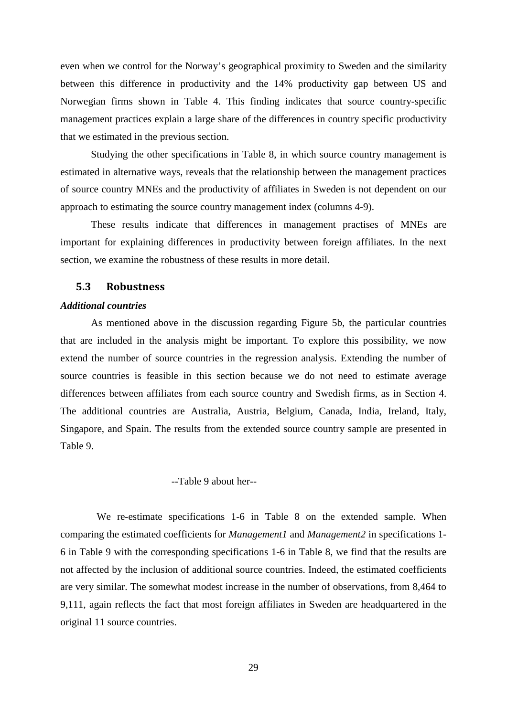even when we control for the Norway's geographical proximity to Sweden and the similarity between this difference in productivity and the 14% productivity gap between US and Norwegian firms shown in Table 4. This finding indicates that source country-specific management practices explain a large share of the differences in country specific productivity that we estimated in the previous section.

Studying the other specifications in Table 8, in which source country management is estimated in alternative ways, reveals that the relationship between the management practices of source country MNEs and the productivity of affiliates in Sweden is not dependent on our approach to estimating the source country management index (columns 4-9).

These results indicate that differences in management practises of MNEs are important for explaining differences in productivity between foreign affiliates. In the next section, we examine the robustness of these results in more detail.

## **5.3 Robustness**

#### *Additional countries*

As mentioned above in the discussion regarding Figure 5b, the particular countries that are included in the analysis might be important. To explore this possibility, we now extend the number of source countries in the regression analysis. Extending the number of source countries is feasible in this section because we do not need to estimate average differences between affiliates from each source country and Swedish firms, as in Section 4. The additional countries are Australia, Austria, Belgium, Canada, India, Ireland, Italy, Singapore, and Spain. The results from the extended source country sample are presented in Table 9.

## --Table 9 about her--

We re-estimate specifications 1-6 in Table 8 on the extended sample. When comparing the estimated coefficients for *Management1* and *Management2* in specifications 1- 6 in Table 9 with the corresponding specifications 1-6 in Table 8, we find that the results are not affected by the inclusion of additional source countries. Indeed, the estimated coefficients are very similar. The somewhat modest increase in the number of observations, from 8,464 to 9,111, again reflects the fact that most foreign affiliates in Sweden are headquartered in the original 11 source countries.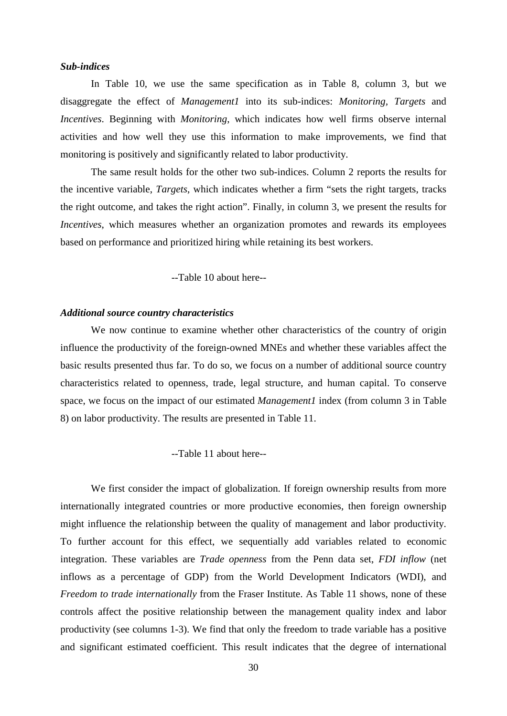#### *Sub-indices*

In Table 10, we use the same specification as in Table 8, column 3, but we disaggregate the effect of *Management1* into its sub-indices: *Monitoring, Targets* and *Incentives*. Beginning with *Monitoring*, which indicates how well firms observe internal activities and how well they use this information to make improvements, we find that monitoring is positively and significantly related to labor productivity.

The same result holds for the other two sub-indices. Column 2 reports the results for the incentive variable, *Targets*, which indicates whether a firm "sets the right targets, tracks the right outcome, and takes the right action". Finally, in column 3, we present the results for *Incentives*, which measures whether an organization promotes and rewards its employees based on performance and prioritized hiring while retaining its best workers.

--Table 10 about here--

#### *Additional source country characteristics*

We now continue to examine whether other characteristics of the country of origin influence the productivity of the foreign-owned MNEs and whether these variables affect the basic results presented thus far. To do so, we focus on a number of additional source country characteristics related to openness, trade, legal structure, and human capital. To conserve space, we focus on the impact of our estimated *Management1* index (from column 3 in Table 8) on labor productivity. The results are presented in Table 11.

#### --Table 11 about here--

We first consider the impact of globalization. If foreign ownership results from more internationally integrated countries or more productive economies, then foreign ownership might influence the relationship between the quality of management and labor productivity. To further account for this effect, we sequentially add variables related to economic integration. These variables are *Trade openness* from the Penn data set, *FDI inflow* (net inflows as a percentage of GDP) from the World Development Indicators (WDI), and *Freedom to trade internationally* from the Fraser Institute. As Table 11 shows, none of these controls affect the positive relationship between the management quality index and labor productivity (see columns 1-3). We find that only the freedom to trade variable has a positive and significant estimated coefficient. This result indicates that the degree of international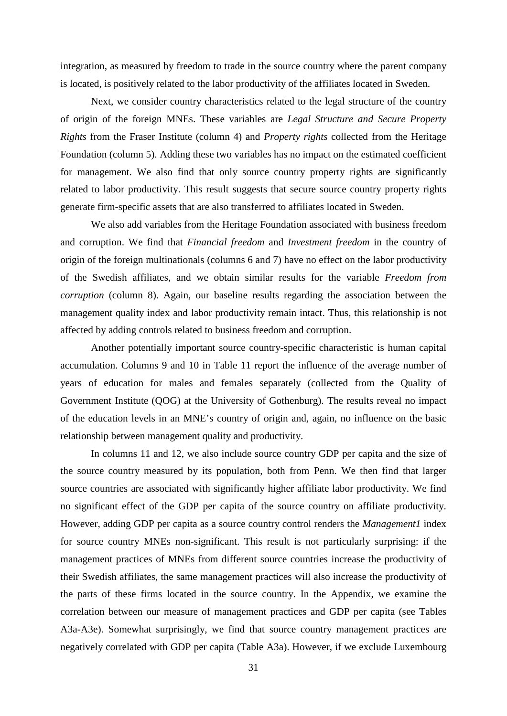integration, as measured by freedom to trade in the source country where the parent company is located, is positively related to the labor productivity of the affiliates located in Sweden.

Next, we consider country characteristics related to the legal structure of the country of origin of the foreign MNEs. These variables are *Legal Structure and Secure Property Rights* from the Fraser Institute (column 4) and *Property rights* collected from the Heritage Foundation (column 5). Adding these two variables has no impact on the estimated coefficient for management. We also find that only source country property rights are significantly related to labor productivity. This result suggests that secure source country property rights generate firm-specific assets that are also transferred to affiliates located in Sweden.

We also add variables from the Heritage Foundation associated with business freedom and corruption. We find that *Financial freedom* and *Investment freedom* in the country of origin of the foreign multinationals (columns 6 and 7) have no effect on the labor productivity of the Swedish affiliates, and we obtain similar results for the variable *Freedom from corruption* (column 8). Again, our baseline results regarding the association between the management quality index and labor productivity remain intact. Thus, this relationship is not affected by adding controls related to business freedom and corruption.

Another potentially important source country-specific characteristic is human capital accumulation. Columns 9 and 10 in Table 11 report the influence of the average number of years of education for males and females separately (collected from the Quality of Government Institute (QOG) at the University of Gothenburg). The results reveal no impact of the education levels in an MNE's country of origin and, again, no influence on the basic relationship between management quality and productivity.

In columns 11 and 12, we also include source country GDP per capita and the size of the source country measured by its population, both from Penn. We then find that larger source countries are associated with significantly higher affiliate labor productivity. We find no significant effect of the GDP per capita of the source country on affiliate productivity. However, adding GDP per capita as a source country control renders the *Management1* index for source country MNEs non-significant. This result is not particularly surprising: if the management practices of MNEs from different source countries increase the productivity of their Swedish affiliates, the same management practices will also increase the productivity of the parts of these firms located in the source country. In the Appendix, we examine the correlation between our measure of management practices and GDP per capita (see Tables A3a-A3e). Somewhat surprisingly, we find that source country management practices are negatively correlated with GDP per capita (Table A3a). However, if we exclude Luxembourg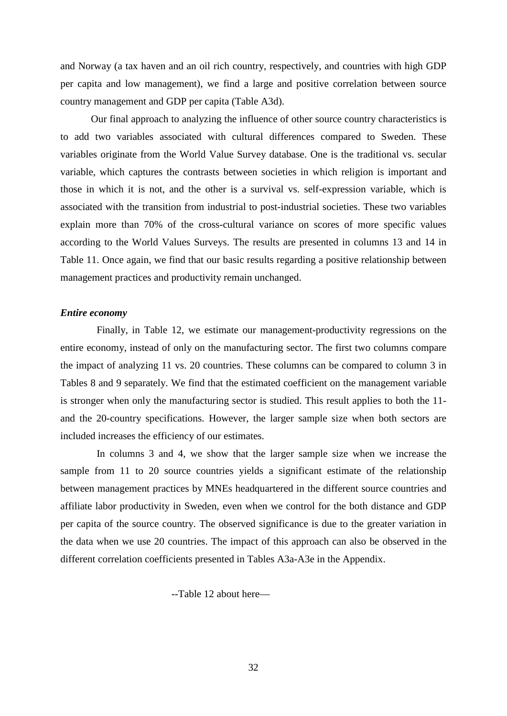and Norway (a tax haven and an oil rich country, respectively, and countries with high GDP per capita and low management), we find a large and positive correlation between source country management and GDP per capita (Table A3d).

Our final approach to analyzing the influence of other source country characteristics is to add two variables associated with cultural differences compared to Sweden. These variables originate from the World Value Survey database. One is the traditional vs. secular variable, which captures the contrasts between societies in which religion is important and those in which it is not, and the other is a survival vs. self-expression variable, which is associated with the transition from industrial to post-industrial societies. These two variables explain more than 70% of the cross-cultural variance on scores of more specific values according to the World Values Surveys. The results are presented in columns 13 and 14 in Table 11. Once again, we find that our basic results regarding a positive relationship between management practices and productivity remain unchanged.

#### *Entire economy*

Finally, in Table 12, we estimate our management-productivity regressions on the entire economy, instead of only on the manufacturing sector. The first two columns compare the impact of analyzing 11 vs. 20 countries. These columns can be compared to column 3 in Tables 8 and 9 separately. We find that the estimated coefficient on the management variable is stronger when only the manufacturing sector is studied. This result applies to both the 11 and the 20-country specifications. However, the larger sample size when both sectors are included increases the efficiency of our estimates.

In columns 3 and 4, we show that the larger sample size when we increase the sample from 11 to 20 source countries yields a significant estimate of the relationship between management practices by MNEs headquartered in the different source countries and affiliate labor productivity in Sweden, even when we control for the both distance and GDP per capita of the source country. The observed significance is due to the greater variation in the data when we use 20 countries. The impact of this approach can also be observed in the different correlation coefficients presented in Tables A3a-A3e in the Appendix.

--Table 12 about here—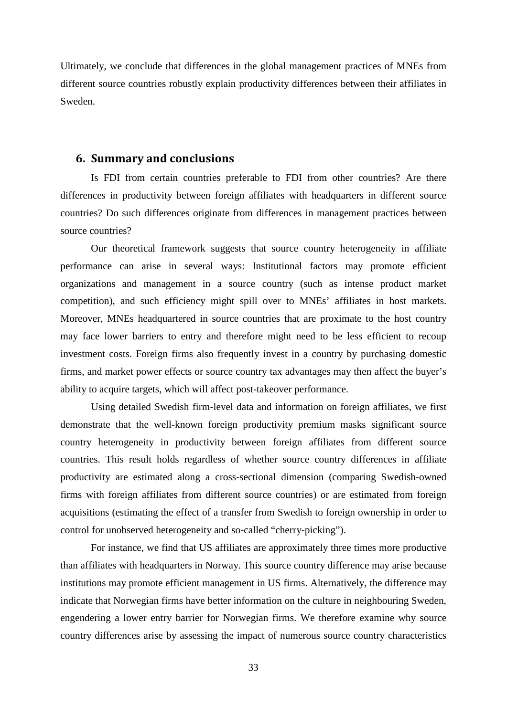Ultimately, we conclude that differences in the global management practices of MNEs from different source countries robustly explain productivity differences between their affiliates in Sweden.

#### **6. Summary and conclusions**

Is FDI from certain countries preferable to FDI from other countries? Are there differences in productivity between foreign affiliates with headquarters in different source countries? Do such differences originate from differences in management practices between source countries?

Our theoretical framework suggests that source country heterogeneity in affiliate performance can arise in several ways: Institutional factors may promote efficient organizations and management in a source country (such as intense product market competition), and such efficiency might spill over to MNEs' affiliates in host markets. Moreover, MNEs headquartered in source countries that are proximate to the host country may face lower barriers to entry and therefore might need to be less efficient to recoup investment costs. Foreign firms also frequently invest in a country by purchasing domestic firms, and market power effects or source country tax advantages may then affect the buyer's ability to acquire targets, which will affect post-takeover performance.

Using detailed Swedish firm-level data and information on foreign affiliates, we first demonstrate that the well-known foreign productivity premium masks significant source country heterogeneity in productivity between foreign affiliates from different source countries. This result holds regardless of whether source country differences in affiliate productivity are estimated along a cross-sectional dimension (comparing Swedish-owned firms with foreign affiliates from different source countries) or are estimated from foreign acquisitions (estimating the effect of a transfer from Swedish to foreign ownership in order to control for unobserved heterogeneity and so-called "cherry-picking").

For instance, we find that US affiliates are approximately three times more productive than affiliates with headquarters in Norway. This source country difference may arise because institutions may promote efficient management in US firms. Alternatively, the difference may indicate that Norwegian firms have better information on the culture in neighbouring Sweden, engendering a lower entry barrier for Norwegian firms. We therefore examine why source country differences arise by assessing the impact of numerous source country characteristics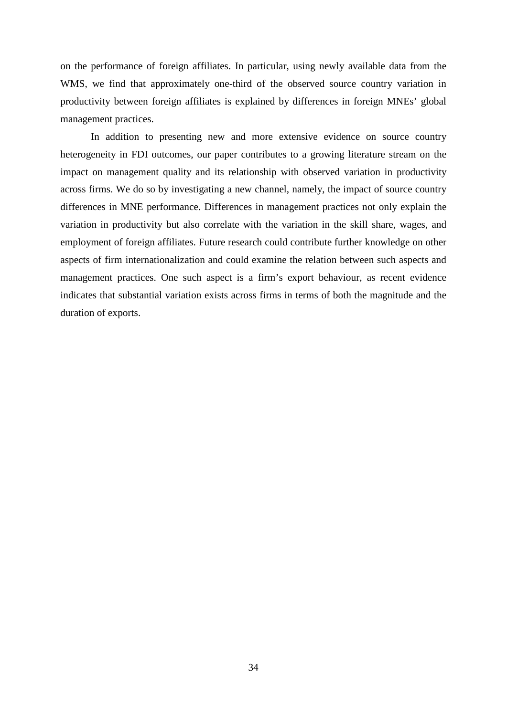on the performance of foreign affiliates. In particular, using newly available data from the WMS, we find that approximately one-third of the observed source country variation in productivity between foreign affiliates is explained by differences in foreign MNEs' global management practices.

In addition to presenting new and more extensive evidence on source country heterogeneity in FDI outcomes, our paper contributes to a growing literature stream on the impact on management quality and its relationship with observed variation in productivity across firms. We do so by investigating a new channel, namely, the impact of source country differences in MNE performance. Differences in management practices not only explain the variation in productivity but also correlate with the variation in the skill share, wages, and employment of foreign affiliates. Future research could contribute further knowledge on other aspects of firm internationalization and could examine the relation between such aspects and management practices. One such aspect is a firm's export behaviour, as recent evidence indicates that substantial variation exists across firms in terms of both the magnitude and the duration of exports.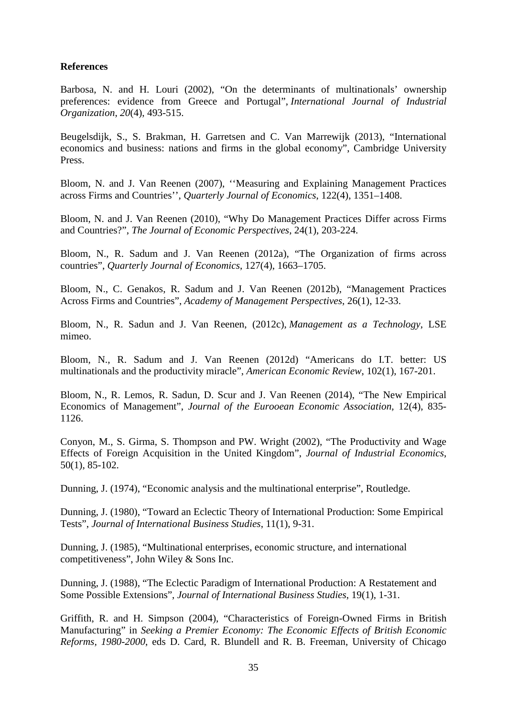## **References**

Barbosa, N. and H. Louri (2002), "On the determinants of multinationals' ownership preferences: evidence from Greece and Portugal", *International Journal of Industrial Organization*, *20*(4), 493-515.

Beugelsdijk, S., S. Brakman, H. Garretsen and C. Van Marrewijk (2013), "International economics and business: nations and firms in the global economy", Cambridge University Press.

Bloom, N. and J. Van Reenen (2007), ''Measuring and Explaining Management Practices across Firms and Countries'', *Quarterly Journal of Economics*, 122(4), 1351–1408.

Bloom, N. and J. Van Reenen (2010), "Why Do Management Practices Differ across Firms and Countries?", *The Journal of Economic Perspectives*, 24(1), 203-224.

Bloom, N., R. Sadum and J. Van Reenen (2012a), "The Organization of firms across countries", *Quarterly Journal of Economics*, 127(4), 1663–1705.

Bloom, N., C. Genakos, R. Sadum and J. Van Reenen (2012b), "Management Practices Across Firms and Countries", *Academy of Management Perspectives*, 26(1), 12-33.

Bloom, N., R. Sadun and J. Van Reenen, (2012c), *Management as a Technology*, LSE mimeo.

Bloom, N., R. Sadum and J. Van Reenen (2012d) "Americans do I.T. better: US multinationals and the productivity miracle", *American Economic Review*, 102(1), 167-201.

Bloom, N., R. Lemos, R. Sadun, D. Scur and J. Van Reenen (2014), "The New Empirical Economics of Management", *Journal of the Eurooean Economic Association,* 12(4), 835- 1126.

Conyon, M., S. Girma, S. Thompson and PW. Wright (2002), "The Productivity and Wage Effects of Foreign Acquisition in the United Kingdom", *Journal of Industrial Economics*, 50(1), 85-102.

Dunning, J. (1974), "Economic analysis and the multinational enterprise", Routledge.

Dunning, J. (1980), "Toward an Eclectic Theory of International Production: Some Empirical Tests", *Journal of International Business Studies*, 11(1), 9-31.

Dunning, J. (1985), "Multinational enterprises, economic structure, and international competitiveness", John Wiley & Sons Inc.

Dunning, J. (1988), "The Eclectic Paradigm of International Production: A Restatement and Some Possible Extensions", *Journal of International Business Studies*, 19(1), 1-31.

Griffith, R. and H. Simpson (2004), "Characteristics of Foreign-Owned Firms in British Manufacturing" in *Seeking a Premier Economy: The Economic Effects of British Economic Reforms, 1980-2000*, eds D. Card, R. Blundell and R. B. Freeman, University of Chicago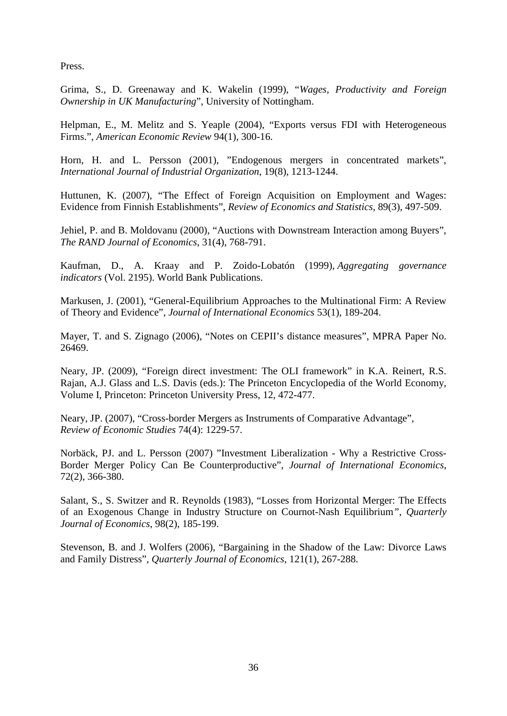Press.

Grima, S., D. Greenaway and K. Wakelin (1999), "*Wages, Productivity and Foreign Ownership in UK Manufacturing*", University of Nottingham.

Helpman, E., M. Melitz and S. Yeaple (2004), "Exports versus FDI with Heterogeneous Firms.", *American Economic Review* 94(1), 300-16.

Horn, H. and L. Persson (2001), "Endogenous mergers in concentrated markets", *International Journal of Industrial Organization*, 19(8), 1213-1244.

Huttunen, K. (2007), "The Effect of Foreign Acquisition on Employment and Wages: Evidence from Finnish Establishments", *Review of Economics and Statistics*, 89(3), 497-509.

Jehiel, P. and B. Moldovanu (2000), "Auctions with Downstream Interaction among Buyers", *The RAND Journal of Economics*, 31(4), 768-791.

Kaufman, D., A. Kraay and P. Zoido-Lobatón (1999), *Aggregating governance indicators* (Vol. 2195). World Bank Publications.

Markusen, J. (2001), "General-Equilibrium Approaches to the Multinational Firm: A Review of Theory and Evidence", *Journal of International Economics* 53(1), 189-204.

Mayer, T. and S. Zignago (2006), "Notes on CEPII's distance measures", MPRA Paper No. 26469.

Neary, JP. (2009), "Foreign direct investment: The OLI framework" in K.A. Reinert, R.S. Rajan, A.J. Glass and L.S. Davis (eds.): The Princeton Encyclopedia of the World Economy, Volume I, Princeton: Princeton University Press, 12, 472-477.

Neary, JP. (2007), "Cross-border Mergers as Instruments of Comparative Advantage", *Review of Economic Studies* 74(4): 1229-57.

Norbäck, PJ. and L. Persson (2007) "Investment Liberalization - Why a Restrictive Cross-Border Merger Policy Can Be Counterproductive", *Journal of International Economics*, 72(2), 366-380.

Salant, S., S. Switzer and R. Reynolds (1983), "Losses from Horizontal Merger: The Effects of an Exogenous Change in Industry Structure on Cournot-Nash Equilibrium*"*, *Quarterly Journal of Economics*, 98(2), 185-199.

Stevenson, B. and J. Wolfers (2006), "Bargaining in the Shadow of the Law: Divorce Laws and Family Distress", *Quarterly Journal of Economics,* 121(1), 267-288.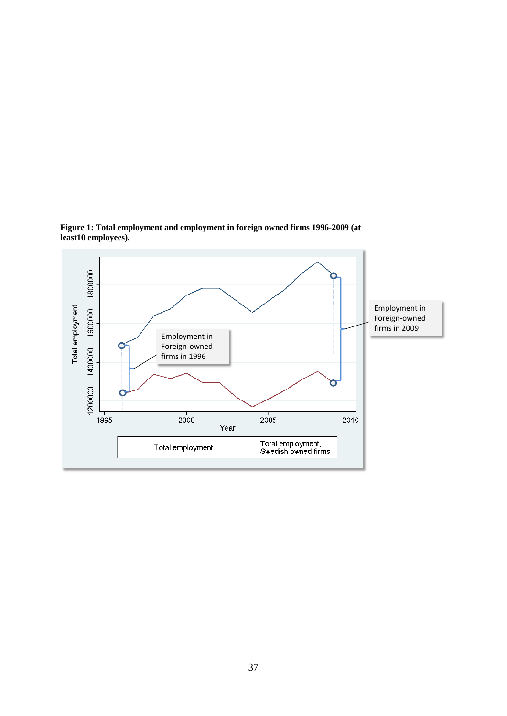

**Figure 1: Total employment and employment in foreign owned firms 1996-2009 (at least10 employees).**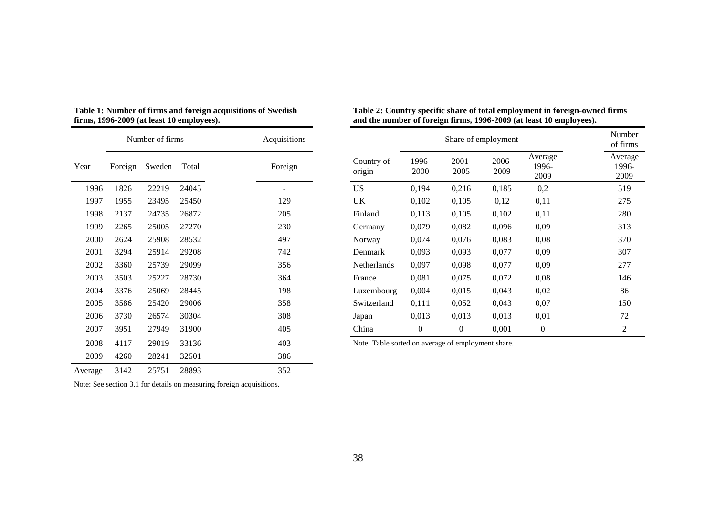|         |         | Number of firms |       | Acquisitions |                      |
|---------|---------|-----------------|-------|--------------|----------------------|
| Year    | Foreign | Sweden          | Total | Foreign      | Country of<br>origin |
| 1996    | 1826    | 22219           | 24045 |              | US.                  |
| 1997    | 1955    | 23495           | 25450 | 129          | UK                   |
| 1998    | 2137    | 24735           | 26872 | 205          | Finland              |
| 1999    | 2265    | 25005           | 27270 | 230          | Germany              |
| 2000    | 2624    | 25908           | 28532 | 497          | Norway               |
| 2001    | 3294    | 25914           | 29208 | 742          | Denmark              |
| 2002    | 3360    | 25739           | 29099 | 356          | Netherland:          |
| 2003    | 3503    | 25227           | 28730 | 364          | France               |
| 2004    | 3376    | 25069           | 28445 | 198          | Luxembour            |
| 2005    | 3586    | 25420           | 29006 | 358          | Switzerland          |
| 2006    | 3730    | 26574           | 30304 | 308          | Japan                |
| 2007    | 3951    | 27949           | 31900 | 405          | China                |
| 2008    | 4117    | 29019           | 33136 | 403          | Note: Table          |
| 2009    | 4260    | 28241           | 32501 | 386          |                      |
| Average | 3142    | 25751           | 28893 | 352          |                      |

**Table 1: Number of firms and foreign acquisitions of Swedish firms, 1996-2009 (at least 10 employees).**

| Table 2: Country specific share of total employment in foreign-owned firms |  |
|----------------------------------------------------------------------------|--|
| and the number of foreign firms, 1996-2009 (at least 10 employees).        |  |

|      | Number of firms |        |       | Acquisitions   | Share of employment  |               |                  |               |                          |                          |  |
|------|-----------------|--------|-------|----------------|----------------------|---------------|------------------|---------------|--------------------------|--------------------------|--|
| ır   | Foreign         | Sweden | Total | Foreign        | Country of<br>origin | 1996-<br>2000 | $2001 -$<br>2005 | 2006-<br>2009 | Average<br>1996-<br>2009 | Average<br>1996-<br>2009 |  |
| 1996 | 1826            | 22219  | 24045 | $\blacksquare$ | <b>US</b>            | 0,194         | 0,216            | 0,185         | 0,2                      | 519                      |  |
| 1997 | 1955            | 23495  | 25450 | 129            | UK                   | 0,102         | 0,105            | 0,12          | 0,11                     | 275                      |  |
| 1998 | 2137            | 24735  | 26872 | 205            | Finland              | 0,113         | 0,105            | 0,102         | 0,11                     | 280                      |  |
| 1999 | 2265            | 25005  | 27270 | 230            | Germany              | 0,079         | 0,082            | 0,096         | 0,09                     | 313                      |  |
| 2000 | 2624            | 25908  | 28532 | 497            | Norway               | 0,074         | 0,076            | 0,083         | 0,08                     | 370                      |  |
| 2001 | 3294            | 25914  | 29208 | 742            | Denmark              | 0,093         | 0,093            | 0,077         | 0,09                     | 307                      |  |
| 2002 | 3360            | 25739  | 29099 | 356            | Netherlands          | 0,097         | 0,098            | 0,077         | 0,09                     | 277                      |  |
| 2003 | 3503            | 25227  | 28730 | 364            | France               | 0,081         | 0,075            | 0,072         | 0,08                     | 146                      |  |
| 2004 | 3376            | 25069  | 28445 | 198            | Luxembourg           | 0,004         | 0,015            | 0,043         | 0,02                     | 86                       |  |
| 2005 | 3586            | 25420  | 29006 | 358            | Switzerland          | 0,111         | 0,052            | 0,043         | 0,07                     | 150                      |  |
| 2006 | 3730            | 26574  | 30304 | 308            | Japan                | 0,013         | 0,013            | 0,013         | 0,01                     | 72                       |  |
| 2007 | 3951            | 27949  | 31900 | 405            | China                | $\mathbf{0}$  | $\overline{0}$   | 0,001         | $\overline{0}$           | 2                        |  |
|      |                 |        |       |                |                      |               |                  |               |                          |                          |  |

Note: Table sorted on average of employment share.

Note: See section 3.1 for details on measuring foreign acquisitions.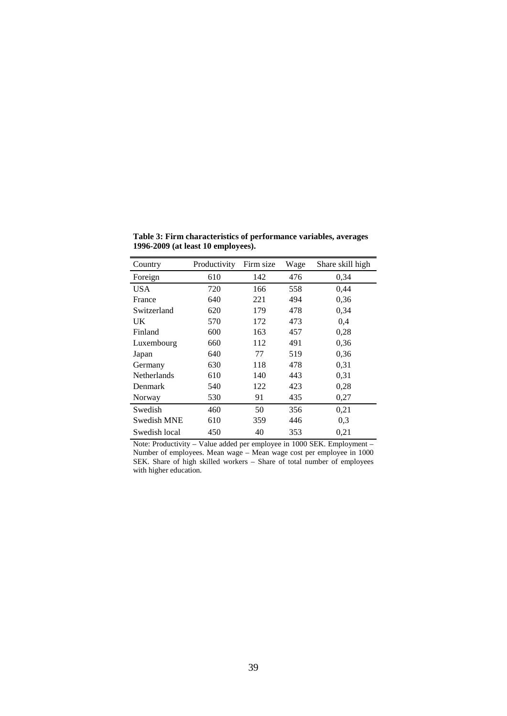**Table 3: Firm characteristics of performance variables, averages 1996-2009 (at least 10 employees).** 

| Country            | Productivity | Firm size | Wage | Share skill high |
|--------------------|--------------|-----------|------|------------------|
| Foreign            | 610          | 142       | 476  | 0.34             |
| <b>USA</b>         | 720          | 166       | 558  | 0,44             |
| France             | 640          | 221       | 494  | 0,36             |
| Switzerland        | 620          | 179       | 478  | 0,34             |
| UK                 | 570          | 172       | 473  | 0.4              |
| Finland            | 600          | 163       | 457  | 0,28             |
| Luxembourg         | 660          | 112       | 491  | 0,36             |
| Japan              | 640          | 77        | 519  | 0,36             |
| Germany            | 630          | 118       | 478  | 0,31             |
| Netherlands        | 610          | 140       | 443  | 0,31             |
| Denmark            | 540          | 122       | 423  | 0,28             |
| Norway             | 530          | 91        | 435  | 0,27             |
| Swedish            | 460          | 50        | 356  | 0,21             |
| <b>Swedish MNE</b> | 610          | 359       | 446  | 0,3              |
| Swedish local      | 450          | 40        | 353  | 0,21             |

Note: Productivity – Value added per employee in 1000 SEK. Employment – Number of employees. Mean wage – Mean wage cost per employee in 1000 SEK. Share of high skilled workers – Share of total number of employees with higher education*.*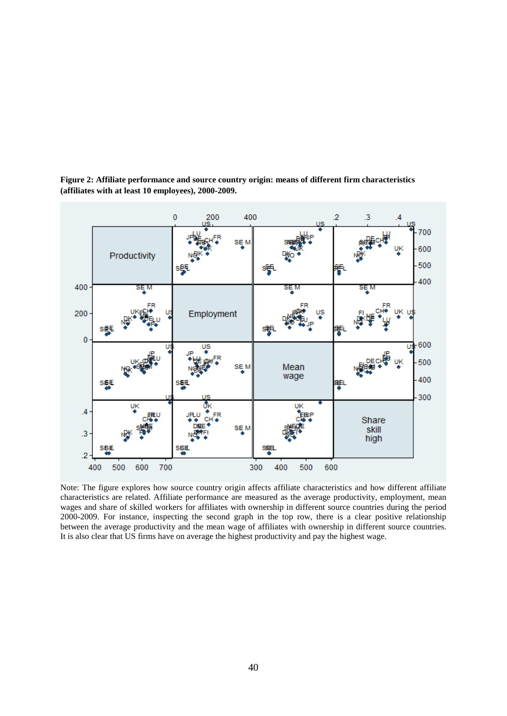

**Figure 2: Affiliate performance and source country origin: means of different firm characteristics (affiliates with at least 10 employees), 2000-2009.**

Note: The figure explores how source country origin affects affiliate characteristics and how different affiliate characteristics are related. Affiliate performance are measured as the average productivity, employment, mean wages and share of skilled workers for affiliates with ownership in different source countries during the period 2000-2009. For instance, inspecting the second graph in the top row, there is a clear positive relationship between the average productivity and the mean wage of affiliates with ownership in different source countries. It is also clear that US firms have on average the highest productivity and pay the highest wage.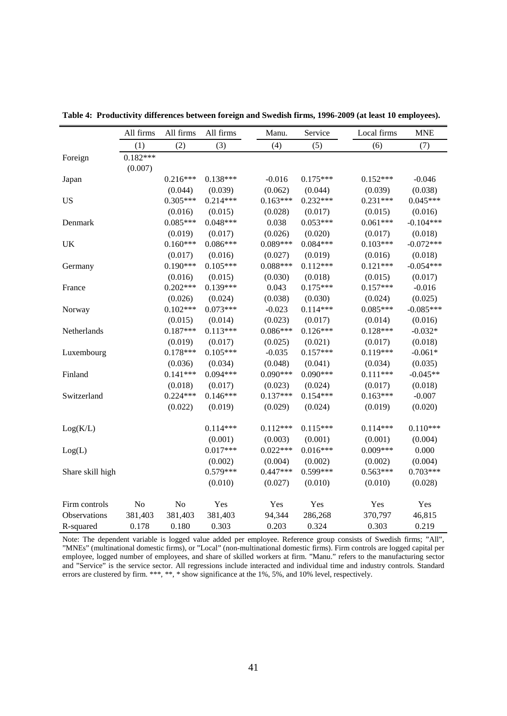|                  | All firms             | All firms  | All firms  | Manu.      | Service    | Local firms | <b>MNE</b>  |
|------------------|-----------------------|------------|------------|------------|------------|-------------|-------------|
|                  | (1)                   | (2)        | (3)        | (4)        | (5)        | (6)         | (7)         |
| Foreign          | $0.182***$<br>(0.007) |            |            |            |            |             |             |
| Japan            |                       | $0.216***$ | $0.138***$ | $-0.016$   | $0.175***$ | $0.152***$  | $-0.046$    |
|                  |                       | (0.044)    | (0.039)    | (0.062)    | (0.044)    | (0.039)     | (0.038)     |
| <b>US</b>        |                       | $0.305***$ | $0.214***$ | $0.163***$ | $0.232***$ | $0.231***$  | $0.045***$  |
|                  |                       | (0.016)    | (0.015)    | (0.028)    | (0.017)    | (0.015)     | (0.016)     |
| Denmark          |                       | $0.085***$ | $0.048***$ | 0.038      | $0.053***$ | $0.061***$  | $-0.104***$ |
|                  |                       | (0.019)    | (0.017)    | (0.026)    | (0.020)    | (0.017)     | (0.018)     |
| <b>UK</b>        |                       | $0.160***$ | $0.086***$ | $0.089***$ | $0.084***$ | $0.103***$  | $-0.072***$ |
|                  |                       | (0.017)    | (0.016)    | (0.027)    | (0.019)    | (0.016)     | (0.018)     |
| Germany          |                       | $0.190***$ | $0.105***$ | $0.088***$ | $0.112***$ | $0.121***$  | $-0.054***$ |
|                  |                       | (0.016)    | (0.015)    | (0.030)    | (0.018)    | (0.015)     | (0.017)     |
| France           |                       | $0.202***$ | $0.139***$ | 0.043      | $0.175***$ | $0.157***$  | $-0.016$    |
|                  |                       | (0.026)    | (0.024)    | (0.038)    | (0.030)    | (0.024)     | (0.025)     |
| Norway           |                       | $0.102***$ | $0.073***$ | $-0.023$   | $0.114***$ | $0.085***$  | $-0.085***$ |
|                  |                       | (0.015)    | (0.014)    | (0.023)    | (0.017)    | (0.014)     | (0.016)     |
| Netherlands      |                       | $0.187***$ | $0.113***$ | $0.086***$ | $0.126***$ | $0.128***$  | $-0.032*$   |
|                  |                       | (0.019)    | (0.017)    | (0.025)    | (0.021)    | (0.017)     | (0.018)     |
| Luxembourg       |                       | $0.178***$ | $0.105***$ | $-0.035$   | $0.157***$ | $0.119***$  | $-0.061*$   |
|                  |                       | (0.036)    | (0.034)    | (0.048)    | (0.041)    | (0.034)     | (0.035)     |
| Finland          |                       | $0.141***$ | $0.094***$ | $0.090***$ | $0.090***$ | $0.111***$  | $-0.045**$  |
|                  |                       | (0.018)    | (0.017)    | (0.023)    | (0.024)    | (0.017)     | (0.018)     |
| Switzerland      |                       | $0.224***$ | $0.146***$ | $0.137***$ | $0.154***$ | $0.163***$  | $-0.007$    |
|                  |                       | (0.022)    | (0.019)    | (0.029)    | (0.024)    | (0.019)     | (0.020)     |
| Log(K/L)         |                       |            | $0.114***$ | $0.112***$ | $0.115***$ | $0.114***$  | $0.110***$  |
|                  |                       |            | (0.001)    | (0.003)    | (0.001)    | (0.001)     | (0.004)     |
| Log(L)           |                       |            | $0.017***$ | $0.022***$ | $0.016***$ | $0.009***$  | 0.000       |
|                  |                       |            | (0.002)    | (0.004)    | (0.002)    | (0.002)     | (0.004)     |
| Share skill high |                       |            | $0.579***$ | $0.447***$ | $0.599***$ | $0.563***$  | $0.703***$  |
|                  |                       |            | (0.010)    | (0.027)    | (0.010)    | (0.010)     | (0.028)     |
| Firm controls    | $\rm No$              | $\rm No$   | Yes        | Yes        | Yes        | Yes         | Yes         |
| Observations     | 381,403               | 381,403    | 381,403    | 94,344     | 286,268    | 370,797     | 46,815      |
| R-squared        | 0.178                 | 0.180      | 0.303      | 0.203      | 0.324      | 0.303       | 0.219       |

**Table 4: Productivity differences between foreign and Swedish firms, 1996-2009 (at least 10 employees).**

Note: The dependent variable is logged value added per employee. Reference group consists of Swedish firms; "All", "MNEs" (multinational domestic firms), or "Local" (non-multinational domestic firms). Firm controls are logged capital per employee, logged number of employees, and share of skilled workers at firm. "Manu." refers to the manufacturing sector and "Service" is the service sector. All regressions include interacted and individual time and industry controls. Standard errors are clustered by firm. \*\*\*, \*\*, \* show significance at the 1%, 5%, and 10% level, respectively.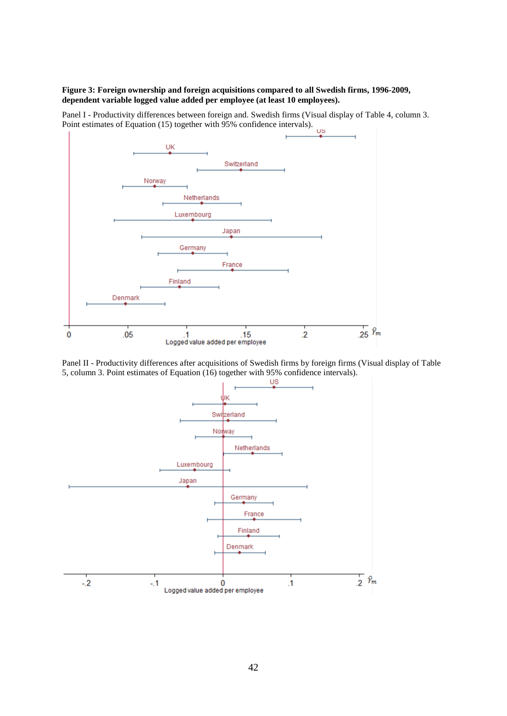#### **Figure 3: Foreign ownership and foreign acquisitions compared to all Swedish firms, 1996-2009, dependent variable logged value added per employee (at least 10 employees).**

Panel I - Productivity differences between foreign and. Swedish firms (Visual display of Table 4, column 3. Point estimates of Equation (15) together with 95% confidence intervals).



Panel II - Productivity differences after acquisitions of Swedish firms by foreign firms (Visual display of Table 5, column 3. Point estimates of Equation (16) together with 95% confidence intervals).

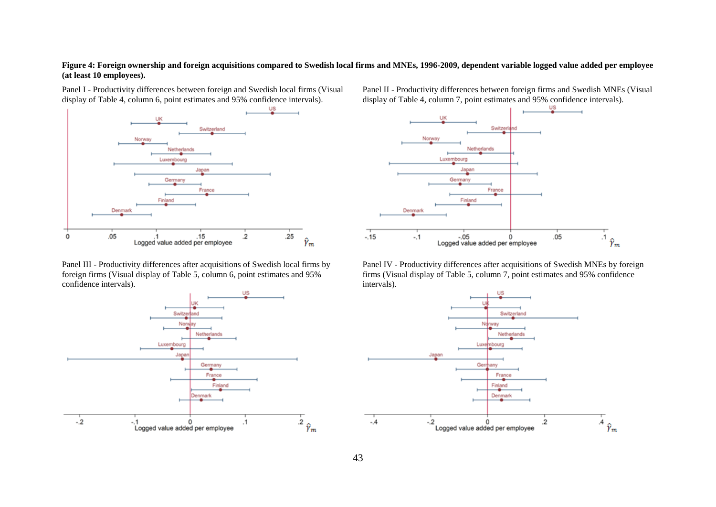**Figure 4: Foreign ownership and foreign acquisitions compared to Swedish local firms and MNEs, 1996-2009, dependent variable logged value added per employee (at least 10 employees).** 

Panel I - Productivity differences between foreign and Swedish local firms (Visual display of Table 4, column 6, point estimates and 95% confidence intervals).



Panel III - Productivity differences after acquisitions of Swedish local firms by foreign firms (Visual display of Table 5, column 6, point estimates and 95% confidence intervals).



Panel II - Productivity differences between foreign firms and Swedish MNEs (Visual display of Table 4, column 7, point estimates and 95% confidence intervals).



Panel IV - Productivity differences after acquisitions of Swedish MNEs by foreign firms (Visual display of Table 5, column 7, point estimates and 95% confidence intervals).

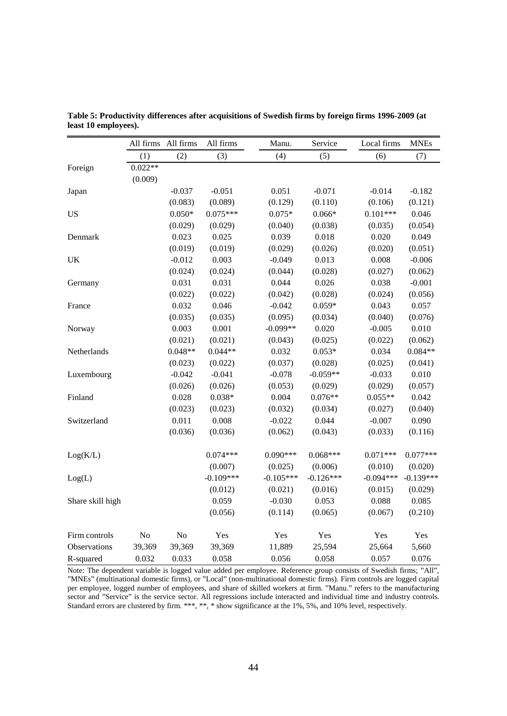|                  | All firms | All firms | All firms   | Manu.       | Service     | Local firms | <b>MNEs</b> |
|------------------|-----------|-----------|-------------|-------------|-------------|-------------|-------------|
|                  | (1)       | (2)       | (3)         | (4)         | (5)         | (6)         | (7)         |
| Foreign          | $0.022**$ |           |             |             |             |             |             |
|                  | (0.009)   |           |             |             |             |             |             |
| Japan            |           | $-0.037$  | $-0.051$    | 0.051       | $-0.071$    | $-0.014$    | $-0.182$    |
|                  |           | (0.083)   | (0.089)     | (0.129)     | (0.110)     | (0.106)     | (0.121)     |
| <b>US</b>        |           | $0.050*$  | $0.075***$  | $0.075*$    | $0.066*$    | $0.101***$  | 0.046       |
|                  |           | (0.029)   | (0.029)     | (0.040)     | (0.038)     | (0.035)     | (0.054)     |
| Denmark          |           | 0.023     | 0.025       | 0.039       | 0.018       | 0.020       | 0.049       |
|                  |           | (0.019)   | (0.019)     | (0.029)     | (0.026)     | (0.020)     | (0.051)     |
| UK               |           | $-0.012$  | 0.003       | $-0.049$    | 0.013       | 0.008       | $-0.006$    |
|                  |           | (0.024)   | (0.024)     | (0.044)     | (0.028)     | (0.027)     | (0.062)     |
| Germany          |           | 0.031     | 0.031       | 0.044       | 0.026       | 0.038       | $-0.001$    |
|                  |           | (0.022)   | (0.022)     | (0.042)     | (0.028)     | (0.024)     | (0.056)     |
| France           |           | 0.032     | 0.046       | $-0.042$    | $0.059*$    | 0.043       | 0.057       |
|                  |           | (0.035)   | (0.035)     | (0.095)     | (0.034)     | (0.040)     | (0.076)     |
| Norway           |           | 0.003     | 0.001       | $-0.099**$  | 0.020       | $-0.005$    | 0.010       |
|                  |           | (0.021)   | (0.021)     | (0.043)     | (0.025)     | (0.022)     | (0.062)     |
| Netherlands      |           | $0.048**$ | $0.044**$   | 0.032       | $0.053*$    | 0.034       | $0.084**$   |
|                  |           | (0.023)   | (0.022)     | (0.037)     | (0.028)     | (0.025)     | (0.041)     |
| Luxembourg       |           | $-0.042$  | $-0.041$    | $-0.078$    | $-0.059**$  | $-0.033$    | 0.010       |
|                  |           | (0.026)   | (0.026)     | (0.053)     | (0.029)     | (0.029)     | (0.057)     |
| Finland          |           | 0.028     | $0.038*$    | 0.004       | $0.076**$   | $0.055**$   | 0.042       |
|                  |           | (0.023)   | (0.023)     | (0.032)     | (0.034)     | (0.027)     | (0.040)     |
| Switzerland      |           | 0.011     | 0.008       | $-0.022$    | 0.044       | $-0.007$    | 0.090       |
|                  |           | (0.036)   | (0.036)     | (0.062)     | (0.043)     | (0.033)     | (0.116)     |
| Log(K/L)         |           |           | $0.074***$  | $0.090***$  | $0.068***$  | $0.071***$  | $0.077***$  |
|                  |           |           | (0.007)     | (0.025)     | (0.006)     | (0.010)     | (0.020)     |
| Log(L)           |           |           | $-0.109***$ | $-0.105***$ | $-0.126***$ | $-0.094***$ | $-0.139***$ |
|                  |           |           | (0.012)     | (0.021)     | (0.016)     | (0.015)     | (0.029)     |
| Share skill high |           |           | 0.059       | $-0.030$    | 0.053       | 0.088       | 0.085       |
|                  |           |           | (0.056)     | (0.114)     | (0.065)     | (0.067)     | (0.210)     |
| Firm controls    | $\rm No$  | $\rm No$  | Yes         | Yes         | Yes         | Yes         | Yes         |
| Observations     | 39,369    | 39,369    | 39,369      | 11,889      | 25,594      | 25,664      | 5,660       |
| R-squared        | 0.032     | 0.033     | 0.058       | 0.056       | 0.058       | 0.057       | 0.076       |

**Table 5: Productivity differences after acquisitions of Swedish firms by foreign firms 1996-2009 (at least 10 employees).**

Note: The dependent variable is logged value added per employee. Reference group consists of Swedish firms; "All", "MNEs" (multinational domestic firms), or "Local" (non-multinational domestic firms). Firm controls are logged capital per employee, logged number of employees, and share of skilled workers at firm. "Manu." refers to the manufacturing sector and "Service" is the service sector. All regressions include interacted and individual time and industry controls. Standard errors are clustered by firm. \*\*\*, \*\*, \* show significance at the 1%, 5%, and 10% level, respectively.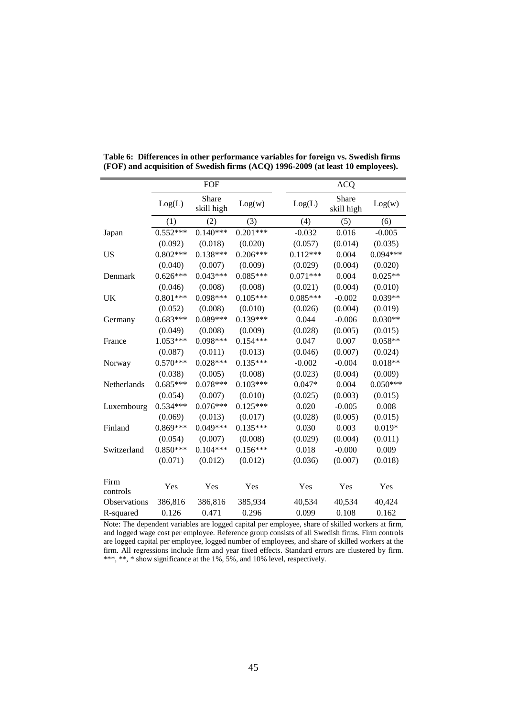|                  |            | <b>FOF</b>          |            | <b>ACQ</b> |                     |            |  |  |
|------------------|------------|---------------------|------------|------------|---------------------|------------|--|--|
|                  | Log(L)     | Share<br>skill high | Log(w)     | Log(L)     | Share<br>skill high | Log(w)     |  |  |
|                  | (1)        | (2)                 | (3)        | (4)        | (5)                 | (6)        |  |  |
| Japan            | $0.552***$ | $0.140***$          | $0.201***$ | $-0.032$   | 0.016               | $-0.005$   |  |  |
|                  | (0.092)    | (0.018)             | (0.020)    | (0.057)    | (0.014)             | (0.035)    |  |  |
| <b>US</b>        | $0.802***$ | $0.138***$          | $0.206***$ | $0.112***$ | 0.004               | $0.094***$ |  |  |
|                  | (0.040)    | (0.007)             | (0.009)    | (0.029)    | (0.004)             | (0.020)    |  |  |
| Denmark          | $0.626***$ | $0.043***$          | $0.085***$ | $0.071***$ | 0.004               | $0.025**$  |  |  |
|                  | (0.046)    | (0.008)             | (0.008)    | (0.021)    | (0.004)             | (0.010)    |  |  |
| UK               | $0.801***$ | 0.098***            | $0.105***$ | $0.085***$ | $-0.002$            | $0.039**$  |  |  |
|                  | (0.052)    | (0.008)             | (0.010)    | (0.026)    | (0.004)             | (0.019)    |  |  |
| Germany          | $0.683***$ | $0.089***$          | $0.139***$ | 0.044      | $-0.006$            | $0.030**$  |  |  |
|                  | (0.049)    | (0.008)             | (0.009)    | (0.028)    | (0.005)             | (0.015)    |  |  |
| France           | 1.053***   | 0.098***            | $0.154***$ | 0.047      | 0.007               | $0.058**$  |  |  |
|                  | (0.087)    | (0.011)             | (0.013)    | (0.046)    | (0.007)             | (0.024)    |  |  |
| Norway           | $0.570***$ | $0.028***$          | $0.135***$ | $-0.002$   | $-0.004$            | $0.018**$  |  |  |
|                  | (0.038)    | (0.005)             | (0.008)    | (0.023)    | (0.004)             | (0.009)    |  |  |
| Netherlands      | $0.685***$ | $0.078***$          | $0.103***$ | $0.047*$   | 0.004               | $0.050***$ |  |  |
|                  | (0.054)    | (0.007)             | (0.010)    | (0.025)    | (0.003)             | (0.015)    |  |  |
| Luxembourg       | $0.534***$ | $0.076***$          | $0.125***$ | 0.020      | $-0.005$            | 0.008      |  |  |
|                  | (0.069)    | (0.013)             | (0.017)    | (0.028)    | (0.005)             | (0.015)    |  |  |
| Finland          | $0.869***$ | 0.049***            | $0.135***$ | 0.030      | 0.003               | $0.019*$   |  |  |
|                  | (0.054)    | (0.007)             | (0.008)    | (0.029)    | (0.004)             | (0.011)    |  |  |
| Switzerland      | $0.850***$ | $0.104***$          | $0.156***$ | 0.018      | $-0.000$            | 0.009      |  |  |
|                  | (0.071)    | (0.012)             | (0.012)    | (0.036)    | (0.007)             | (0.018)    |  |  |
|                  |            |                     |            |            |                     |            |  |  |
| Firm<br>controls | Yes        | Yes                 | Yes        | Yes        | Yes                 | Yes        |  |  |
| Observations     | 386,816    | 386,816             | 385,934    | 40,534     | 40,534              | 40,424     |  |  |
| R-squared        | 0.126      | 0.471               | 0.296      | 0.099      | 0.108               | 0.162      |  |  |

**Table 6: Differences in other performance variables for foreign vs. Swedish firms (FOF) and acquisition of Swedish firms (ACQ) 1996-2009 (at least 10 employees).**

Note: The dependent variables are logged capital per employee, share of skilled workers at firm, and logged wage cost per employee. Reference group consists of all Swedish firms. Firm controls are logged capital per employee, logged number of employees, and share of skilled workers at the firm. All regressions include firm and year fixed effects. Standard errors are clustered by firm. \*\*\*, \*\*, \* show significance at the 1%, 5%, and 10% level, respectively.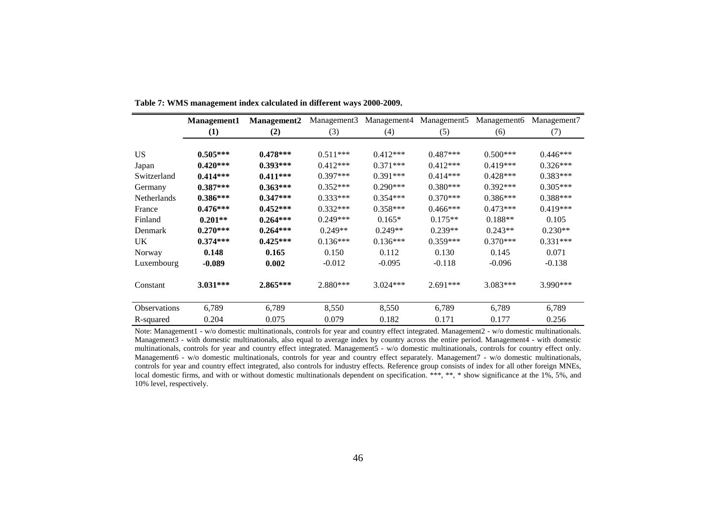|                     | <b>Management2</b><br><b>Management1</b> |            | Management3 |            | Management4 Management5 | Management6 | Management7 |
|---------------------|------------------------------------------|------------|-------------|------------|-------------------------|-------------|-------------|
|                     | (1)                                      | (2)        | (3)         | (4)        | (5)                     | (6)         | (7)         |
|                     |                                          |            |             |            |                         |             |             |
| <b>US</b>           | $0.505***$                               | $0.478***$ | $0.511***$  | $0.412***$ | $0.487***$              | $0.500***$  | $0.446***$  |
| Japan               | $0.420***$                               | $0.393***$ | $0.412***$  | $0.371***$ | $0.412***$              | $0.419***$  | $0.326***$  |
| Switzerland         | $0.414***$                               | $0.411***$ | $0.397***$  | $0.391***$ | $0.414***$              | $0.428***$  | $0.383***$  |
| Germany             | $0.387***$                               | $0.363***$ | $0.352***$  | $0.290***$ | $0.380***$              | $0.392***$  | $0.305***$  |
| Netherlands         | $0.386***$                               | $0.347***$ | $0.333***$  | $0.354***$ | $0.370***$              | $0.386***$  | $0.388***$  |
| France              | $0.476***$                               | $0.452***$ | $0.332***$  | $0.358***$ | $0.466***$              | $0.473***$  | $0.419***$  |
| Finland             | $0.201**$                                | $0.264***$ | $0.249***$  | $0.165*$   | $0.175**$               | $0.188**$   | 0.105       |
| Denmark             | $0.270***$                               | $0.264***$ | $0.249**$   | $0.249**$  | $0.239**$               | $0.243**$   | $0.230**$   |
| <b>UK</b>           | $0.374***$                               | $0.425***$ | $0.136***$  | $0.136***$ | $0.359***$              | $0.370***$  | $0.331***$  |
| Norway              | 0.148                                    | 0.165      | 0.150       | 0.112      | 0.130                   | 0.145       | 0.071       |
| Luxembourg          | $-0.089$                                 | 0.002      | $-0.012$    | $-0.095$   | $-0.118$                | $-0.096$    | $-0.138$    |
| Constant            | $3.031***$                               | $2.865***$ | $2.880***$  | $3.024***$ | $2.691***$              | $3.083***$  | $3.990***$  |
| <b>Observations</b> | 6,789                                    | 6,789      | 8,550       | 8,550      | 6,789                   | 6,789       | 6,789       |
| R-squared           | 0.204                                    | 0.075      | 0.079       | 0.182      | 0.171                   | 0.177       | 0.256       |

**Table 7: WMS management index calculated in different ways 2000-2009.**

Note: Management1 - w/o domestic multinationals, controls for year and country effect integrated. Management2 - w/o domestic multinationals. Management3 - with domestic multinationals, also equal to average index by country across the entire period. Management4 - with domestic multinationals, controls for year and country effect integrated. Management5 - w/o domestic multinationals, controls for country effect only. Management6 - w/o domestic multinationals, controls for year and country effect separately. Management7 - w/o domestic multinationals, controls for year and country effect integrated, also controls for industry effects. Reference group consists of index for all other foreign MNEs, local domestic firms, and with or without domestic multinationals dependent on specification. \*\*\*, \*\*, \* show significance at the 1%, 5%, and 10% level, respectively.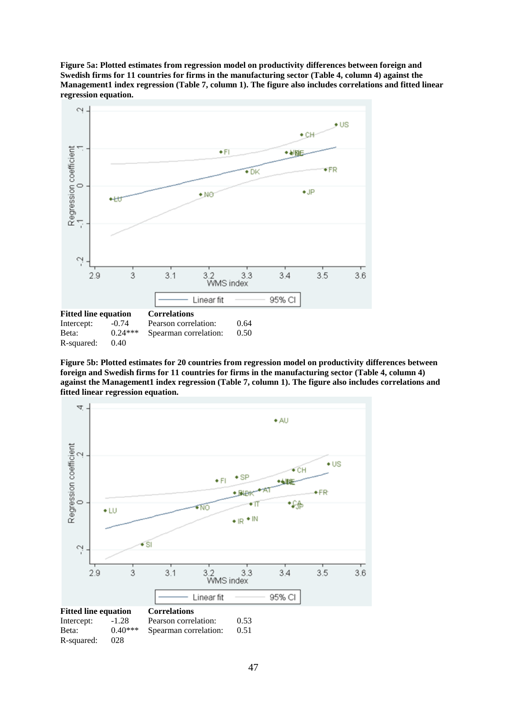**Figure 5a: Plotted estimates from regression model on productivity differences between foreign and Swedish firms for 11 countries for firms in the manufacturing sector (Table 4, column 4) against the Management1 index regression (Table 7, column 1). The figure also includes correlations and fitted linear regression equation.**



**Figure 5b: Plotted estimates for 20 countries from regression model on productivity differences between foreign and Swedish firms for 11 countries for firms in the manufacturing sector (Table 4, column 4) against the Management1 index regression (Table 7, column 1). The figure also includes correlations and fitted linear regression equation.**

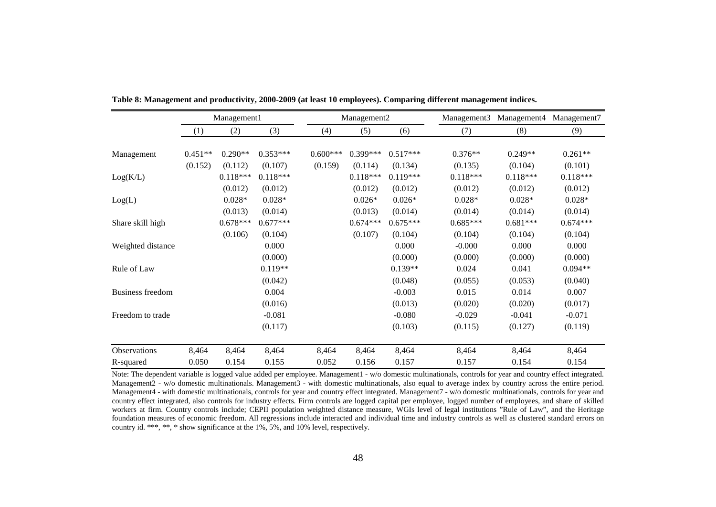|                         |           | Management1 |            |            | Management2 |            | Management3 | Management4 | Management7 |
|-------------------------|-----------|-------------|------------|------------|-------------|------------|-------------|-------------|-------------|
|                         | (1)       | (2)         | (3)        | (4)        | (5)         | (6)        | (7)         | (8)         | (9)         |
|                         |           |             |            |            |             |            |             |             |             |
| Management              | $0.451**$ | $0.290**$   | $0.353***$ | $0.600***$ | $0.399***$  | $0.517***$ | $0.376**$   | $0.249**$   | $0.261**$   |
|                         | (0.152)   | (0.112)     | (0.107)    | (0.159)    | (0.114)     | (0.134)    | (0.135)     | (0.104)     | (0.101)     |
| Log(K/L)                |           | $0.118***$  | $0.118***$ |            | $0.118***$  | $0.119***$ | $0.118***$  | $0.118***$  | $0.118***$  |
|                         |           | (0.012)     | (0.012)    |            | (0.012)     | (0.012)    | (0.012)     | (0.012)     | (0.012)     |
| Log(L)                  |           | $0.028*$    | $0.028*$   |            | $0.026*$    | $0.026*$   | $0.028*$    | $0.028*$    | $0.028*$    |
|                         |           | (0.013)     | (0.014)    |            | (0.013)     | (0.014)    | (0.014)     | (0.014)     | (0.014)     |
| Share skill high        |           | $0.678***$  | $0.677***$ |            | $0.674***$  | $0.675***$ | $0.685***$  | $0.681***$  | $0.674***$  |
|                         |           | (0.106)     | (0.104)    |            | (0.107)     | (0.104)    | (0.104)     | (0.104)     | (0.104)     |
| Weighted distance       |           | 0.000       |            |            | 0.000       | $-0.000$   | 0.000       | 0.000       |             |
|                         |           |             | (0.000)    |            |             | (0.000)    | (0.000)     | (0.000)     | (0.000)     |
| Rule of Law             |           |             | $0.119**$  |            |             | $0.139**$  | 0.024       | 0.041       | $0.094**$   |
|                         |           |             | (0.042)    |            |             | (0.048)    | (0.055)     | (0.053)     | (0.040)     |
| <b>Business freedom</b> |           |             | 0.004      |            |             | $-0.003$   | 0.015       | 0.014       | 0.007       |
|                         |           |             | (0.016)    |            |             | (0.013)    | (0.020)     | (0.020)     | (0.017)     |
| Freedom to trade        |           |             | $-0.081$   |            |             | $-0.080$   | $-0.029$    | $-0.041$    | $-0.071$    |
|                         |           |             | (0.117)    |            |             | (0.103)    | (0.115)     | (0.127)     | (0.119)     |
| Observations            | 8,464     | 8,464       | 8,464      | 8,464      | 8,464       | 8,464      | 8,464       | 8,464       | 8,464       |
| R-squared               | 0.050     | 0.154       | 0.155      | 0.052      | 0.156       | 0.157      | 0.157       | 0.154       | 0.154       |

**Table 8: Management and productivity, 2000-2009 (at least 10 employees). Comparing different management indices.**

Note: The dependent variable is logged value added per employee. Management1 - w/o domestic multinationals, controls for year and country effect integrated. Management2 - w/o domestic multinationals. Management3 - with domestic multinationals, also equal to average index by country across the entire period. Management4 - with domestic multinationals, controls for year and country effect integrated. Management7 - w/o domestic multinationals, controls for year and country effect integrated, also controls for industry effects. Firm controls are logged capital per employee, logged number of employees, and share of skilled workers at firm. Country controls include; CEPII population weighted distance measure, WGIs level of legal institutions "Rule of Law", and the Heritage foundation measures of economic freedom. All regressions include interacted and individual time and industry controls as well as clustered standard errors on country id. \*\*\*, \*\*, \* show significance at the 1%, 5%, and 10% level, respectively.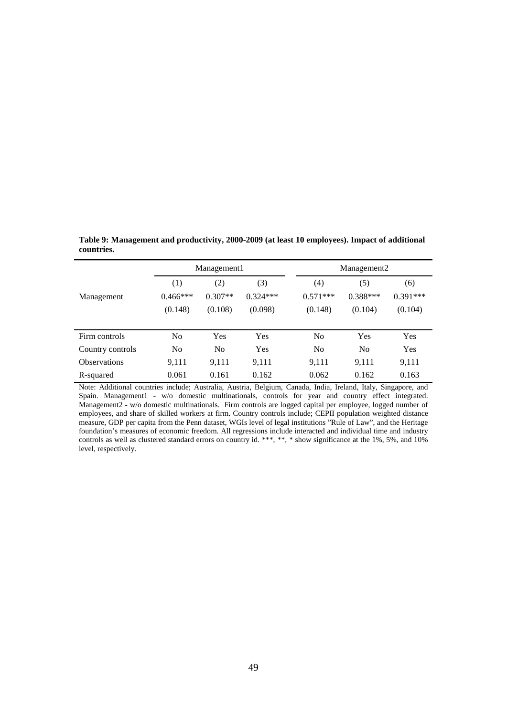|                     |                | Management1    |            | Management2    |            |            |  |  |
|---------------------|----------------|----------------|------------|----------------|------------|------------|--|--|
|                     | (1)            | (2)            | (3)        | (4)            | (5)        | (6)        |  |  |
| Management          | $0.466***$     | $0.307**$      | $0.324***$ | $0.571***$     | $0.388***$ | $0.391***$ |  |  |
|                     | (0.148)        | (0.108)        | (0.098)    | (0.148)        | (0.104)    |            |  |  |
|                     |                |                |            |                |            |            |  |  |
| Firm controls       | No             | Yes            | Yes        | N <sub>0</sub> | Yes        | Yes        |  |  |
| Country controls    | N <sub>0</sub> | N <sub>0</sub> | Yes        | N <sub>0</sub> | No         | Yes        |  |  |
| <b>Observations</b> | 9,111          | 9,111          | 9,111      | 9,111          | 9,111      | 9,111      |  |  |
| R-squared           | 0.061          | 0.161          | 0.162      | 0.062          | 0.162      | 0.163      |  |  |

**Table 9: Management and productivity, 2000-2009 (at least 10 employees). Impact of additional countries.** 

Note: Additional countries include; Australia, Austria, Belgium, Canada, India, Ireland, Italy, Singapore, and Spain. Management1 - w/o domestic multinationals, controls for year and country effect integrated. Management2 - w/o domestic multinationals. Firm controls are logged capital per employee, logged number of employees, and share of skilled workers at firm. Country controls include; CEPII population weighted distance measure, GDP per capita from the Penn dataset, WGIs level of legal institutions "Rule of Law", and the Heritage foundation's measures of economic freedom. All regressions include interacted and individual time and industry controls as well as clustered standard errors on country id. \*\*\*, \*\*, \* show significance at the 1%, 5%, and 10% level, respectively.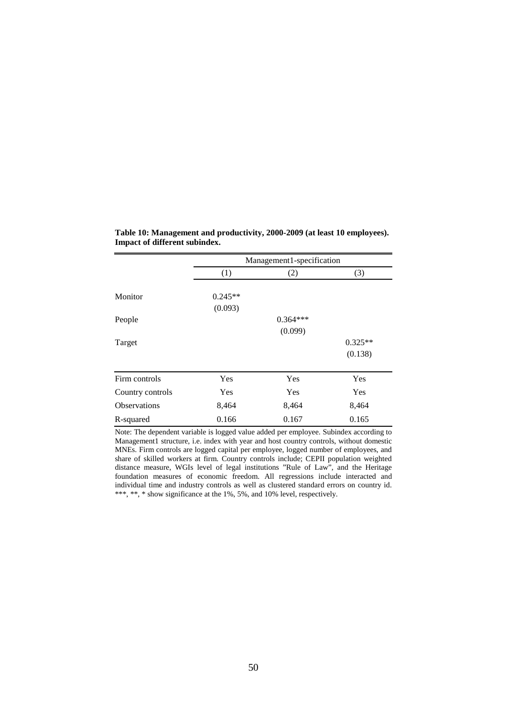|                     |                      | Management1-specification |                      |
|---------------------|----------------------|---------------------------|----------------------|
|                     | (1)                  | (2)                       | (3)                  |
| Monitor             | $0.245**$<br>(0.093) |                           |                      |
| People              |                      | $0.364***$<br>(0.099)     |                      |
| Target              |                      |                           | $0.325**$<br>(0.138) |
| Firm controls       | Yes                  | Yes                       | Yes                  |
| Country controls    | Yes                  | Yes                       | Yes                  |
| <b>Observations</b> | 8,464                | 8,464                     | 8,464                |
| R-squared           | 0.166                | 0.167                     | 0.165                |

**Table 10: Management and productivity, 2000-2009 (at least 10 employees). Impact of different subindex.**

Note: The dependent variable is logged value added per employee. Subindex according to Management1 structure, i.e. index with year and host country controls, without domestic MNEs. Firm controls are logged capital per employee, logged number of employees, and share of skilled workers at firm. Country controls include; CEPII population weighted distance measure, WGIs level of legal institutions "Rule of Law", and the Heritage foundation measures of economic freedom. All regressions include interacted and individual time and industry controls as well as clustered standard errors on country id. \*\*\*, \*\*, \* show significance at the 1%, 5%, and 10% level, respectively.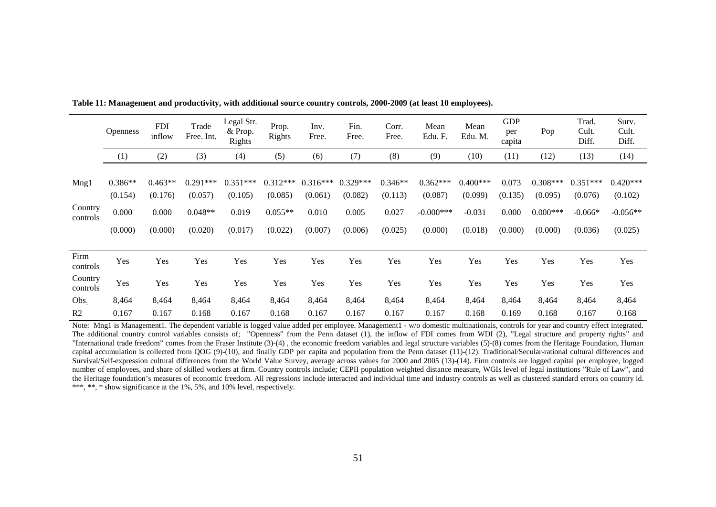|                             | Openness                                 | <b>FDI</b><br>inflow                     | Trade<br>Free. Int.                           | Legal Str.<br>& Prop.<br>Rights           | Prop.<br>Rights                               | Inv.<br>Free.                             | Fin.<br>Free.                             | Corr.<br>Free.                           | Mean<br>Edu. F.                                  | Mean<br>Edu. M.                              | <b>GDP</b><br>per<br>capita          | Pop                                            | Trad.<br>Cult.<br>Diff.                       | Surv.<br>Cult.<br>Diff.                        |
|-----------------------------|------------------------------------------|------------------------------------------|-----------------------------------------------|-------------------------------------------|-----------------------------------------------|-------------------------------------------|-------------------------------------------|------------------------------------------|--------------------------------------------------|----------------------------------------------|--------------------------------------|------------------------------------------------|-----------------------------------------------|------------------------------------------------|
|                             | (1)                                      | (2)                                      | (3)                                           | (4)                                       | (5)                                           | (6)                                       | (7)                                       | (8)                                      | (9)                                              | (10)                                         | (11)                                 | (12)                                           | (13)                                          | (14)                                           |
| Mng1<br>Country<br>controls | $0.386**$<br>(0.154)<br>0.000<br>(0.000) | $0.463**$<br>(0.176)<br>0.000<br>(0.000) | $0.291***$<br>(0.057)<br>$0.048**$<br>(0.020) | $0.351***$<br>(0.105)<br>0.019<br>(0.017) | $0.312***$<br>(0.085)<br>$0.055**$<br>(0.022) | $0.316***$<br>(0.061)<br>0.010<br>(0.007) | $0.329***$<br>(0.082)<br>0.005<br>(0.006) | $0.346**$<br>(0.113)<br>0.027<br>(0.025) | $0.362***$<br>(0.087)<br>$-0.000$ ***<br>(0.000) | $0.400***$<br>(0.099)<br>$-0.031$<br>(0.018) | 0.073<br>(0.135)<br>0.000<br>(0.000) | $0.308***$<br>(0.095)<br>$0.000***$<br>(0.000) | $0.351***$<br>(0.076)<br>$-0.066*$<br>(0.036) | $0.420***$<br>(0.102)<br>$-0.056**$<br>(0.025) |
| Firm<br>controls            | Yes                                      | Yes                                      | Yes                                           | Yes                                       | Yes                                           | Yes                                       | Yes                                       | Yes                                      | Yes                                              | Yes                                          | Yes                                  | Yes                                            | Yes                                           | Yes                                            |
| Country<br>controls         | Yes                                      | Yes                                      | Yes                                           | Yes                                       | Yes                                           | Yes                                       | Yes                                       | Yes                                      | Yes                                              | Yes                                          | Yes                                  | Yes                                            | Yes                                           | Yes                                            |
| Obs.                        | 8,464                                    | 8,464                                    | 8,464                                         | 8,464                                     | 8,464                                         | 8,464                                     | 8,464                                     | 8,464                                    | 8,464                                            | 8,464                                        | 8,464                                | 8,464                                          | 8,464                                         | 8,464                                          |
| R <sub>2</sub>              | 0.167                                    | 0.167                                    | 0.168                                         | 0.167                                     | 0.168                                         | 0.167                                     | 0.167                                     | 0.167                                    | 0.167                                            | 0.168                                        | 0.169                                | 0.168                                          | 0.167                                         | 0.168                                          |

**Table 11: Management and productivity, with additional source country controls, 2000-2009 (at least 10 employees).**

Note: Mng1 is Management1. The dependent variable is logged value added per employee. Management1 - w/o domestic multinationals, controls for year and country effect integrated. The additional country control variables consists of; "Openness" from the Penn dataset (1), the inflow of FDI comes from WDI (2), "Legal structure and property rights" and "International trade freedom" comes from the Fraser Institute (3)-(4) , the economic freedom variables and legal structure variables (5)-(8) comes from the Heritage Foundation, Human capital accumulation is collected from QOG (9)-(10), and finally GDP per capita and population from the Penn dataset (11)-(12). Traditional/Secular-rational cultural differences and Survival/Self-expression cultural differences from the World Value Survey, average across values for 2000 and 2005 (13)-(14). Firm controls are logged capital per employee, logged number of employees, and share of skilled workers at firm. Country controls include; CEPII population weighted distance measure, WGIs level of legal institutions "Rule of Law", and the Heritage foundation's measures of economic freedom. All regressions include interacted and individual time and industry controls as well as clustered standard errors on country id. \*\*\*, \*\*, \* show significance at the 1%, 5%, and 10% level, respectively.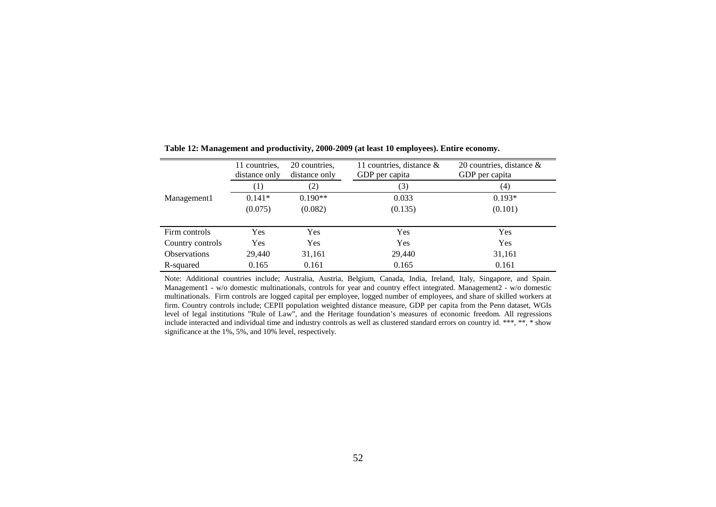|                     | 11 countries,<br>distance only | 20 countries.<br>distance only | 11 countries, distance $\&$<br>GDP per capita | 20 countries, distance $\&$<br>GDP per capita |
|---------------------|--------------------------------|--------------------------------|-----------------------------------------------|-----------------------------------------------|
|                     | 1)                             | (2)                            | (3)                                           | (4)                                           |
| Management1         | $0.141*$                       | $0.190**$                      | 0.033                                         | $0.193*$                                      |
|                     | (0.075)                        | (0.082)                        | (0.135)                                       | (0.101)                                       |
|                     |                                |                                |                                               |                                               |
| Firm controls       | <b>Yes</b>                     | Yes                            | Yes                                           | Yes                                           |
| Country controls    | Yes                            | Yes                            | Yes                                           | Yes                                           |
| <b>Observations</b> | 29,440                         | 31,161                         | 29,440                                        | 31,161                                        |
| R-squared           | 0.165                          | 0.161                          | 0.165                                         | 0.161                                         |

**Table 12: Management and productivity, 2000-2009 (at least 10 employees). Entire economy.** 

Note: Additional countries include; Australia, Austria, Belgium, Canada, India, Ireland, Italy, Singapore, and Spain. Management1 - w/o domestic multinationals, controls for year and country effect integrated. Management2 - w/o domestic multinationals. Firm controls are logged capital per employee, logged number of employees, and share of skilled workers at firm. Country controls include; CEPII population weighted distance measure, GDP per capita from the Penn dataset, WGIs level of legal institutions "Rule of Law", and the Heritage foundation's measures of economic freedom. All regressions include interacted and individual time and industry controls as well as clustered standard errors on country id. \*\*\*, \*\*, \* show significance at the 1%, 5%, and 10% level, respectively.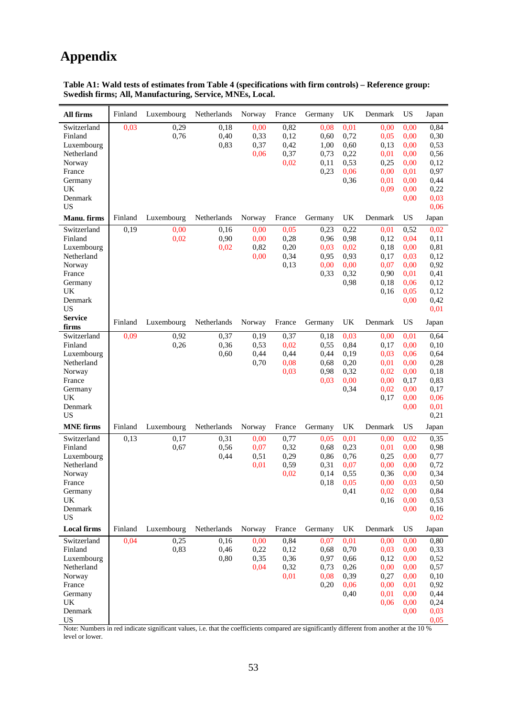# **Appendix**

| Table A1: Wald tests of estimates from Table 4 (specifications with firm controls) – Reference group: |
|-------------------------------------------------------------------------------------------------------|
| Swedish firms; All, Manufacturing, Service, MNEs, Local.                                              |

| All firms                | Finland | Luxembourg | Netherlands | Norway       | France       | Germany      | UK           | Denmark      | US           | Japan        |
|--------------------------|---------|------------|-------------|--------------|--------------|--------------|--------------|--------------|--------------|--------------|
| Switzerland              | 0,03    | 0,29       | 0,18        | 0,00         | 0,82         | 0,08         | 0,01         | 0,00         | 0,00         | 0,84         |
| Finland                  |         | 0,76       | 0,40        | 0,33         | 0,12         | 0,60         | 0,72         | 0,05         | 0,00         | 0,30         |
| Luxembourg               |         |            | 0,83        | 0,37         | 0,42         | 1,00         | 0,60         | 0,13         | 0,00         | 0,53         |
| Netherland               |         |            |             | 0,06         | 0,37         | 0,73         | 0,22         | 0,01         | 0,00         | 0,56         |
| Norway                   |         |            |             |              | 0,02         | 0,11         | 0,53         | 0,25         | 0,00         | 0,12         |
| France                   |         |            |             |              |              | 0,23         | 0,06         | 0,00         | 0,01         | 0,97         |
| Germany                  |         |            |             |              |              |              | 0,36         | 0,01         | 0,00         | 0,44         |
| UK<br>Denmark            |         |            |             |              |              |              |              | 0.09         | 0,00<br>0,00 | 0,22<br>0,03 |
| <b>US</b>                |         |            |             |              |              |              |              |              |              | 0,06         |
| Manu. firms              | Finland | Luxembourg | Netherlands | Norway       | France       | Germany      | UK           | Denmark      | US           | Japan        |
| Switzerland              | 0,19    | 0,00       | 0,16        | 0,00         | 0,05         | 0,23         | 0,22         | 0,01         | 0,52         | 0,02         |
| Finland                  |         | 0,02       | 0,90        | 0,00         | 0,28         | 0,96         | 0,98         | 0,12         | 0,04         | 0,11         |
| Luxembourg               |         |            | 0,02        | 0,82         | 0,20         | 0,03         | 0,02         | 0,18         | 0,00         | 0,81         |
| Netherland               |         |            |             | 0,00         | 0,34         | 0,95         | 0,93         | 0,17         | 0,03         | 0,12         |
| Norway                   |         |            |             |              | 0,13         | 0,00         | 0,00         | 0,07         | 0,00         | 0,92         |
| France                   |         |            |             |              |              | 0,33         | 0,32         | 0,90         | 0,01         | 0,41         |
| Germany                  |         |            |             |              |              |              | 0,98         | 0,18         | 0,06         | 0,12         |
| UK                       |         |            |             |              |              |              |              | 0,16         | 0,05         | 0,12         |
| Denmark                  |         |            |             |              |              |              |              |              | 0,00         | 0,42         |
| <b>US</b>                |         |            |             |              |              |              |              |              |              | 0,01         |
| <b>Service</b><br>firms  | Finland | Luxembourg | Netherlands | Norway       | France       | Germany      | UK           | Denmark      | US           | Japan        |
| Switzerland              | 0,09    | 0,92       | 0,37        | 0,19         | 0,37         | 0,18         | 0,03         | 0,00         | 0,01         | 0,64         |
| Finland                  |         | 0,26       | 0,36        | 0,53         | 0,02         | 0,55         | 0,84         | 0,17         | 0,00         | 0,10         |
| Luxembourg               |         |            | 0,60        | 0,44         | 0,44         | 0,44         | 0,19         | 0,03         | 0,06         | 0,64         |
| Netherland               |         |            |             | 0,70         | 0,08         | 0,68         | 0,20         | 0,01         | 0,00         | 0,28         |
| Norway                   |         |            |             |              | 0,03         | 0,98         | 0,32         | 0,02         | 0,00         | 0,18         |
| France                   |         |            |             |              |              | 0,03         | 0,00         | 0,00         | 0,17         | 0,83         |
| Germany                  |         |            |             |              |              |              | 0,34         | 0,02         | 0,00         | 0,17         |
| UK                       |         |            |             |              |              |              |              | 0,17         | 0,00         | 0,06         |
| Denmark<br>US            |         |            |             |              |              |              |              |              | 0,00         | 0,01<br>0,21 |
| <b>MNE</b> firms         | Finland | Luxembourg | Netherlands |              | France       |              | UK           | Denmark      | US           |              |
|                          |         |            |             | Norway       |              | Germany      |              |              |              | Japan        |
| Switzerland              | 0,13    | 0,17       | 0,31        | 0,00         | 0,77         | 0,05         | 0,01         | 0,00         | 0,02         | 0,35         |
| Finland                  |         | 0,67       | 0,56        | 0,07         | 0,32         | 0,68         | 0,23         | 0,01         | 0,00         | 0,98         |
| Luxembourg<br>Netherland |         |            | 0,44        | 0,51<br>0,01 | 0,29<br>0,59 | 0,86<br>0,31 | 0,76<br>0,07 | 0,25<br>0,00 | 0,00<br>0,00 | 0,77<br>0,72 |
| Norway                   |         |            |             |              | 0,02         | 0,14         | 0,55         | 0,36         | 0,00         | 0,34         |
| France                   |         |            |             |              |              | 0,18         | 0.05         | 0,00         | 0,03         | 0,50         |
| Germany                  |         |            |             |              |              |              | 0,41         | 0,02         | 0,00         | 0,84         |
| UK                       |         |            |             |              |              |              |              | 0,16         | 0,00         | 0,53         |
| Denmark                  |         |            |             |              |              |              |              |              | 0,00         | 0,16         |
| <b>US</b>                |         |            |             |              |              |              |              |              |              | 0,02         |
| <b>Local firms</b>       | Finland | Luxembourg | Netherlands | Norway       | France       | Germany      | UK           | Denmark      | US           | Japan        |
| Switzerland              | 0,04    | 0,25       | 0,16        | 0,00         | 0,84         | 0,07         | 0,01         | 0,00         | 0,00         | 0,80         |
| Finland                  |         | 0,83       | 0,46        | 0,22         | 0,12         | 0,68         | 0,70         | 0,03         | 0,00         | 0,33         |
| Luxembourg               |         |            | 0,80        | 0,35         | 0,36         | 0,97         | 0,66         | 0,12         | 0,00         | 0,52         |
| Netherland               |         |            |             | 0,04         | 0,32         | 0,73         | 0,26         | 0,00         | 0,00         | 0,57         |
| Norway                   |         |            |             |              | 0,01         | 0,08         | 0,39         | 0,27         | 0,00         | 0,10         |
| France                   |         |            |             |              |              | 0,20         | 0,06         | 0,00         | 0,01         | 0,92         |
| Germany                  |         |            |             |              |              |              | 0,40         | 0,01         | 0,00         | 0,44         |
| UK<br>Denmark            |         |            |             |              |              |              |              | 0,06         | 0,00<br>0,00 | 0,24<br>0,03 |
| US                       |         |            |             |              |              |              |              |              |              | 0,05         |

Note: Numbers in red indicate significant values, i.e. that the coefficients compared are significantly different from another at the 10 % level or lower.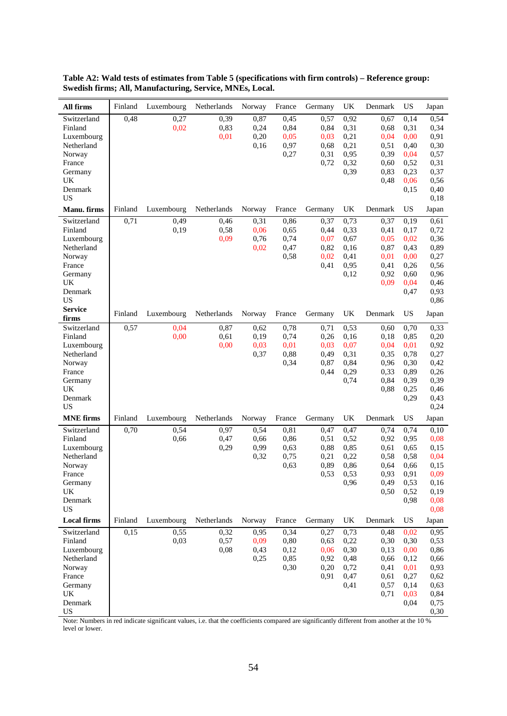| All firms              | Finland | Luxembourg | Netherlands  | Norway       | France       | Germany      | UK           | Denmark      | US           | Japan        |
|------------------------|---------|------------|--------------|--------------|--------------|--------------|--------------|--------------|--------------|--------------|
| Switzerland            | 0,48    | 0,27       | 0,39         | 0,87         | 0,45         | 0,57         | 0,92         | 0,67         | 0,14         | 0,54         |
| Finland                |         | 0,02       | 0,83         | 0,24         | 0,84         | 0,84         | 0,31         | 0,68         | 0,31         | 0,34         |
| Luxembourg             |         |            | 0,01         | 0,20         | 0,05         | 0,03         | 0,21         | 0,04         | 0,00         | 0,91         |
| Netherland             |         |            |              | 0,16         | 0,97         | 0,68         | 0,21         | 0,51         | 0,40         | 0,30         |
| Norway                 |         |            |              |              | 0,27         | 0,31         | 0,95         | 0,39         | 0,04         | 0,57         |
| France                 |         |            |              |              |              | 0,72         | 0,32         | 0,60         | 0,52         | 0,31         |
| Germany                |         |            |              |              |              |              | 0,39         | 0,83         | 0,23         | 0,37         |
| UK<br>Denmark          |         |            |              |              |              |              |              | 0,48         | 0,06<br>0,15 | 0,56<br>0,40 |
| <b>US</b>              |         |            |              |              |              |              |              |              |              | 0,18         |
| Manu. firms            | Finland | Luxembourg | Netherlands  | Norway       | France       | Germany      | UK           | Denmark      | US           | Japan        |
| Switzerland            | 0,71    | 0,49       | 0,46         | 0,31         | 0,86         | 0,37         | 0,73         | 0,37         | 0,19         | 0,61         |
| Finland                |         | 0,19       | 0,58         | 0,06         | 0,65         | 0,44         | 0,33         | 0,41         | 0,17         | 0,72         |
| Luxembourg             |         |            | 0,09         | 0,76         | 0,74         | 0,07         | 0,67         | 0,05         | 0,02         | 0,36         |
| Netherland             |         |            |              | 0,02         | 0,47         | 0,82         | 0,16         | 0,87         | 0,43         | 0,89         |
| Norway                 |         |            |              |              | 0,58         | 0.02         | 0,41         | 0,01         | 0,00         | 0,27         |
| France                 |         |            |              |              |              | 0,41         | 0,95         | 0,41         | 0,26         | 0,56         |
| Germany                |         |            |              |              |              |              | 0,12         | 0,92         | 0,60         | 0,96         |
| UK                     |         |            |              |              |              |              |              | 0,09         | 0,04         | 0,46         |
| Denmark<br><b>US</b>   |         |            |              |              |              |              |              |              | 0,47         | 0,93<br>0,86 |
| <b>Service</b>         | Finland | Luxembourg | Netherlands  | Norway       | France       | Germany      | UK           | Denmark      | US           | Japan        |
| firms                  |         |            |              |              |              |              |              |              |              |              |
| Switzerland<br>Finland | 0,57    | 0,04       | 0,87         | 0,62         | 0,78         | 0,71         | 0,53         | 0,60         | 0,70         | 0,33         |
| Luxembourg             |         | 0,00       | 0,61<br>0,00 | 0,19<br>0,03 | 0,74<br>0,01 | 0,26<br>0,03 | 0,16<br>0,07 | 0,18<br>0,04 | 0,85<br>0,01 | 0,20<br>0,92 |
| Netherland             |         |            |              | 0,37         | 0,88         | 0,49         | 0,31         | 0,35         | 0,78         | 0,27         |
| Norway                 |         |            |              |              | 0,34         | 0,87         | 0,84         | 0,96         | 0,30         | 0,42         |
| France                 |         |            |              |              |              | 0,44         | 0,29         | 0,33         | 0,89         | 0,26         |
| Germany                |         |            |              |              |              |              | 0,74         | 0,84         | 0,39         | 0,39         |
| <b>UK</b>              |         |            |              |              |              |              |              | 0,88         | 0,25         | 0,46         |
| Denmark                |         |            |              |              |              |              |              |              | 0,29         | 0,43         |
| <b>US</b>              |         |            |              |              |              |              |              |              |              | 0,24         |
| <b>MNE</b> firms       | Finland | Luxembourg | Netherlands  | Norway       | France       | Germany      | UK           | Denmark      | US           | Japan        |
| Switzerland            | 0,70    | 0,54       | 0,97         | 0,54         | 0,81         | 0,47         | 0,47         | 0,74         | 0,74         | 0,10         |
| Finland                |         | 0,66       | 0,47         | 0,66         | 0,86         | 0,51         | 0,52         | 0,92         | 0,95         | 0,08         |
| Luxembourg             |         |            | 0,29         | 0,99         | 0,63         | 0,88         | 0,85         | 0,61         | 0,65         | 0,15         |
| Netherland             |         |            |              | 0,32         | 0,75         | 0,21         | 0,22         | 0,58         | 0,58         | 0,04         |
| Norway                 |         |            |              |              | 0,63         | 0,89         | 0,86         | 0,64         | 0,66         | 0,15         |
| France                 |         |            |              |              |              | 0,53         | 0,53<br>0,96 | 0,93<br>0,49 | 0,91<br>0,53 | 0,09<br>0,16 |
| Germany<br>UK          |         |            |              |              |              |              |              | 0,50         | 0,52         | 0,19         |
| Denmark                |         |            |              |              |              |              |              |              | 0,98         | 0,08         |
| <b>US</b>              |         |            |              |              |              |              |              |              |              | 0,08         |
| <b>Local firms</b>     | Finland | Luxembourg | Netherlands  | Norway       | France       | Germany      | UK           | Denmark      | US           | Japan        |
| Switzerland            | 0,15    | 0,55       | 0,32         | 0,95         | 0,34         | 0,27         | 0,73         | 0,48         | 0,02         | 0,95         |
| Finland                |         | 0,03       | 0,57         | 0,09         | 0,80         | 0,63         | 0,22         | 0,30         | 0,30         | 0,53         |
| Luxembourg             |         |            | 0,08         | 0,43         | 0,12         | 0,06         | 0,30         | 0,13         | 0,00         | 0,86         |
| Netherland             |         |            |              | 0,25         | 0,85         | 0,92         | 0,48         | 0,66         | 0,12         | 0,66         |
| Norway                 |         |            |              |              | 0,30         | 0,20         | 0,72         | 0,41         | 0,01         | 0,93         |
| France                 |         |            |              |              |              | 0,91         | 0,47         | 0,61         | 0,27         | 0,62         |
| Germany                |         |            |              |              |              |              | 0,41         | 0,57         | 0,14         | 0,63         |
| UK                     |         |            |              |              |              |              |              | 0,71         | 0,03         | 0,84         |
| Denmark<br>US          |         |            |              |              |              |              |              |              | 0,04         | 0,75         |
|                        |         |            |              |              |              |              |              |              |              | 0,30         |

**Table A2: Wald tests of estimates from Table 5 (specifications with firm controls) – Reference group: Swedish firms; All, Manufacturing, Service, MNEs, Local.**

Note: Numbers in red indicate significant values, i.e. that the coefficients compared are significantly different from another at the 10 % level or lower.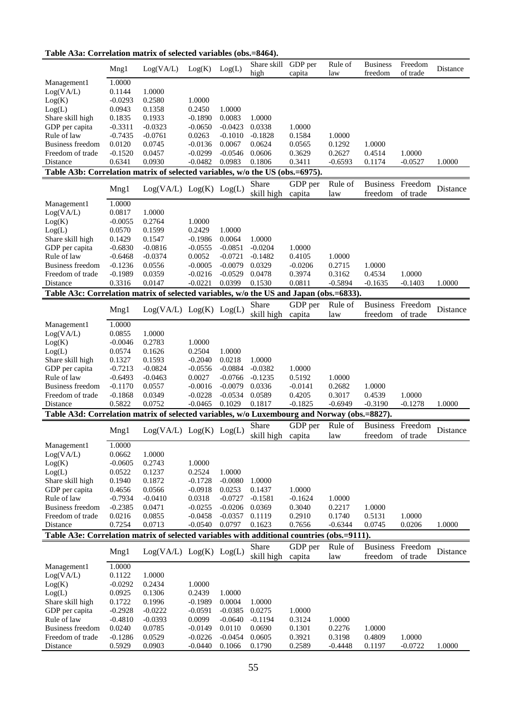| Table A3a: Correlation matrix of selected variables (obs.=8464).                            |                        |                         |                        |                        |                     |                     |                     |                            |                     |          |
|---------------------------------------------------------------------------------------------|------------------------|-------------------------|------------------------|------------------------|---------------------|---------------------|---------------------|----------------------------|---------------------|----------|
|                                                                                             | Mng1                   | Log(VA/L)               | Log(K)                 | Log(L)                 | Share skill<br>high | GDP per<br>capita   | Rule of<br>law      | <b>Business</b><br>freedom | Freedom<br>of trade | Distance |
| Management1                                                                                 | 1.0000                 |                         |                        |                        |                     |                     |                     |                            |                     |          |
| Log(VA/L)                                                                                   | 0.1144                 | 1.0000                  |                        |                        |                     |                     |                     |                            |                     |          |
| Log(K)                                                                                      | $-0.0293$              | 0.2580                  | 1.0000                 |                        |                     |                     |                     |                            |                     |          |
| Log(L)                                                                                      | 0.0943                 | 0.1358                  | 0.2450                 | 1.0000                 |                     |                     |                     |                            |                     |          |
| Share skill high<br>GDP per capita                                                          | 0.1835<br>$-0.3311$    | 0.1933<br>$-0.0323$     | $-0.1890$<br>$-0.0650$ | 0.0083<br>$-0.0423$    | 1.0000<br>0.0338    | 1.0000              |                     |                            |                     |          |
| Rule of law                                                                                 | $-0.7435$              | $-0.0761$               | 0.0263                 | $-0.1010$              | $-0.1828$           | 0.1584              | 1.0000              |                            |                     |          |
| <b>Business freedom</b>                                                                     | 0.0120                 | 0.0745                  | $-0.0136$              | 0.0067                 | 0.0624              | 0.0565              | 0.1292              | 1.0000                     |                     |          |
| Freedom of trade                                                                            | $-0.1520$              | 0.0457                  | $-0.0299$              | $-0.0546$              | 0.0606              | 0.3629              | 0.2627              | 0.4514                     | 1.0000              |          |
| Distance                                                                                    | 0.6341                 | 0.0930                  | $-0.0482$              | 0.0983                 | 0.1806              | 0.3411              | $-0.6593$           | 0.1174                     | $-0.0527$           | 1.0000   |
| Table A3b: Correlation matrix of selected variables, w/o the US (obs.=6975).                |                        |                         |                        |                        |                     |                     |                     |                            |                     |          |
|                                                                                             | Mng1                   | Log(VA/L) Log(K) Log(L) |                        |                        | Share               | GDP per             | Rule of             |                            | Business Freedom    | Distance |
|                                                                                             |                        |                         |                        |                        | skill high          | capita              | law                 | freedom                    | of trade            |          |
| Management1                                                                                 | 1.0000                 |                         |                        |                        |                     |                     |                     |                            |                     |          |
| Log(VA/L)                                                                                   | 0.0817                 | 1.0000                  |                        |                        |                     |                     |                     |                            |                     |          |
| Log(K)                                                                                      | $-0.0055$              | 0.2764                  | 1.0000                 |                        |                     |                     |                     |                            |                     |          |
| Log(L)                                                                                      | 0.0570                 | 0.1599                  | 0.2429                 | 1.0000                 |                     |                     |                     |                            |                     |          |
| Share skill high<br>GDP per capita                                                          | 0.1429<br>$-0.6830$    | 0.1547<br>$-0.0816$     | $-0.1986$<br>$-0.0555$ | 0.0064<br>$-0.0851$    | 1.0000<br>$-0.0204$ | 1.0000              |                     |                            |                     |          |
| Rule of law                                                                                 | $-0.6468$              | $-0.0374$               | 0.0052                 | $-0.0721$              | $-0.1482$           | 0.4105              | 1.0000              |                            |                     |          |
| <b>Business freedom</b>                                                                     | $-0.1236$              | 0.0556                  | $-0.0005$              | $-0.0079$              | 0.0329              | $-0.0206$           | 0.2715              | 1.0000                     |                     |          |
| Freedom of trade                                                                            | $-0.1989$              | 0.0359                  | $-0.0216$              | $-0.0529$              | 0.0478              | 0.3974              | 0.3162              | 0.4534                     | 1.0000              |          |
| Distance                                                                                    | 0.3316                 | 0.0147                  | $-0.0221$              | 0.0399                 | 0.1530              | 0.0811              | $-0.5894$           | $-0.1635$                  | $-0.1403$           | 1.0000   |
| Table A3c: Correlation matrix of selected variables, w/o the US and Japan (obs.=6833).      |                        |                         |                        |                        |                     |                     |                     |                            |                     |          |
|                                                                                             |                        |                         |                        |                        | Share               | GDP per             | Rule of             | <b>Business</b>            | Freedom             |          |
|                                                                                             | Mng1                   | Log(VA/L) Log(K) Log(L) |                        |                        | skill high          | capita              | law                 | freedom                    | of trade            | Distance |
| Management1                                                                                 | 1.0000                 |                         |                        |                        |                     |                     |                     |                            |                     |          |
| Log(VA/L)                                                                                   | 0.0855                 | 1.0000                  |                        |                        |                     |                     |                     |                            |                     |          |
| Log(K)                                                                                      | $-0.0046$              | 0.2783                  | 1.0000                 |                        |                     |                     |                     |                            |                     |          |
| Log(L)                                                                                      | 0.0574                 | 0.1626                  | 0.2504                 | 1.0000                 |                     |                     |                     |                            |                     |          |
| Share skill high                                                                            | 0.1327                 | 0.1593                  | $-0.2040$              | 0.0218                 | 1.0000              |                     |                     |                            |                     |          |
| GDP per capita                                                                              | $-0.7213$              | $-0.0824$               | $-0.0556$              | $-0.0884$              | $-0.0382$           | 1.0000              |                     |                            |                     |          |
| Rule of law<br><b>Business freedom</b>                                                      | $-0.6493$<br>$-0.1170$ | $-0.0463$               | 0.0027<br>$-0.0016$    | $-0.0766$<br>$-0.0079$ | $-0.1235$<br>0.0336 | 0.5192              | 1.0000<br>0.2682    | 1.0000                     |                     |          |
| Freedom of trade                                                                            | $-0.1868$              | 0.0557<br>0.0349        | $-0.0228$              | $-0.0534$              | 0.0589              | $-0.0141$<br>0.4205 | 0.3017              | 0.4539                     | 1.0000              |          |
| Distance                                                                                    | 0.5822                 | 0.0752                  | $-0.0465$              | 0.1029                 | 0.1817              | $-0.1825$           | $-0.6949$           | $-0.3190$                  | $-0.1278$           | 1.0000   |
| Table A3d: Correlation matrix of selected variables, w/o Luxembourg and Norway (obs.=8827). |                        |                         |                        |                        |                     |                     |                     |                            |                     |          |
|                                                                                             |                        |                         |                        |                        | Share               | GDP per             | Rule of             |                            | Business Freedom    |          |
|                                                                                             | Mng1                   | Log(VA/L) Log(K) Log(L) |                        |                        | skill high capita   |                     | law                 | freedom                    | of trade            | Distance |
| Management1                                                                                 | 1.0000                 |                         |                        |                        |                     |                     |                     |                            |                     |          |
| Log(VA/L)                                                                                   | 0.0662                 | 1.0000                  |                        |                        |                     |                     |                     |                            |                     |          |
| Log(K)                                                                                      | $-0.0605$              | 0.2743                  | 1.0000                 |                        |                     |                     |                     |                            |                     |          |
| Log(L)                                                                                      | 0.0522                 | 0.1237                  | 0.2524                 | 1.0000                 |                     |                     |                     |                            |                     |          |
| Share skill high                                                                            | 0.1940                 | 0.1872                  | $-0.1728$              | $-0.0080$              | 1.0000              |                     |                     |                            |                     |          |
| GDP per capita                                                                              | 0.4656                 | 0.0566                  | $-0.0918$              | 0.0253                 | 0.1437              | 1.0000              |                     |                            |                     |          |
| Rule of law                                                                                 | $-0.7934$              | $-0.0410$               | 0.0318                 | $-0.0727$              | $-0.1581$           | $-0.1624$           | 1.0000              |                            |                     |          |
| <b>Business freedom</b>                                                                     | $-0.2385$              | 0.0471                  | $-0.0255$              | $-0.0206$              | 0.0369              | 0.3040              | 0.2217              | 1.0000<br>0.5131           | 1.0000              |          |
| Freedom of trade<br>Distance                                                                | 0.0216<br>0.7254       | 0.0855<br>0.0713        | $-0.0458$<br>$-0.0540$ | $-0.0357$<br>0.0797    | 0.1119<br>0.1623    | 0.2910<br>0.7656    | 0.1740<br>$-0.6344$ | 0.0745                     | 0.0206              | 1.0000   |
| Table A3e: Correlation matrix of selected variables with additional countries (obs.=9111).  |                        |                         |                        |                        |                     |                     |                     |                            |                     |          |
|                                                                                             |                        |                         |                        |                        | Share               | GDP per             | Rule of             | <b>Business</b>            | Freedom             |          |
|                                                                                             | Mng1                   | Log(VA/L) Log(K) Log(L) |                        |                        | skill high          | capita              | law                 | freedom                    | of trade            | Distance |
| Management1                                                                                 | 1.0000                 |                         |                        |                        |                     |                     |                     |                            |                     |          |
| Log(VA/L)                                                                                   | 0.1122                 | 1.0000                  |                        |                        |                     |                     |                     |                            |                     |          |
| Log(K)                                                                                      | $-0.0292$              | 0.2434                  | 1.0000                 |                        |                     |                     |                     |                            |                     |          |
| Log(L)                                                                                      | 0.0925                 | 0.1306                  | 0.2439                 | 1.0000                 |                     |                     |                     |                            |                     |          |
| Share skill high                                                                            | 0.1722                 | 0.1996                  | $-0.1989$              | 0.0004                 | 1.0000              |                     |                     |                            |                     |          |
| GDP per capita                                                                              | $-0.2928$              | $-0.0222$               | $-0.0591$              | $-0.0385$              | 0.0275              | 1.0000              |                     |                            |                     |          |
| Rule of law                                                                                 | $-0.4810$              | $-0.0393$               | 0.0099                 | $-0.0640$              | $-0.1194$           | 0.3124              | 1.0000              |                            |                     |          |
| <b>Business freedom</b>                                                                     | 0.0240                 | 0.0785                  | $-0.0149$              | 0.0110                 | 0.0690              | 0.1301              | 0.2276              | 1.0000                     |                     |          |
| Freedom of trade<br>Distance                                                                | $-0.1286$              | 0.0529                  | $-0.0226$              | $-0.0454$              | 0.0605              | 0.3921              | 0.3198              | 0.4809                     | 1.0000              |          |
|                                                                                             | 0.5929                 | 0.0903                  | $-0.0440$              | 0.1066                 | 0.1790              | 0.2589              | $-0.4448$           | 0.1197                     | $-0.0722$           | 1.0000   |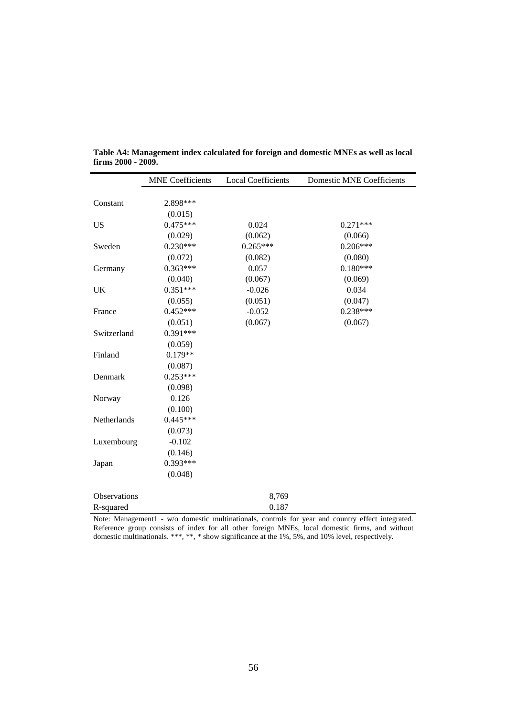|              | <b>MNE</b> Coefficients | <b>Local Coefficients</b> | <b>Domestic MNE Coefficients</b> |
|--------------|-------------------------|---------------------------|----------------------------------|
|              |                         |                           |                                  |
| Constant     | 2.898***                |                           |                                  |
|              | (0.015)                 |                           |                                  |
| <b>US</b>    | $0.475***$              | 0.024                     | $0.271***$                       |
|              | (0.029)                 | (0.062)                   | (0.066)                          |
| Sweden       | $0.230***$              | $0.265***$                | $0.206***$                       |
|              | (0.072)                 | (0.082)                   | (0.080)                          |
| Germany      | $0.363***$              | 0.057                     | $0.180***$                       |
|              | (0.040)                 | (0.067)                   | (0.069)                          |
| <b>UK</b>    | $0.351***$              | $-0.026$                  | 0.034                            |
|              | (0.055)                 | (0.051)                   | (0.047)                          |
| France       | $0.452***$              | $-0.052$                  | $0.238***$                       |
|              | (0.051)                 | (0.067)                   | (0.067)                          |
| Switzerland  | $0.391***$              |                           |                                  |
|              | (0.059)                 |                           |                                  |
| Finland      | $0.179**$               |                           |                                  |
|              | (0.087)                 |                           |                                  |
| Denmark      | $0.253***$              |                           |                                  |
|              | (0.098)                 |                           |                                  |
| Norway       | 0.126                   |                           |                                  |
|              | (0.100)                 |                           |                                  |
| Netherlands  | $0.445***$              |                           |                                  |
|              | (0.073)                 |                           |                                  |
| Luxembourg   | $-0.102$                |                           |                                  |
|              | (0.146)                 |                           |                                  |
| Japan        | $0.393***$              |                           |                                  |
|              | (0.048)                 |                           |                                  |
| Observations |                         | 8,769                     |                                  |
| R-squared    |                         | 0.187                     |                                  |

**Table A4: Management index calculated for foreign and domestic MNEs as well as local firms 2000 - 2009.**

Note: Management1 - w/o domestic multinationals, controls for year and country effect integrated. Reference group consists of index for all other foreign MNEs, local domestic firms, and without domestic multinationals. \*\*\*, \*\*, \* show significance at the 1%, 5%, and 10% level, respectively.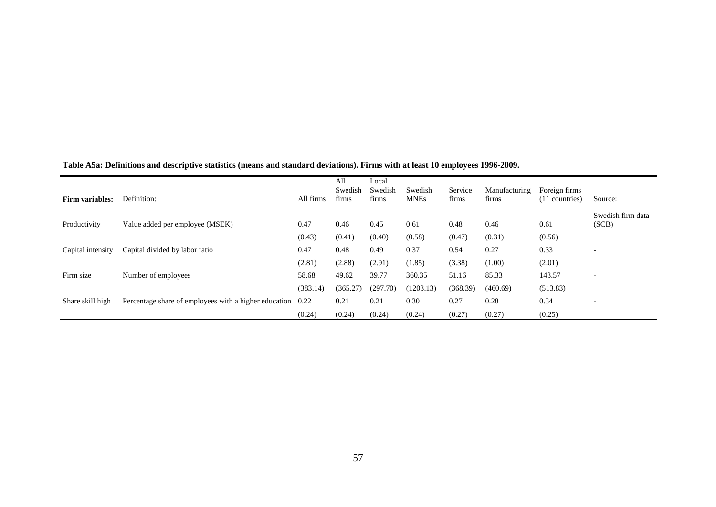| <b>Firm variables:</b> | Definition:                                                | All firms | All<br>Swedish<br>firms | Local<br>Swedish<br>firms | Swedish<br><b>MNEs</b> | Service<br>firms | Manufacturing<br>firms | Foreign firms<br>$(11$ countries) | Source:                    |
|------------------------|------------------------------------------------------------|-----------|-------------------------|---------------------------|------------------------|------------------|------------------------|-----------------------------------|----------------------------|
| Productivity           | Value added per employee (MSEK)                            | 0.47      | 0.46                    | 0.45                      | 0.61                   | 0.48             | 0.46                   | 0.61                              | Swedish firm data<br>(SCB) |
|                        |                                                            | (0.43)    | (0.41)                  | (0.40)                    | (0.58)                 | (0.47)           | (0.31)                 | (0.56)                            |                            |
| Capital intensity      | Capital divided by labor ratio                             | 0.47      | 0.48                    | 0.49                      | 0.37                   | 0.54             | 0.27                   | 0.33                              |                            |
|                        |                                                            | (2.81)    | (2.88)                  | (2.91)                    | (1.85)                 | (3.38)           | (1.00)                 | (2.01)                            |                            |
| Firm size              | Number of employees                                        | 58.68     | 49.62                   | 39.77                     | 360.35                 | 51.16            | 85.33                  | 143.57                            | $\overline{\phantom{a}}$   |
|                        |                                                            | (383.14)  | (365.27)                | (297.70)                  | (1203.13)              | (368.39)         | (460.69)               | (513.83)                          |                            |
| Share skill high       | Percentage share of employees with a higher education 0.22 |           | 0.21                    | 0.21                      | 0.30                   | 0.27             | 0.28                   | 0.34                              | $\overline{\phantom{a}}$   |
|                        |                                                            | (0.24)    | (0.24)                  | (0.24)                    | (0.24)                 | (0.27)           | (0.27)                 | (0.25)                            |                            |

**Table A5a: Definitions and descriptive statistics (means and standard deviations). Firms with at least 10 employees 1996-2009.**